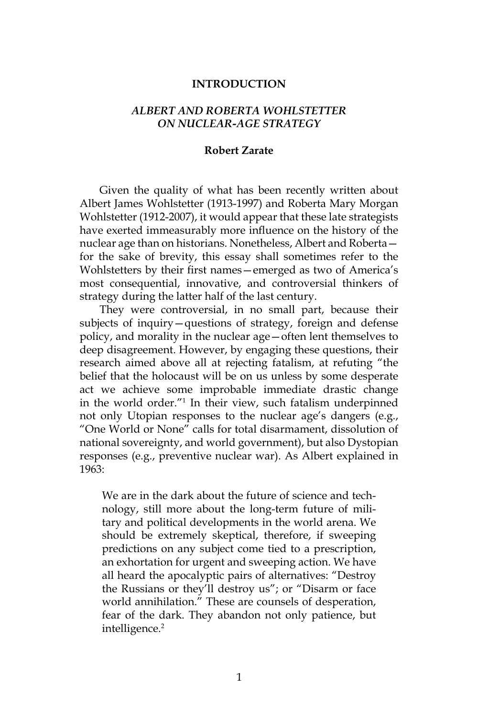## **INTRODUCTION**

# *ALBERT AND ROBERTA WOHLSTETTER ON NUCLEAR-AGE STRATEGY*

#### **Robert Zarate**

Given the quality of what has been recently written about Albert James Wohlstetter (1913-1997) and Roberta Mary Morgan Wohlstetter (1912-2007), it would appear that these late strategists have exerted immeasurably more influence on the history of the nuclear age than on historians. Nonetheless, Albert and Roberta for the sake of brevity, this essay shall sometimes refer to the Wohlstetters by their first names—emerged as two of America's most consequential, innovative, and controversial thinkers of strategy during the latter half of the last century.

They were controversial, in no small part, because their subjects of inquiry—questions of strategy, foreign and defense policy, and morality in the nuclear age—often lent themselves to deep disagreement. However, by engaging these questions, their research aimed above all at rejecting fatalism, at refuting "the belief that the holocaust will be on us unless by some desperate act we achieve some improbable immediate drastic change in the world order."<sup>1</sup> In their view, such fatalism underpinned not only Utopian responses to the nuclear age's dangers (e.g., "One World or None" calls for total disarmament, dissolution of national sovereignty, and world government), but also Dystopian responses (e.g., preventive nuclear war). As Albert explained in 1963:

We are in the dark about the future of science and technology, still more about the long-term future of military and political developments in the world arena. We should be extremely skeptical, therefore, if sweeping predictions on any subject come tied to a prescription, an exhortation for urgent and sweeping action. We have all heard the apocalyptic pairs of alternatives: "Destroy the Russians or they'll destroy us"; or "Disarm or face world annihilation." These are counsels of desperation, fear of the dark. They abandon not only patience, but intelligence.<sup>2</sup>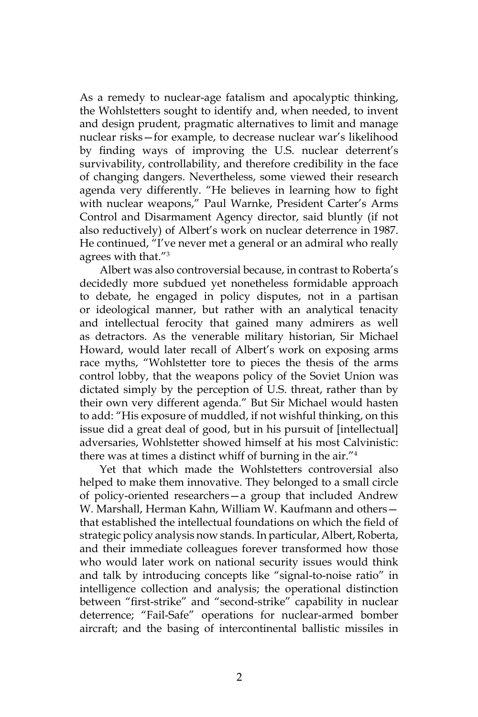As a remedy to nuclear-age fatalism and apocalyptic thinking, the Wohlstetters sought to identify and, when needed, to invent and design prudent, pragmatic alternatives to limit and manage nuclear risks—for example, to decrease nuclear war's likelihood by finding ways of improving the U.S. nuclear deterrent's survivability, controllability, and therefore credibility in the face of changing dangers. Nevertheless, some viewed their research agenda very differently. "He believes in learning how to fight with nuclear weapons," Paul Warnke, President Carter's Arms Control and Disarmament Agency director, said bluntly (if not also reductively) of Albert's work on nuclear deterrence in 1987. He continued, "I've never met a general or an admiral who really agrees with that."3

Albert was also controversial because, in contrast to Roberta's decidedly more subdued yet nonetheless formidable approach to debate, he engaged in policy disputes, not in a partisan or ideological manner, but rather with an analytical tenacity and intellectual ferocity that gained many admirers as well as detractors. As the venerable military historian, Sir Michael Howard, would later recall of Albert's work on exposing arms race myths, "Wohlstetter tore to pieces the thesis of the arms control lobby, that the weapons policy of the Soviet Union was dictated simply by the perception of U.S. threat, rather than by their own very different agenda." But Sir Michael would hasten to add: "His exposure of muddled, if not wishful thinking, on this issue did a great deal of good, but in his pursuit of [intellectual] adversaries, Wohlstetter showed himself at his most Calvinistic: there was at times a distinct whiff of burning in the air."4

Yet that which made the Wohlstetters controversial also helped to make them innovative. They belonged to a small circle of policy-oriented researchers—a group that included Andrew W. Marshall, Herman Kahn, William W. Kaufmann and others that established the intellectual foundations on which the field of strategic policy analysis now stands. In particular, Albert, Roberta, and their immediate colleagues forever transformed how those who would later work on national security issues would think and talk by introducing concepts like "signal-to-noise ratio" in intelligence collection and analysis; the operational distinction between "first-strike" and "second-strike" capability in nuclear deterrence; "Fail-Safe" operations for nuclear-armed bomber aircraft; and the basing of intercontinental ballistic missiles in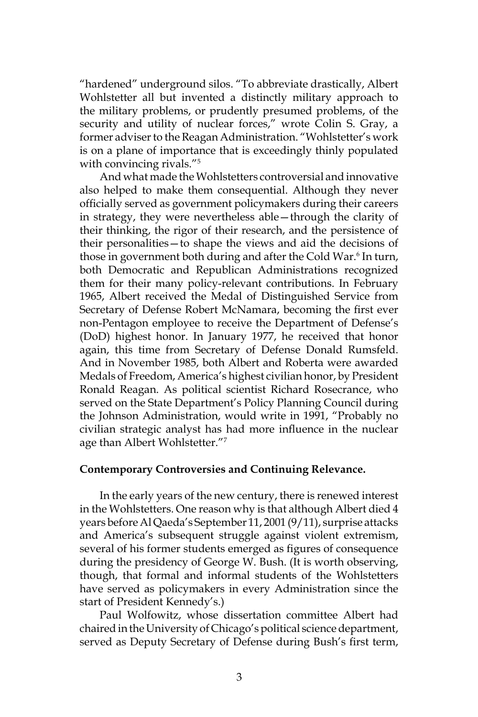"hardened" underground silos. "To abbreviate drastically, Albert Wohlstetter all but invented a distinctly military approach to the military problems, or prudently presumed problems, of the security and utility of nuclear forces," wrote Colin S. Gray, a former adviser to the Reagan Administration. "Wohlstetter's work is on a plane of importance that is exceedingly thinly populated with convincing rivals."<sup>5</sup>

And what made the Wohlstetters controversial and innovative also helped to make them consequential. Although they never officially served as government policymakers during their careers in strategy, they were nevertheless able—through the clarity of their thinking, the rigor of their research, and the persistence of their personalities—to shape the views and aid the decisions of those in government both during and after the Cold War.<sup>6</sup> In turn, both Democratic and Republican Administrations recognized them for their many policy-relevant contributions. In February 1965, Albert received the Medal of Distinguished Service from Secretary of Defense Robert McNamara, becoming the first ever non-Pentagon employee to receive the Department of Defense's (DoD) highest honor. In January 1977, he received that honor again, this time from Secretary of Defense Donald Rumsfeld. And in November 1985, both Albert and Roberta were awarded Medals of Freedom, America's highest civilian honor, by President Ronald Reagan. As political scientist Richard Rosecrance, who served on the State Department's Policy Planning Council during the Johnson Administration, would write in 1991, "Probably no civilian strategic analyst has had more influence in the nuclear age than Albert Wohlstetter."7

## **Contemporary Controversies and Continuing Relevance.**

In the early years of the new century, there is renewed interest in the Wohlstetters. One reason why is that although Albert died 4 years before Al Qaeda's September 11, 2001 (9/11), surprise attacks and America's subsequent struggle against violent extremism, several of his former students emerged as figures of consequence during the presidency of George W. Bush. (It is worth observing, though, that formal and informal students of the Wohlstetters have served as policymakers in every Administration since the start of President Kennedy's.)

Paul Wolfowitz, whose dissertation committee Albert had chaired in the University of Chicago's political science department, served as Deputy Secretary of Defense during Bush's first term,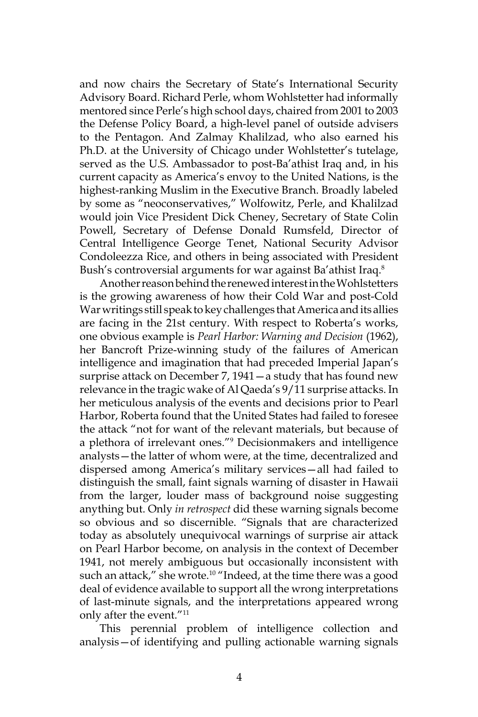and now chairs the Secretary of State's International Security Advisory Board. Richard Perle, whom Wohlstetter had informally mentored since Perle's high school days, chaired from 2001 to 2003 the Defense Policy Board, a high-level panel of outside advisers to the Pentagon. And Zalmay Khalilzad, who also earned his Ph.D. at the University of Chicago under Wohlstetter's tutelage, served as the U.S. Ambassador to post-Ba'athist Iraq and, in his current capacity as America's envoy to the United Nations, is the highest-ranking Muslim in the Executive Branch. Broadly labeled by some as "neoconservatives," Wolfowitz, Perle, and Khalilzad would join Vice President Dick Cheney, Secretary of State Colin Powell, Secretary of Defense Donald Rumsfeld, Director of Central Intelligence George Tenet, National Security Advisor Condoleezza Rice, and others in being associated with President Bush's controversial arguments for war against Ba'athist Iraq.<sup>8</sup>

Another reason behind the renewed interest in the Wohlstetters is the growing awareness of how their Cold War and post-Cold War writings still speak to key challenges that America and its allies are facing in the 21st century. With respect to Roberta's works, one obvious example is *Pearl Harbor: Warning and Decision* (1962), her Bancroft Prize-winning study of the failures of American intelligence and imagination that had preceded Imperial Japan's surprise attack on December 7, 1941—a study that has found new relevance in the tragic wake of Al Qaeda's 9/11 surprise attacks. In her meticulous analysis of the events and decisions prior to Pearl Harbor, Roberta found that the United States had failed to foresee the attack "not for want of the relevant materials, but because of a plethora of irrelevant ones."9 Decisionmakers and intelligence analysts—the latter of whom were, at the time, decentralized and dispersed among America's military services—all had failed to distinguish the small, faint signals warning of disaster in Hawaii from the larger, louder mass of background noise suggesting anything but. Only *in retrospect* did these warning signals become so obvious and so discernible. "Signals that are characterized today as absolutely unequivocal warnings of surprise air attack on Pearl Harbor become, on analysis in the context of December 1941, not merely ambiguous but occasionally inconsistent with such an attack," she wrote.<sup>10</sup> "Indeed, at the time there was a good deal of evidence available to support all the wrong interpretations of last-minute signals, and the interpretations appeared wrong only after the event."11

This perennial problem of intelligence collection and analysis—of identifying and pulling actionable warning signals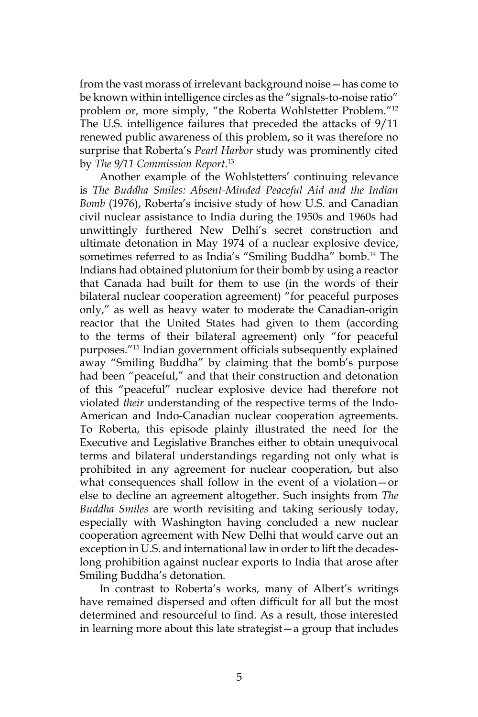from the vast morass of irrelevant background noise—has come to be known within intelligence circles as the "signals-to-noise ratio" problem or, more simply, "the Roberta Wohlstetter Problem."12 The U.S. intelligence failures that preceded the attacks of 9/11 renewed public awareness of this problem, so it was therefore no surprise that Roberta's *Pearl Harbor* study was prominently cited by *The 9/11 Commission Report*. 13

Another example of the Wohlstetters' continuing relevance is *The Buddha Smiles: Absent-Minded Peaceful Aid and the Indian Bomb* (1976), Roberta's incisive study of how U.S. and Canadian civil nuclear assistance to India during the 1950s and 1960s had unwittingly furthered New Delhi's secret construction and ultimate detonation in May 1974 of a nuclear explosive device, sometimes referred to as India's "Smiling Buddha" bomb.<sup>14</sup> The Indians had obtained plutonium for their bomb by using a reactor that Canada had built for them to use (in the words of their bilateral nuclear cooperation agreement) "for peaceful purposes only," as well as heavy water to moderate the Canadian-origin reactor that the United States had given to them (according to the terms of their bilateral agreement) only "for peaceful purposes."15 Indian government officials subsequently explained away "Smiling Buddha" by claiming that the bomb's purpose had been "peaceful," and that their construction and detonation of this "peaceful" nuclear explosive device had therefore not violated *their* understanding of the respective terms of the Indo-American and Indo-Canadian nuclear cooperation agreements. To Roberta, this episode plainly illustrated the need for the Executive and Legislative Branches either to obtain unequivocal terms and bilateral understandings regarding not only what is prohibited in any agreement for nuclear cooperation, but also what consequences shall follow in the event of a violation—or else to decline an agreement altogether. Such insights from *The Buddha Smiles* are worth revisiting and taking seriously today, especially with Washington having concluded a new nuclear cooperation agreement with New Delhi that would carve out an exception in U.S. and international law in order to lift the decadeslong prohibition against nuclear exports to India that arose after Smiling Buddha's detonation.

In contrast to Roberta's works, many of Albert's writings have remained dispersed and often difficult for all but the most determined and resourceful to find. As a result, those interested in learning more about this late strategist—a group that includes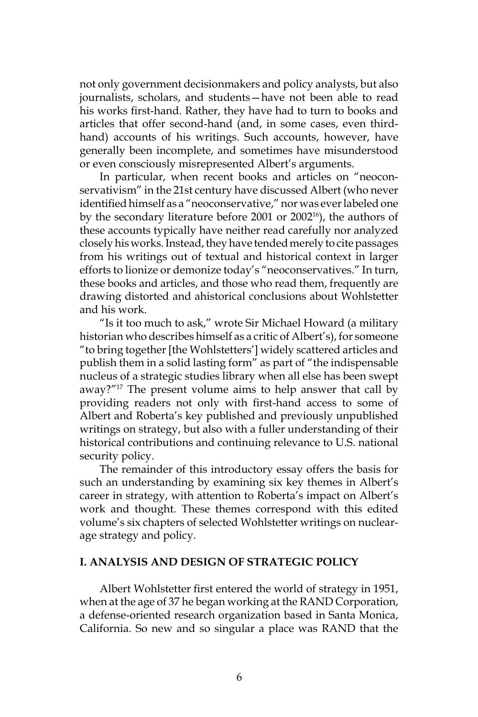not only government decisionmakers and policy analysts, but also journalists, scholars, and students—have not been able to read his works first-hand. Rather, they have had to turn to books and articles that offer second-hand (and, in some cases, even thirdhand) accounts of his writings. Such accounts, however, have generally been incomplete, and sometimes have misunderstood or even consciously misrepresented Albert's arguments.

In particular, when recent books and articles on "neoconservativism" in the 21st century have discussed Albert (who never identified himself as a "neoconservative," nor was ever labeled one by the secondary literature before 2001 or 200216), the authors of these accounts typically have neither read carefully nor analyzed closely his works. Instead, they have tended merely to cite passages from his writings out of textual and historical context in larger efforts to lionize or demonize today's "neoconservatives." In turn, these books and articles, and those who read them, frequently are drawing distorted and ahistorical conclusions about Wohlstetter and his work.

"Is it too much to ask," wrote Sir Michael Howard (a military historian who describes himself as a critic of Albert's), for someone "to bring together [the Wohlstetters'] widely scattered articles and publish them in a solid lasting form" as part of "the indispensable nucleus of a strategic studies library when all else has been swept away?"17 The present volume aims to help answer that call by providing readers not only with first-hand access to some of Albert and Roberta's key published and previously unpublished writings on strategy, but also with a fuller understanding of their historical contributions and continuing relevance to U.S. national security policy.

The remainder of this introductory essay offers the basis for such an understanding by examining six key themes in Albert's career in strategy, with attention to Roberta's impact on Albert's work and thought. These themes correspond with this edited volume's six chapters of selected Wohlstetter writings on nuclearage strategy and policy.

### **I. ANALYSIS AND DESIGN OF STRATEGIC POLICY**

Albert Wohlstetter first entered the world of strategy in 1951, when at the age of 37 he began working at the RAND Corporation, a defense-oriented research organization based in Santa Monica, California. So new and so singular a place was RAND that the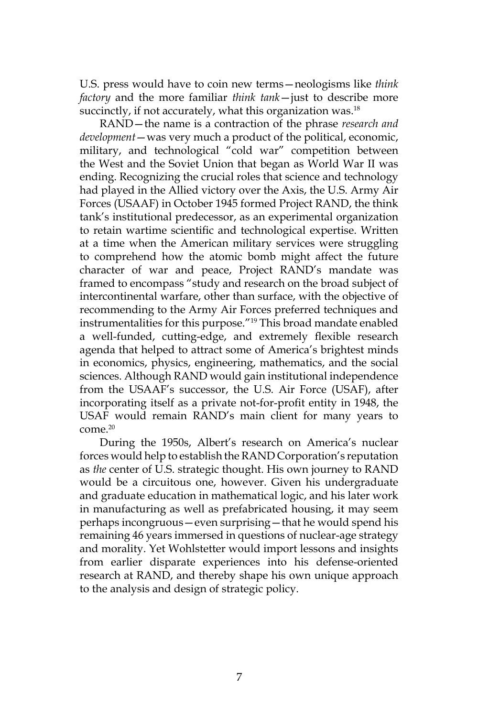U.S. press would have to coin new terms—neologisms like *think factory* and the more familiar *think tank*—just to describe more succinctly, if not accurately, what this organization was.<sup>18</sup>

RAND—the name is a contraction of the phrase *research and development*—was very much a product of the political, economic, military, and technological "cold war" competition between the West and the Soviet Union that began as World War II was ending. Recognizing the crucial roles that science and technology had played in the Allied victory over the Axis, the U.S. Army Air Forces (USAAF) in October 1945 formed Project RAND, the think tank's institutional predecessor, as an experimental organization to retain wartime scientific and technological expertise. Written at a time when the American military services were struggling to comprehend how the atomic bomb might affect the future character of war and peace, Project RAND's mandate was framed to encompass "study and research on the broad subject of intercontinental warfare, other than surface, with the objective of recommending to the Army Air Forces preferred techniques and instrumentalities for this purpose."19 This broad mandate enabled a well-funded, cutting-edge, and extremely flexible research agenda that helped to attract some of America's brightest minds in economics, physics, engineering, mathematics, and the social sciences. Although RAND would gain institutional independence from the USAAF's successor, the U.S. Air Force (USAF), after incorporating itself as a private not-for-profit entity in 1948, the USAF would remain RAND's main client for many years to come.<sup>20</sup>

During the 1950s, Albert's research on America's nuclear forces would help to establish the RAND Corporation's reputation as *the* center of U.S. strategic thought. His own journey to RAND would be a circuitous one, however. Given his undergraduate and graduate education in mathematical logic, and his later work in manufacturing as well as prefabricated housing, it may seem perhaps incongruous—even surprising—that he would spend his remaining 46 years immersed in questions of nuclear-age strategy and morality. Yet Wohlstetter would import lessons and insights from earlier disparate experiences into his defense-oriented research at RAND, and thereby shape his own unique approach to the analysis and design of strategic policy.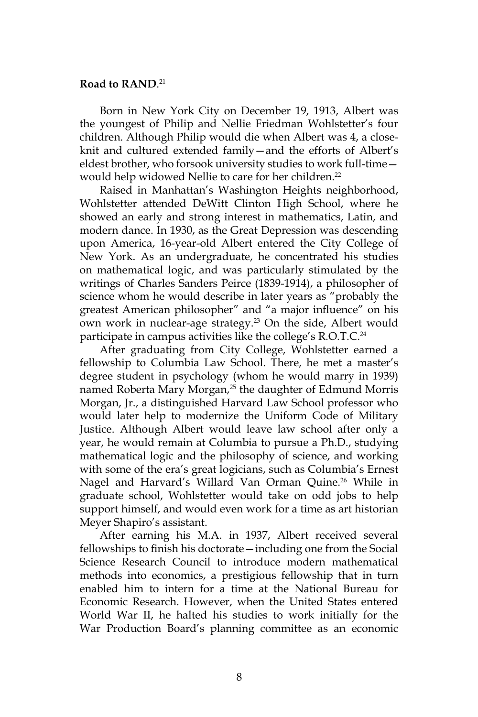## **Road to RAND**. 21

Born in New York City on December 19, 1913, Albert was the youngest of Philip and Nellie Friedman Wohlstetter's four children. Although Philip would die when Albert was 4, a closeknit and cultured extended family—and the efforts of Albert's eldest brother, who forsook university studies to work full-time would help widowed Nellie to care for her children.<sup>22</sup>

Raised in Manhattan's Washington Heights neighborhood, Wohlstetter attended DeWitt Clinton High School, where he showed an early and strong interest in mathematics, Latin, and modern dance. In 1930, as the Great Depression was descending upon America, 16-year-old Albert entered the City College of New York. As an undergraduate, he concentrated his studies on mathematical logic, and was particularly stimulated by the writings of Charles Sanders Peirce (1839-1914), a philosopher of science whom he would describe in later years as "probably the greatest American philosopher" and "a major influence" on his own work in nuclear-age strategy.<sup>23</sup> On the side, Albert would participate in campus activities like the college's R.O.T.C.<sup>24</sup>

After graduating from City College, Wohlstetter earned a fellowship to Columbia Law School. There, he met a master's degree student in psychology (whom he would marry in 1939) named Roberta Mary Morgan,25 the daughter of Edmund Morris Morgan, Jr., a distinguished Harvard Law School professor who would later help to modernize the Uniform Code of Military Justice. Although Albert would leave law school after only a year, he would remain at Columbia to pursue a Ph.D., studying mathematical logic and the philosophy of science, and working with some of the era's great logicians, such as Columbia's Ernest Nagel and Harvard's Willard Van Orman Quine.<sup>26</sup> While in graduate school, Wohlstetter would take on odd jobs to help support himself, and would even work for a time as art historian Meyer Shapiro's assistant.

After earning his M.A. in 1937, Albert received several fellowships to finish his doctorate—including one from the Social Science Research Council to introduce modern mathematical methods into economics, a prestigious fellowship that in turn enabled him to intern for a time at the National Bureau for Economic Research. However, when the United States entered World War II, he halted his studies to work initially for the War Production Board's planning committee as an economic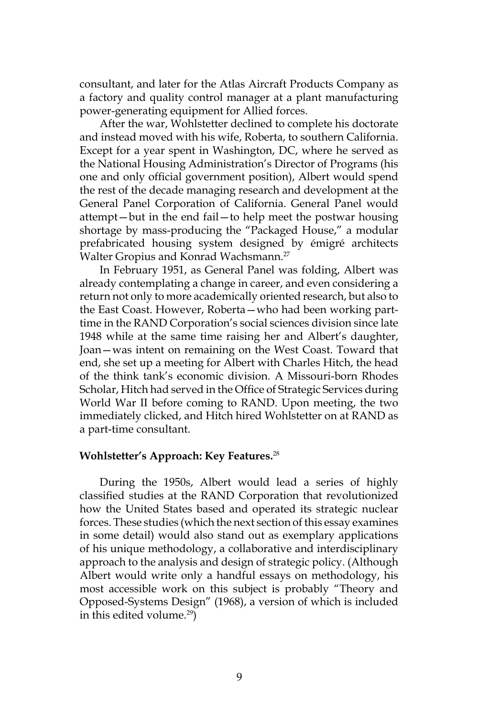consultant, and later for the Atlas Aircraft Products Company as a factory and quality control manager at a plant manufacturing power-generating equipment for Allied forces.

After the war, Wohlstetter declined to complete his doctorate and instead moved with his wife, Roberta, to southern California. Except for a year spent in Washington, DC, where he served as the National Housing Administration's Director of Programs (his one and only official government position), Albert would spend the rest of the decade managing research and development at the General Panel Corporation of California. General Panel would attempt—but in the end fail—to help meet the postwar housing shortage by mass-producing the "Packaged House," a modular prefabricated housing system designed by émigré architects Walter Gropius and Konrad Wachsmann.<sup>27</sup>

In February 1951, as General Panel was folding, Albert was already contemplating a change in career, and even considering a return not only to more academically oriented research, but also to the East Coast. However, Roberta—who had been working parttime in the RAND Corporation's social sciences division since late 1948 while at the same time raising her and Albert's daughter, Joan—was intent on remaining on the West Coast. Toward that end, she set up a meeting for Albert with Charles Hitch, the head of the think tank's economic division. A Missouri-born Rhodes Scholar, Hitch had served in the Office of Strategic Services during World War II before coming to RAND. Upon meeting, the two immediately clicked, and Hitch hired Wohlstetter on at RAND as a part-time consultant.

# **Wohlstetter's Approach: Key Features.**<sup>28</sup>

During the 1950s, Albert would lead a series of highly classified studies at the RAND Corporation that revolutionized how the United States based and operated its strategic nuclear forces. These studies (which the next section of this essay examines in some detail) would also stand out as exemplary applications of his unique methodology, a collaborative and interdisciplinary approach to the analysis and design of strategic policy. (Although Albert would write only a handful essays on methodology, his most accessible work on this subject is probably "Theory and Opposed-Systems Design" (1968), a version of which is included in this edited volume.29)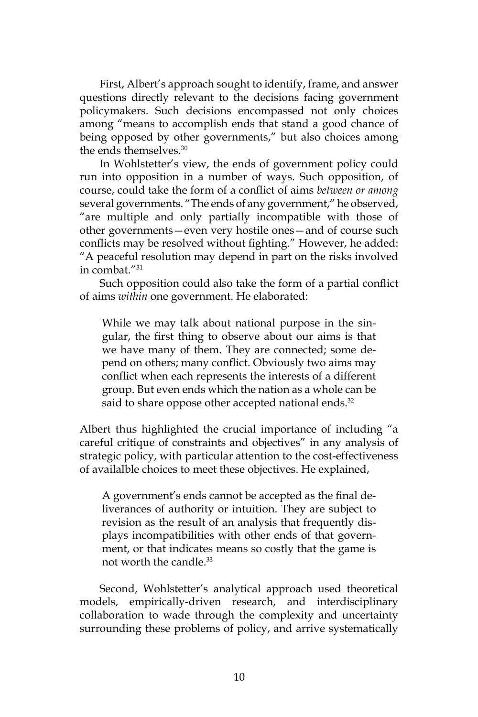First, Albert's approach sought to identify, frame, and answer questions directly relevant to the decisions facing government policymakers. Such decisions encompassed not only choices among "means to accomplish ends that stand a good chance of being opposed by other governments," but also choices among the ends themselves.30

In Wohlstetter's view, the ends of government policy could run into opposition in a number of ways. Such opposition, of course, could take the form of a conflict of aims *between or among* several governments. "The ends of any government," he observed, "are multiple and only partially incompatible with those of other governments—even very hostile ones—and of course such conflicts may be resolved without fighting." However, he added: "A peaceful resolution may depend in part on the risks involved in combat."31

Such opposition could also take the form of a partial conflict of aims *within* one government. He elaborated:

While we may talk about national purpose in the singular, the first thing to observe about our aims is that we have many of them. They are connected; some depend on others; many conflict. Obviously two aims may conflict when each represents the interests of a different group. But even ends which the nation as a whole can be said to share oppose other accepted national ends.<sup>32</sup>

Albert thus highlighted the crucial importance of including "a careful critique of constraints and objectives" in any analysis of strategic policy, with particular attention to the cost-effectiveness of availalble choices to meet these objectives. He explained,

A government's ends cannot be accepted as the final deliverances of authority or intuition. They are subject to revision as the result of an analysis that frequently displays incompatibilities with other ends of that government, or that indicates means so costly that the game is not worth the candle.33

Second, Wohlstetter's analytical approach used theoretical models, empirically-driven research, and interdisciplinary collaboration to wade through the complexity and uncertainty surrounding these problems of policy, and arrive systematically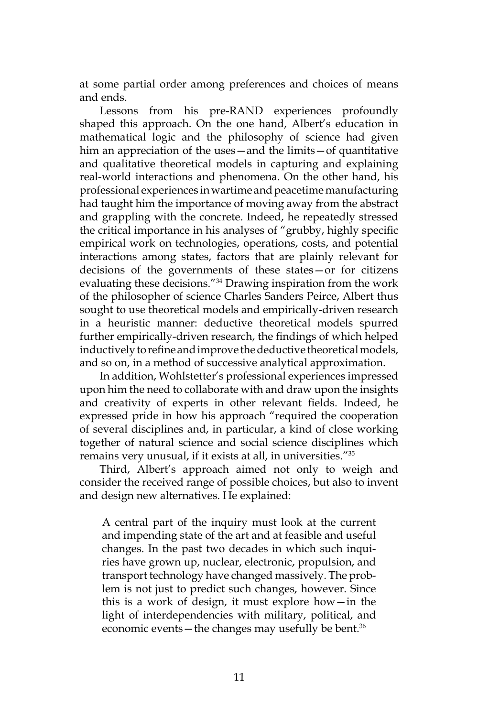at some partial order among preferences and choices of means and ends.

Lessons from his pre-RAND experiences profoundly shaped this approach. On the one hand, Albert's education in mathematical logic and the philosophy of science had given him an appreciation of the uses—and the limits—of quantitative and qualitative theoretical models in capturing and explaining real-world interactions and phenomena. On the other hand, his professional experiences in wartime and peacetime manufacturing had taught him the importance of moving away from the abstract and grappling with the concrete. Indeed, he repeatedly stressed the critical importance in his analyses of "grubby, highly specific empirical work on technologies, operations, costs, and potential interactions among states, factors that are plainly relevant for decisions of the governments of these states—or for citizens evaluating these decisions."34 Drawing inspiration from the work of the philosopher of science Charles Sanders Peirce, Albert thus sought to use theoretical models and empirically-driven research in a heuristic manner: deductive theoretical models spurred further empirically-driven research, the findings of which helped inductively to refine and improve the deductive theoretical models, and so on, in a method of successive analytical approximation.

In addition, Wohlstetter's professional experiences impressed upon him the need to collaborate with and draw upon the insights and creativity of experts in other relevant fields. Indeed, he expressed pride in how his approach "required the cooperation of several disciplines and, in particular, a kind of close working together of natural science and social science disciplines which remains very unusual, if it exists at all, in universities."35

Third, Albert's approach aimed not only to weigh and consider the received range of possible choices, but also to invent and design new alternatives. He explained:

A central part of the inquiry must look at the current and impending state of the art and at feasible and useful changes. In the past two decades in which such inquiries have grown up, nuclear, electronic, propulsion, and transport technology have changed massively. The problem is not just to predict such changes, however. Since this is a work of design, it must explore how—in the light of interdependencies with military, political, and economic events—the changes may usefully be bent.<sup>36</sup>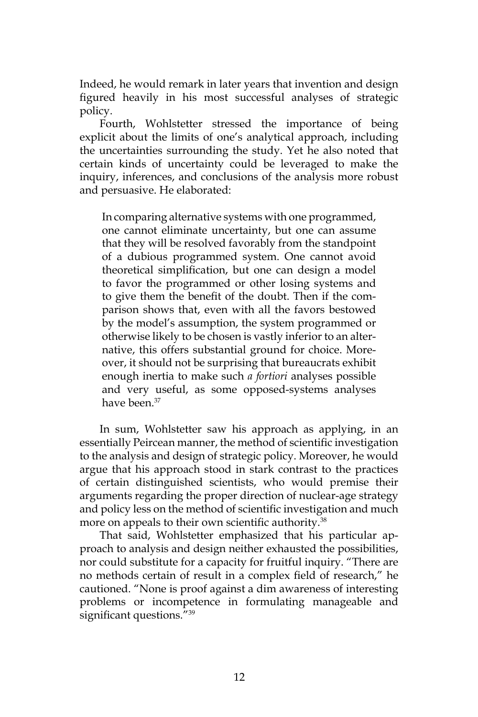Indeed, he would remark in later years that invention and design figured heavily in his most successful analyses of strategic policy.

Fourth, Wohlstetter stressed the importance of being explicit about the limits of one's analytical approach, including the uncertainties surrounding the study. Yet he also noted that certain kinds of uncertainty could be leveraged to make the inquiry, inferences, and conclusions of the analysis more robust and persuasive. He elaborated:

In comparing alternative systems with one programmed, one cannot eliminate uncertainty, but one can assume that they will be resolved favorably from the standpoint of a dubious programmed system. One cannot avoid theoretical simplification, but one can design a model to favor the programmed or other losing systems and to give them the benefit of the doubt. Then if the comparison shows that, even with all the favors bestowed by the model's assumption, the system programmed or otherwise likely to be chosen is vastly inferior to an alternative, this offers substantial ground for choice. Moreover, it should not be surprising that bureaucrats exhibit enough inertia to make such *a fortiori* analyses possible and very useful, as some opposed-systems analyses have been.<sup>37</sup>

In sum, Wohlstetter saw his approach as applying, in an essentially Peircean manner, the method of scientific investigation to the analysis and design of strategic policy. Moreover, he would argue that his approach stood in stark contrast to the practices of certain distinguished scientists, who would premise their arguments regarding the proper direction of nuclear-age strategy and policy less on the method of scientific investigation and much more on appeals to their own scientific authority.<sup>38</sup>

That said, Wohlstetter emphasized that his particular approach to analysis and design neither exhausted the possibilities, nor could substitute for a capacity for fruitful inquiry. "There are no methods certain of result in a complex field of research," he cautioned. "None is proof against a dim awareness of interesting problems or incompetence in formulating manageable and significant questions."<sup>39</sup>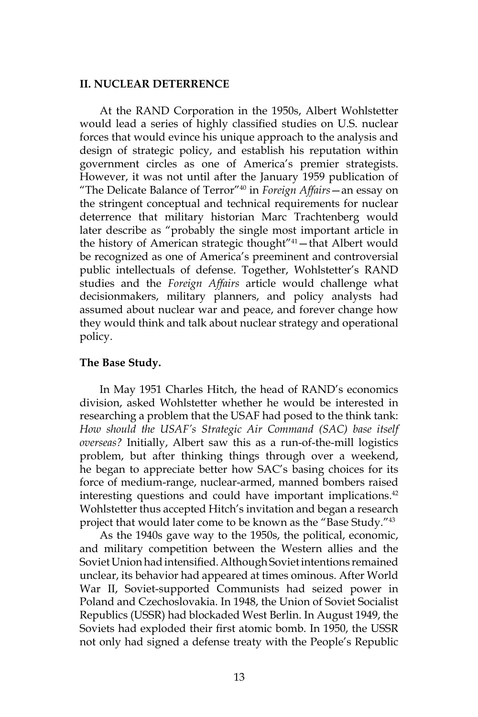## **II. NUCLEAR DETERRENCE**

At the RAND Corporation in the 1950s, Albert Wohlstetter would lead a series of highly classified studies on U.S. nuclear forces that would evince his unique approach to the analysis and design of strategic policy, and establish his reputation within government circles as one of America's premier strategists. However, it was not until after the January 1959 publication of "The Delicate Balance of Terror"40 in *Foreign Affairs*—an essay on the stringent conceptual and technical requirements for nuclear deterrence that military historian Marc Trachtenberg would later describe as "probably the single most important article in the history of American strategic thought"<sup>41</sup>-that Albert would be recognized as one of America's preeminent and controversial public intellectuals of defense. Together, Wohlstetter's RAND studies and the *Foreign Affairs* article would challenge what decisionmakers, military planners, and policy analysts had assumed about nuclear war and peace, and forever change how they would think and talk about nuclear strategy and operational policy.

#### **The Base Study.**

In May 1951 Charles Hitch, the head of RAND's economics division, asked Wohlstetter whether he would be interested in researching a problem that the USAF had posed to the think tank: *How should the USAF's Strategic Air Command (SAC) base itself overseas?* Initially, Albert saw this as a run-of-the-mill logistics problem, but after thinking things through over a weekend, he began to appreciate better how SAC's basing choices for its force of medium-range, nuclear-armed, manned bombers raised interesting questions and could have important implications.<sup>42</sup> Wohlstetter thus accepted Hitch's invitation and began a research project that would later come to be known as the "Base Study."43

As the 1940s gave way to the 1950s, the political, economic, and military competition between the Western allies and the Soviet Union had intensified. Although Soviet intentions remained unclear, its behavior had appeared at times ominous. After World War II, Soviet-supported Communists had seized power in Poland and Czechoslovakia. In 1948, the Union of Soviet Socialist Republics (USSR) had blockaded West Berlin. In August 1949, the Soviets had exploded their first atomic bomb. In 1950, the USSR not only had signed a defense treaty with the People's Republic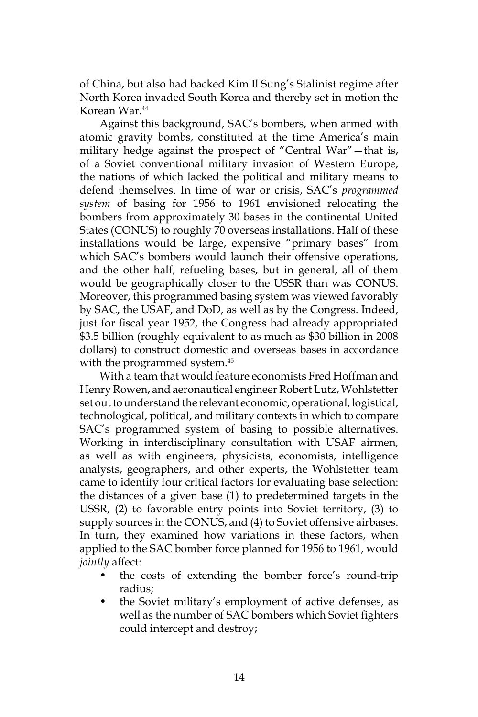of China, but also had backed Kim Il Sung's Stalinist regime after North Korea invaded South Korea and thereby set in motion the Korean War.44

Against this background, SAC's bombers, when armed with atomic gravity bombs, constituted at the time America's main military hedge against the prospect of "Central War"—that is, of a Soviet conventional military invasion of Western Europe, the nations of which lacked the political and military means to defend themselves. In time of war or crisis, SAC's *programmed system* of basing for 1956 to 1961 envisioned relocating the bombers from approximately 30 bases in the continental United States (CONUS) to roughly 70 overseas installations. Half of these installations would be large, expensive "primary bases" from which SAC's bombers would launch their offensive operations, and the other half, refueling bases, but in general, all of them would be geographically closer to the USSR than was CONUS. Moreover, this programmed basing system was viewed favorably by SAC, the USAF, and DoD, as well as by the Congress. Indeed, just for fiscal year 1952, the Congress had already appropriated \$3.5 billion (roughly equivalent to as much as \$30 billion in 2008 dollars) to construct domestic and overseas bases in accordance with the programmed system.<sup>45</sup>

With a team that would feature economists Fred Hoffman and Henry Rowen, and aeronautical engineer Robert Lutz, Wohlstetter set out to understand the relevant economic, operational, logistical, technological, political, and military contexts in which to compare SAC's programmed system of basing to possible alternatives. Working in interdisciplinary consultation with USAF airmen, as well as with engineers, physicists, economists, intelligence analysts, geographers, and other experts, the Wohlstetter team came to identify four critical factors for evaluating base selection: the distances of a given base (1) to predetermined targets in the USSR, (2) to favorable entry points into Soviet territory, (3) to supply sources in the CONUS, and (4) to Soviet offensive airbases. In turn, they examined how variations in these factors, when applied to the SAC bomber force planned for 1956 to 1961, would *jointly* affect:

- the costs of extending the bomber force's round-trip radius;
- the Soviet military's employment of active defenses, as well as the number of SAC bombers which Soviet fighters could intercept and destroy;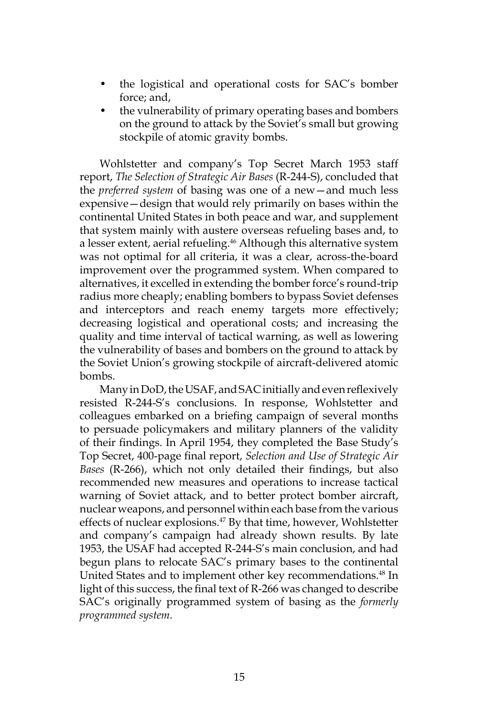- the logistical and operational costs for SAC's bomber force; and,
- the vulnerability of primary operating bases and bombers on the ground to attack by the Soviet's small but growing stockpile of atomic gravity bombs.

Wohlstetter and company's Top Secret March 1953 staff report, *The Selection of Strategic Air Bases* (R-244-S), concluded that the *preferred system* of basing was one of a new—and much less expensive—design that would rely primarily on bases within the continental United States in both peace and war, and supplement that system mainly with austere overseas refueling bases and, to a lesser extent, aerial refueling.<sup>46</sup> Although this alternative system was not optimal for all criteria, it was a clear, across-the-board improvement over the programmed system. When compared to alternatives, it excelled in extending the bomber force's round-trip radius more cheaply; enabling bombers to bypass Soviet defenses and interceptors and reach enemy targets more effectively; decreasing logistical and operational costs; and increasing the quality and time interval of tactical warning, as well as lowering the vulnerability of bases and bombers on the ground to attack by the Soviet Union's growing stockpile of aircraft-delivered atomic bombs.

Many in DoD, the USAF, and SAC initially and even reflexively resisted R-244-S's conclusions. In response, Wohlstetter and colleagues embarked on a briefing campaign of several months to persuade policymakers and military planners of the validity of their findings. In April 1954, they completed the Base Study's Top Secret, 400-page final report, *Selection and Use of Strategic Air Bases* (R-266), which not only detailed their findings, but also recommended new measures and operations to increase tactical warning of Soviet attack, and to better protect bomber aircraft, nuclear weapons, and personnel within each base from the various effects of nuclear explosions.<sup>47</sup> By that time, however, Wohlstetter and company's campaign had already shown results. By late 1953, the USAF had accepted R-244-S's main conclusion, and had begun plans to relocate SAC's primary bases to the continental United States and to implement other key recommendations.<sup>48</sup> In light of this success, the final text of R-266 was changed to describe SAC's originally programmed system of basing as the *formerly programmed system*.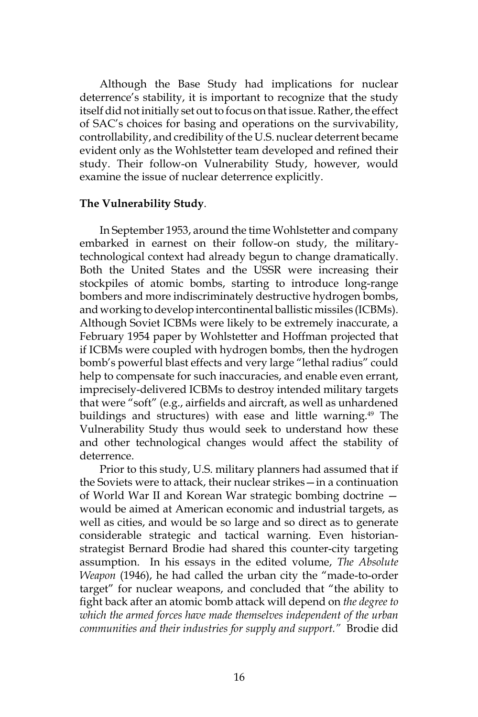Although the Base Study had implications for nuclear deterrence's stability, it is important to recognize that the study itself did not initially set out to focus on that issue. Rather, the effect of SAC's choices for basing and operations on the survivability, controllability, and credibility of the U.S. nuclear deterrent became evident only as the Wohlstetter team developed and refined their study. Their follow-on Vulnerability Study, however, would examine the issue of nuclear deterrence explicitly.

#### **The Vulnerability Study**.

In September 1953, around the time Wohlstetter and company embarked in earnest on their follow-on study, the militarytechnological context had already begun to change dramatically. Both the United States and the USSR were increasing their stockpiles of atomic bombs, starting to introduce long-range bombers and more indiscriminately destructive hydrogen bombs, and working to develop intercontinental ballistic missiles (ICBMs). Although Soviet ICBMs were likely to be extremely inaccurate, a February 1954 paper by Wohlstetter and Hoffman projected that if ICBMs were coupled with hydrogen bombs, then the hydrogen bomb's powerful blast effects and very large "lethal radius" could help to compensate for such inaccuracies, and enable even errant, imprecisely-delivered ICBMs to destroy intended military targets that were "soft" (e.g., airfields and aircraft, as well as unhardened buildings and structures) with ease and little warning.<sup>49</sup> The Vulnerability Study thus would seek to understand how these and other technological changes would affect the stability of deterrence.

Prior to this study, U.S. military planners had assumed that if the Soviets were to attack, their nuclear strikes—in a continuation of World War II and Korean War strategic bombing doctrine would be aimed at American economic and industrial targets, as well as cities, and would be so large and so direct as to generate considerable strategic and tactical warning. Even historianstrategist Bernard Brodie had shared this counter-city targeting assumption. In his essays in the edited volume, *The Absolute Weapon* (1946), he had called the urban city the "made-to-order target" for nuclear weapons, and concluded that "the ability to fight back after an atomic bomb attack will depend on *the degree to which the armed forces have made themselves independent of the urban communities and their industries for supply and support."* Brodie did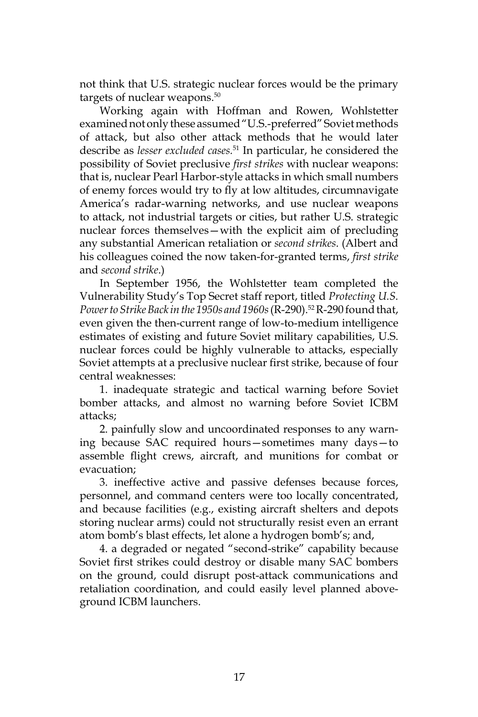not think that U.S. strategic nuclear forces would be the primary targets of nuclear weapons.<sup>50</sup>

Working again with Hoffman and Rowen, Wohlstetter examined not only these assumed "U.S.-preferred" Soviet methods of attack, but also other attack methods that he would later describe as *lesser excluded cases.*51 In particular, he considered the possibility of Soviet preclusive *first strikes* with nuclear weapons: that is, nuclear Pearl Harbor-style attacks in which small numbers of enemy forces would try to fly at low altitudes, circumnavigate America's radar-warning networks, and use nuclear weapons to attack, not industrial targets or cities, but rather U.S. strategic nuclear forces themselves—with the explicit aim of precluding any substantial American retaliation or *second strikes*. (Albert and his colleagues coined the now taken-for-granted terms, *first strike*  and *second strike*.)

In September 1956, the Wohlstetter team completed the Vulnerability Study's Top Secret staff report, titled *Protecting U.S. Power to Strike Back in the 1950s and 1960s* (R-290).52 R-290 found that, even given the then-current range of low-to-medium intelligence estimates of existing and future Soviet military capabilities, U.S. nuclear forces could be highly vulnerable to attacks, especially Soviet attempts at a preclusive nuclear first strike, because of four central weaknesses:

1. inadequate strategic and tactical warning before Soviet bomber attacks, and almost no warning before Soviet ICBM attacks;

2. painfully slow and uncoordinated responses to any warning because SAC required hours—sometimes many days—to assemble flight crews, aircraft, and munitions for combat or evacuation;

3. ineffective active and passive defenses because forces, personnel, and command centers were too locally concentrated, and because facilities (e.g., existing aircraft shelters and depots storing nuclear arms) could not structurally resist even an errant atom bomb's blast effects, let alone a hydrogen bomb's; and,

4. a degraded or negated "second-strike" capability because Soviet first strikes could destroy or disable many SAC bombers on the ground, could disrupt post-attack communications and retaliation coordination, and could easily level planned aboveground ICBM launchers.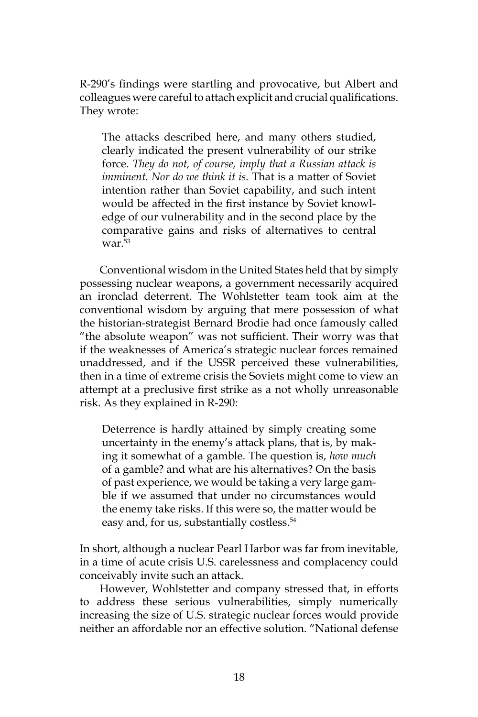R-290's findings were startling and provocative, but Albert and colleagues were careful to attach explicit and crucial qualifications. They wrote:

The attacks described here, and many others studied, clearly indicated the present vulnerability of our strike force. *They do not, of course, imply that a Russian attack is imminent. Nor do we think it is.* That is a matter of Soviet intention rather than Soviet capability, and such intent would be affected in the first instance by Soviet knowledge of our vulnerability and in the second place by the comparative gains and risks of alternatives to central war.<sup>53</sup>

Conventional wisdom in the United States held that by simply possessing nuclear weapons, a government necessarily acquired an ironclad deterrent. The Wohlstetter team took aim at the conventional wisdom by arguing that mere possession of what the historian-strategist Bernard Brodie had once famously called "the absolute weapon" was not sufficient. Their worry was that if the weaknesses of America's strategic nuclear forces remained unaddressed, and if the USSR perceived these vulnerabilities, then in a time of extreme crisis the Soviets might come to view an attempt at a preclusive first strike as a not wholly unreasonable risk. As they explained in R-290:

Deterrence is hardly attained by simply creating some uncertainty in the enemy's attack plans, that is, by making it somewhat of a gamble. The question is, *how much*  of a gamble? and what are his alternatives? On the basis of past experience, we would be taking a very large gamble if we assumed that under no circumstances would the enemy take risks. If this were so, the matter would be easy and, for us, substantially costless.<sup>54</sup>

In short, although a nuclear Pearl Harbor was far from inevitable, in a time of acute crisis U.S. carelessness and complacency could conceivably invite such an attack.

However, Wohlstetter and company stressed that, in efforts to address these serious vulnerabilities, simply numerically increasing the size of U.S. strategic nuclear forces would provide neither an affordable nor an effective solution. "National defense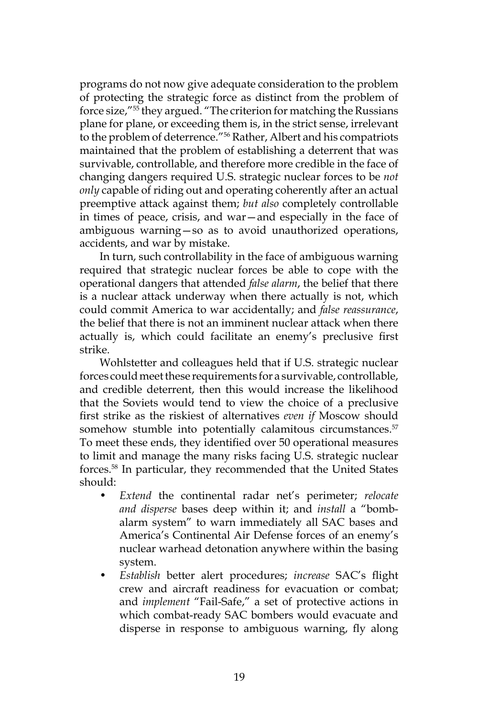programs do not now give adequate consideration to the problem of protecting the strategic force as distinct from the problem of force size,"55 they argued. "The criterion for matching the Russians plane for plane, or exceeding them is, in the strict sense, irrelevant to the problem of deterrence."<sup>56</sup> Rather, Albert and his compatriots maintained that the problem of establishing a deterrent that was survivable, controllable, and therefore more credible in the face of changing dangers required U.S. strategic nuclear forces to be *not only* capable of riding out and operating coherently after an actual preemptive attack against them; *but also* completely controllable in times of peace, crisis, and war—and especially in the face of ambiguous warning—so as to avoid unauthorized operations, accidents, and war by mistake.

In turn, such controllability in the face of ambiguous warning required that strategic nuclear forces be able to cope with the operational dangers that attended *false alarm*, the belief that there is a nuclear attack underway when there actually is not, which could commit America to war accidentally; and *false reassurance*, the belief that there is not an imminent nuclear attack when there actually is, which could facilitate an enemy's preclusive first strike.

Wohlstetter and colleagues held that if U.S. strategic nuclear forces could meet these requirements for a survivable, controllable, and credible deterrent, then this would increase the likelihood that the Soviets would tend to view the choice of a preclusive first strike as the riskiest of alternatives *even if* Moscow should somehow stumble into potentially calamitous circumstances.<sup>57</sup> To meet these ends, they identified over 50 operational measures to limit and manage the many risks facing U.S. strategic nuclear forces.58 In particular, they recommended that the United States should:

- *Extend* the continental radar net's perimeter; *relocate and disperse* bases deep within it; and *install* a "bombalarm system" to warn immediately all SAC bases and America's Continental Air Defense forces of an enemy's nuclear warhead detonation anywhere within the basing system.
- *Establish* better alert procedures; *increase* SAC's flight crew and aircraft readiness for evacuation or combat; and *implement* "Fail-Safe," a set of protective actions in which combat-ready SAC bombers would evacuate and disperse in response to ambiguous warning, fly along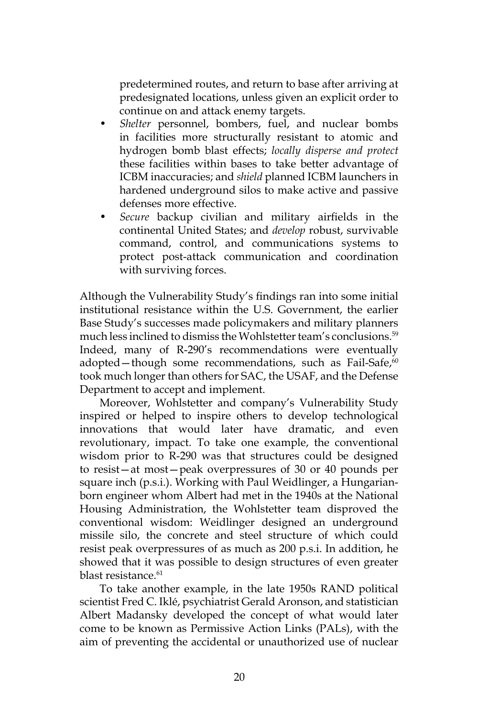predetermined routes, and return to base after arriving at predesignated locations, unless given an explicit order to continue on and attack enemy targets.

- *Shelter* personnel, bombers, fuel, and nuclear bombs in facilities more structurally resistant to atomic and hydrogen bomb blast effects; *locally disperse and protect* these facilities within bases to take better advantage of ICBM inaccuracies; and *shield* planned ICBM launchers in hardened underground silos to make active and passive defenses more effective.
- *Secure* backup civilian and military airfields in the continental United States; and *develop* robust, survivable command, control, and communications systems to protect post-attack communication and coordination with surviving forces.

Although the Vulnerability Study's findings ran into some initial institutional resistance within the U.S. Government, the earlier Base Study's successes made policymakers and military planners much less inclined to dismiss the Wohlstetter team's conclusions.59 Indeed, many of R-290's recommendations were eventually adopted—though some recommendations, such as Fail-Safe, $60$ took much longer than others for SAC, the USAF, and the Defense Department to accept and implement.

Moreover, Wohlstetter and company's Vulnerability Study inspired or helped to inspire others to develop technological innovations that would later have dramatic, and even revolutionary, impact. To take one example, the conventional wisdom prior to R-290 was that structures could be designed to resist—at most—peak overpressures of 30 or 40 pounds per square inch (p.s.i.). Working with Paul Weidlinger, a Hungarianborn engineer whom Albert had met in the 1940s at the National Housing Administration, the Wohlstetter team disproved the conventional wisdom: Weidlinger designed an underground missile silo, the concrete and steel structure of which could resist peak overpressures of as much as 200 p.s.i. In addition, he showed that it was possible to design structures of even greater blast resistance.<sup>61</sup>

To take another example, in the late 1950s RAND political scientist Fred C. Iklé, psychiatrist Gerald Aronson, and statistician Albert Madansky developed the concept of what would later come to be known as Permissive Action Links (PALs), with the aim of preventing the accidental or unauthorized use of nuclear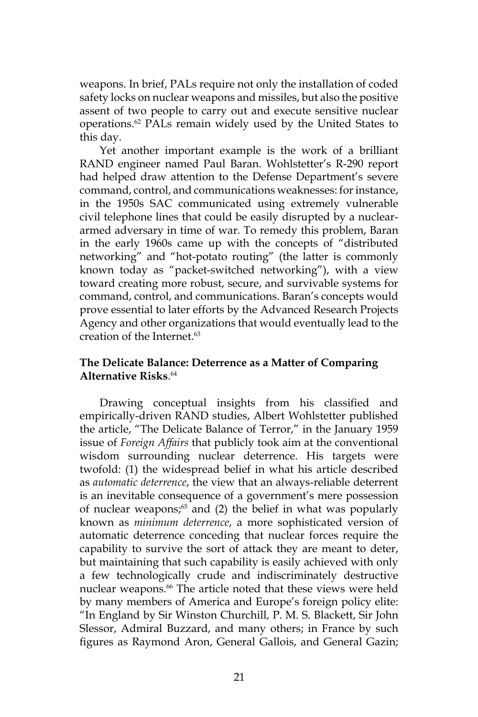weapons. In brief, PALs require not only the installation of coded safety locks on nuclear weapons and missiles, but also the positive assent of two people to carry out and execute sensitive nuclear operations.62 PALs remain widely used by the United States to this day.

Yet another important example is the work of a brilliant RAND engineer named Paul Baran. Wohlstetter's R-290 report had helped draw attention to the Defense Department's severe command, control, and communications weaknesses: for instance, in the 1950s SAC communicated using extremely vulnerable civil telephone lines that could be easily disrupted by a nucleararmed adversary in time of war. To remedy this problem, Baran in the early 1960s came up with the concepts of "distributed networking" and "hot-potato routing" (the latter is commonly known today as "packet-switched networking"), with a view toward creating more robust, secure, and survivable systems for command, control, and communications. Baran's concepts would prove essential to later efforts by the Advanced Research Projects Agency and other organizations that would eventually lead to the creation of the Internet.63

# **The Delicate Balance: Deterrence as a Matter of Comparing Alternative Risks**. 64

Drawing conceptual insights from his classified and empirically-driven RAND studies, Albert Wohlstetter published the article, "The Delicate Balance of Terror," in the January 1959 issue of *Foreign Affairs* that publicly took aim at the conventional wisdom surrounding nuclear deterrence. His targets were twofold: (1) the widespread belief in what his article described as *automatic deterrence*, the view that an always-reliable deterrent is an inevitable consequence of a government's mere possession of nuclear weapons;<sup>65</sup> and (2) the belief in what was popularly known as *minimum deterrence*, a more sophisticated version of automatic deterrence conceding that nuclear forces require the capability to survive the sort of attack they are meant to deter, but maintaining that such capability is easily achieved with only a few technologically crude and indiscriminately destructive nuclear weapons.<sup>66</sup> The article noted that these views were held by many members of America and Europe's foreign policy elite: "In England by Sir Winston Churchill, P. M. S. Blackett, Sir John Slessor, Admiral Buzzard, and many others; in France by such figures as Raymond Aron, General Gallois, and General Gazin;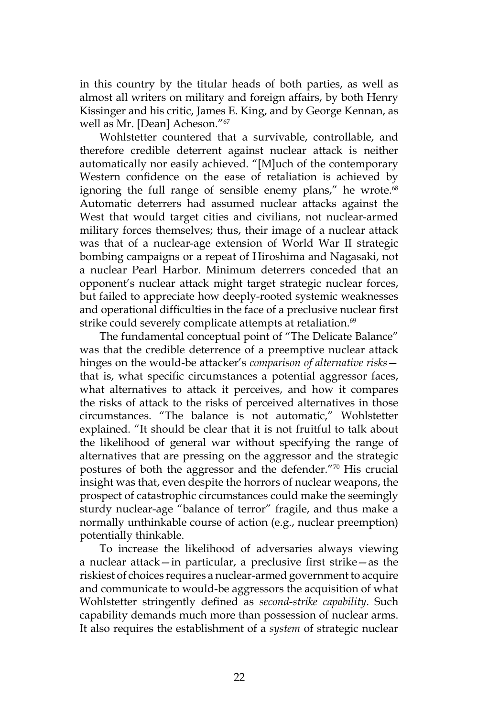in this country by the titular heads of both parties, as well as almost all writers on military and foreign affairs, by both Henry Kissinger and his critic, James E. King, and by George Kennan, as well as Mr. [Dean] Acheson."67

Wohlstetter countered that a survivable, controllable, and therefore credible deterrent against nuclear attack is neither automatically nor easily achieved. "[M]uch of the contemporary Western confidence on the ease of retaliation is achieved by ignoring the full range of sensible enemy plans," he wrote.<sup>68</sup> Automatic deterrers had assumed nuclear attacks against the West that would target cities and civilians, not nuclear-armed military forces themselves; thus, their image of a nuclear attack was that of a nuclear-age extension of World War II strategic bombing campaigns or a repeat of Hiroshima and Nagasaki, not a nuclear Pearl Harbor. Minimum deterrers conceded that an opponent's nuclear attack might target strategic nuclear forces, but failed to appreciate how deeply-rooted systemic weaknesses and operational difficulties in the face of a preclusive nuclear first strike could severely complicate attempts at retaliation.<sup>69</sup>

The fundamental conceptual point of "The Delicate Balance" was that the credible deterrence of a preemptive nuclear attack hinges on the would-be attacker's *comparison of alternative risks* that is, what specific circumstances a potential aggressor faces, what alternatives to attack it perceives, and how it compares the risks of attack to the risks of perceived alternatives in those circumstances. "The balance is not automatic," Wohlstetter explained. "It should be clear that it is not fruitful to talk about the likelihood of general war without specifying the range of alternatives that are pressing on the aggressor and the strategic postures of both the aggressor and the defender."70 His crucial insight was that, even despite the horrors of nuclear weapons, the prospect of catastrophic circumstances could make the seemingly sturdy nuclear-age "balance of terror" fragile, and thus make a normally unthinkable course of action (e.g., nuclear preemption) potentially thinkable.

To increase the likelihood of adversaries always viewing a nuclear attack—in particular, a preclusive first strike—as the riskiest of choices requires a nuclear-armed government to acquire and communicate to would-be aggressors the acquisition of what Wohlstetter stringently defined as *second-strike capability*. Such capability demands much more than possession of nuclear arms. It also requires the establishment of a *system* of strategic nuclear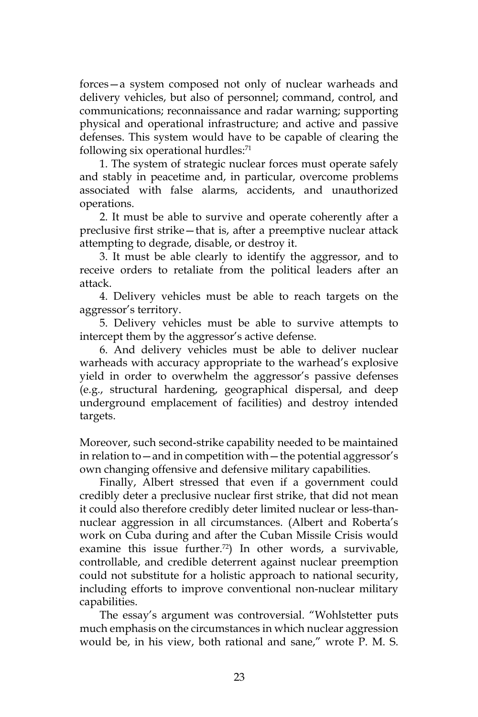forces—a system composed not only of nuclear warheads and delivery vehicles, but also of personnel; command, control, and communications; reconnaissance and radar warning; supporting physical and operational infrastructure; and active and passive defenses. This system would have to be capable of clearing the following six operational hurdles:<sup>71</sup>

1. The system of strategic nuclear forces must operate safely and stably in peacetime and, in particular, overcome problems associated with false alarms, accidents, and unauthorized operations.

2. It must be able to survive and operate coherently after a preclusive first strike—that is, after a preemptive nuclear attack attempting to degrade, disable, or destroy it.

3. It must be able clearly to identify the aggressor, and to receive orders to retaliate from the political leaders after an attack.

4. Delivery vehicles must be able to reach targets on the aggressor's territory.

5. Delivery vehicles must be able to survive attempts to intercept them by the aggressor's active defense.

6. And delivery vehicles must be able to deliver nuclear warheads with accuracy appropriate to the warhead's explosive yield in order to overwhelm the aggressor's passive defenses (e.g., structural hardening, geographical dispersal, and deep underground emplacement of facilities) and destroy intended targets.

Moreover, such second-strike capability needed to be maintained in relation to—and in competition with—the potential aggressor's own changing offensive and defensive military capabilities.

Finally, Albert stressed that even if a government could credibly deter a preclusive nuclear first strike, that did not mean it could also therefore credibly deter limited nuclear or less-thannuclear aggression in all circumstances. (Albert and Roberta's work on Cuba during and after the Cuban Missile Crisis would examine this issue further.<sup>72</sup>) In other words, a survivable, controllable, and credible deterrent against nuclear preemption could not substitute for a holistic approach to national security, including efforts to improve conventional non-nuclear military capabilities.

The essay's argument was controversial. "Wohlstetter puts much emphasis on the circumstances in which nuclear aggression would be, in his view, both rational and sane," wrote P. M. S.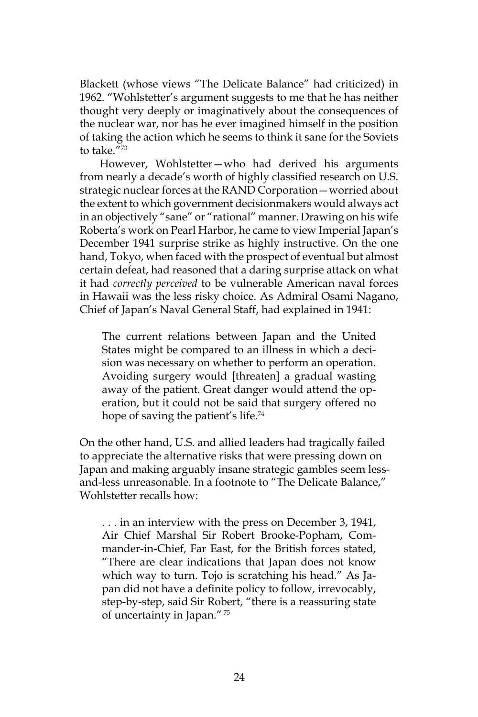Blackett (whose views "The Delicate Balance" had criticized) in 1962. "Wohlstetter's argument suggests to me that he has neither thought very deeply or imaginatively about the consequences of the nuclear war, nor has he ever imagined himself in the position of taking the action which he seems to think it sane for the Soviets to take."73

However, Wohlstetter—who had derived his arguments from nearly a decade's worth of highly classified research on U.S. strategic nuclear forces at the RAND Corporation—worried about the extent to which government decisionmakers would always act in an objectively "sane" or "rational" manner. Drawing on his wife Roberta's work on Pearl Harbor, he came to view Imperial Japan's December 1941 surprise strike as highly instructive. On the one hand, Tokyo, when faced with the prospect of eventual but almost certain defeat, had reasoned that a daring surprise attack on what it had *correctly perceived* to be vulnerable American naval forces in Hawaii was the less risky choice. As Admiral Osami Nagano, Chief of Japan's Naval General Staff, had explained in 1941:

The current relations between Japan and the United States might be compared to an illness in which a decision was necessary on whether to perform an operation. Avoiding surgery would [threaten] a gradual wasting away of the patient. Great danger would attend the operation, but it could not be said that surgery offered no hope of saving the patient's life.<sup>74</sup>

On the other hand, U.S. and allied leaders had tragically failed to appreciate the alternative risks that were pressing down on Japan and making arguably insane strategic gambles seem lessand-less unreasonable. In a footnote to "The Delicate Balance," Wohlstetter recalls how:

. . . in an interview with the press on December 3, 1941, Air Chief Marshal Sir Robert Brooke-Popham, Commander-in-Chief, Far East, for the British forces stated, "There are clear indications that Japan does not know which way to turn. Tojo is scratching his head." As Japan did not have a definite policy to follow, irrevocably, step-by-step, said Sir Robert, "there is a reassuring state of uncertainty in Japan." 75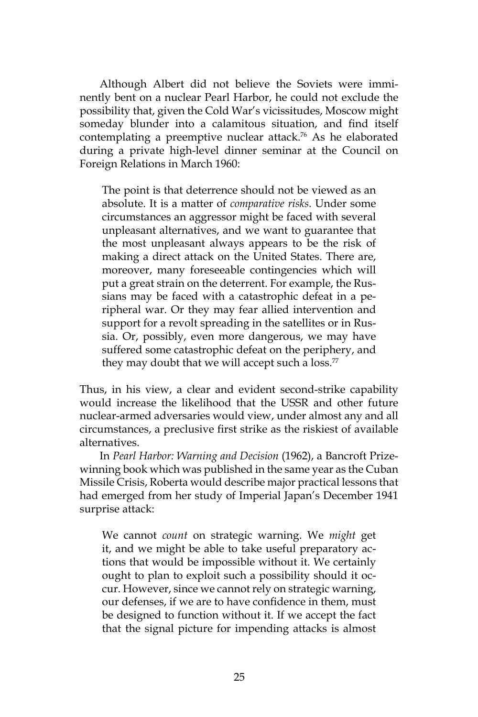Although Albert did not believe the Soviets were imminently bent on a nuclear Pearl Harbor, he could not exclude the possibility that, given the Cold War's vicissitudes, Moscow might someday blunder into a calamitous situation, and find itself contemplating a preemptive nuclear attack.<sup>76</sup> As he elaborated during a private high-level dinner seminar at the Council on Foreign Relations in March 1960:

The point is that deterrence should not be viewed as an absolute. It is a matter of *comparative risks*. Under some circumstances an aggressor might be faced with several unpleasant alternatives, and we want to guarantee that the most unpleasant always appears to be the risk of making a direct attack on the United States. There are, moreover, many foreseeable contingencies which will put a great strain on the deterrent. For example, the Russians may be faced with a catastrophic defeat in a peripheral war. Or they may fear allied intervention and support for a revolt spreading in the satellites or in Russia. Or, possibly, even more dangerous, we may have suffered some catastrophic defeat on the periphery, and they may doubt that we will accept such a loss.<sup>77</sup>

Thus, in his view, a clear and evident second-strike capability would increase the likelihood that the USSR and other future nuclear-armed adversaries would view, under almost any and all circumstances, a preclusive first strike as the riskiest of available alternatives.

In *Pearl Harbor: Warning and Decision* (1962), a Bancroft Prizewinning book which was published in the same year as the Cuban Missile Crisis, Roberta would describe major practical lessons that had emerged from her study of Imperial Japan's December 1941 surprise attack:

We cannot *count* on strategic warning. We *might* get it, and we might be able to take useful preparatory actions that would be impossible without it. We certainly ought to plan to exploit such a possibility should it occur. However, since we cannot rely on strategic warning, our defenses, if we are to have confidence in them, must be designed to function without it. If we accept the fact that the signal picture for impending attacks is almost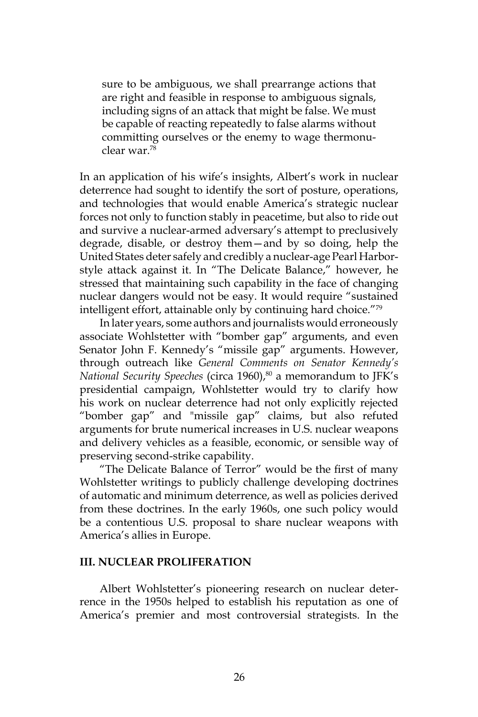sure to be ambiguous, we shall prearrange actions that are right and feasible in response to ambiguous signals, including signs of an attack that might be false. We must be capable of reacting repeatedly to false alarms without committing ourselves or the enemy to wage thermonuclear war.78

In an application of his wife's insights, Albert's work in nuclear deterrence had sought to identify the sort of posture, operations, and technologies that would enable America's strategic nuclear forces not only to function stably in peacetime, but also to ride out and survive a nuclear-armed adversary's attempt to preclusively degrade, disable, or destroy them—and by so doing, help the United States deter safely and credibly a nuclear-age Pearl Harborstyle attack against it. In "The Delicate Balance," however, he stressed that maintaining such capability in the face of changing nuclear dangers would not be easy. It would require "sustained intelligent effort, attainable only by continuing hard choice."79

In later years, some authors and journalists would erroneously associate Wohlstetter with "bomber gap" arguments, and even Senator John F. Kennedy's "missile gap" arguments. However, through outreach like *General Comments on Senator Kennedy's National Security Speeches* (circa 1960),<sup>80</sup> a memorandum to JFK's presidential campaign, Wohlstetter would try to clarify how his work on nuclear deterrence had not only explicitly rejected "bomber gap" and "missile gap" claims, but also refuted arguments for brute numerical increases in U.S. nuclear weapons and delivery vehicles as a feasible, economic, or sensible way of preserving second-strike capability.

"The Delicate Balance of Terror" would be the first of many Wohlstetter writings to publicly challenge developing doctrines of automatic and minimum deterrence, as well as policies derived from these doctrines. In the early 1960s, one such policy would be a contentious U.S. proposal to share nuclear weapons with America's allies in Europe.

### **III. NUCLEAR PROLIFERATION**

Albert Wohlstetter's pioneering research on nuclear deterrence in the 1950s helped to establish his reputation as one of America's premier and most controversial strategists. In the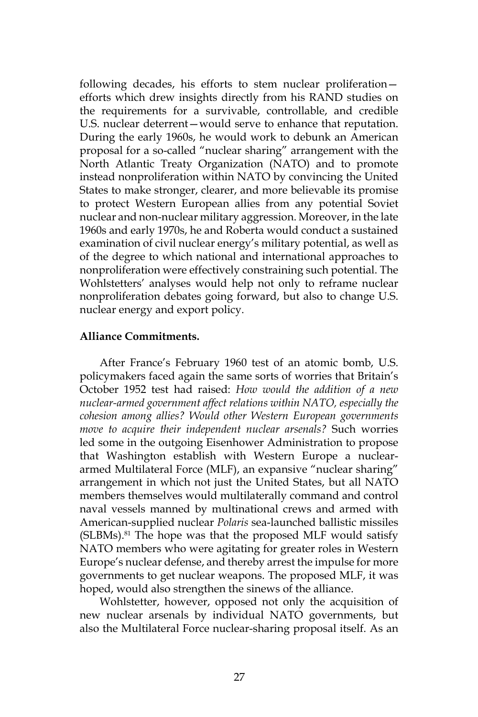following decades, his efforts to stem nuclear proliferation efforts which drew insights directly from his RAND studies on the requirements for a survivable, controllable, and credible U.S. nuclear deterrent—would serve to enhance that reputation. During the early 1960s, he would work to debunk an American proposal for a so-called "nuclear sharing" arrangement with the North Atlantic Treaty Organization (NATO) and to promote instead nonproliferation within NATO by convincing the United States to make stronger, clearer, and more believable its promise to protect Western European allies from any potential Soviet nuclear and non-nuclear military aggression. Moreover, in the late 1960s and early 1970s, he and Roberta would conduct a sustained examination of civil nuclear energy's military potential, as well as of the degree to which national and international approaches to nonproliferation were effectively constraining such potential. The Wohlstetters' analyses would help not only to reframe nuclear nonproliferation debates going forward, but also to change U.S. nuclear energy and export policy.

## **Alliance Commitments.**

After France's February 1960 test of an atomic bomb, U.S. policymakers faced again the same sorts of worries that Britain's October 1952 test had raised: *How would the addition of a new nuclear-armed government affect relations within NATO, especially the cohesion among allies? Would other Western European governments move to acquire their independent nuclear arsenals?* Such worries led some in the outgoing Eisenhower Administration to propose that Washington establish with Western Europe a nucleararmed Multilateral Force (MLF), an expansive "nuclear sharing" arrangement in which not just the United States, but all NATO members themselves would multilaterally command and control naval vessels manned by multinational crews and armed with American-supplied nuclear *Polaris* sea-launched ballistic missiles  $(SLBMs).<sup>81</sup>$  The hope was that the proposed MLF would satisfy NATO members who were agitating for greater roles in Western Europe's nuclear defense, and thereby arrest the impulse for more governments to get nuclear weapons. The proposed MLF, it was hoped, would also strengthen the sinews of the alliance.

Wohlstetter, however, opposed not only the acquisition of new nuclear arsenals by individual NATO governments, but also the Multilateral Force nuclear-sharing proposal itself. As an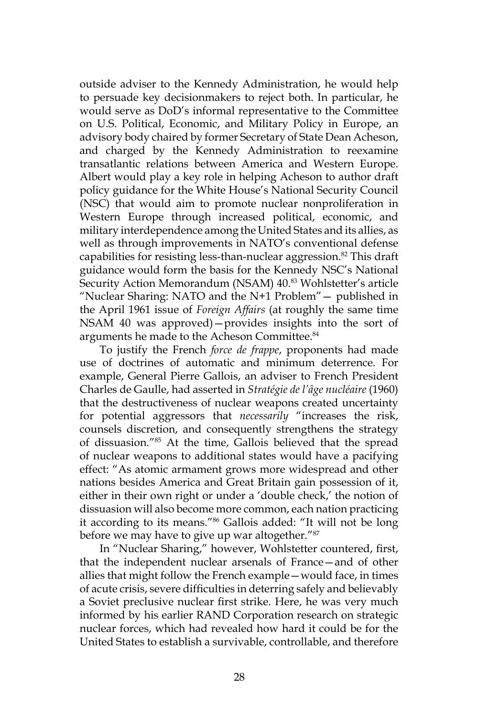outside adviser to the Kennedy Administration, he would help to persuade key decisionmakers to reject both. In particular, he would serve as DoD's informal representative to the Committee on U.S. Political, Economic, and Military Policy in Europe, an advisory body chaired by former Secretary of State Dean Acheson, and charged by the Kennedy Administration to reexamine transatlantic relations between America and Western Europe. Albert would play a key role in helping Acheson to author draft policy guidance for the White House's National Security Council (NSC) that would aim to promote nuclear nonproliferation in Western Europe through increased political, economic, and military interdependence among the United States and its allies, as well as through improvements in NATO's conventional defense capabilities for resisting less-than-nuclear aggression.<sup>82</sup> This draft guidance would form the basis for the Kennedy NSC's National Security Action Memorandum (NSAM) 40.<sup>83</sup> Wohlstetter's article "Nuclear Sharing: NATO and the N+1 Problem"— published in the April 1961 issue of *Foreign Affairs* (at roughly the same time NSAM 40 was approved)—provides insights into the sort of arguments he made to the Acheson Committee.<sup>84</sup>

To justify the French *force de frappe*, proponents had made use of doctrines of automatic and minimum deterrence. For example, General Pierre Gallois, an adviser to French President Charles de Gaulle, had asserted in *Stratégie de l'âge nucléaire* (1960) that the destructiveness of nuclear weapons created uncertainty for potential aggressors that *necessarily* "increases the risk, counsels discretion, and consequently strengthens the strategy of dissuasion."85 At the time, Gallois believed that the spread of nuclear weapons to additional states would have a pacifying effect: "As atomic armament grows more widespread and other nations besides America and Great Britain gain possession of it, either in their own right or under a 'double check,' the notion of dissuasion will also become more common, each nation practicing it according to its means."86 Gallois added: "It will not be long before we may have to give up war altogether."<sup>87</sup>

In "Nuclear Sharing," however, Wohlstetter countered, first, that the independent nuclear arsenals of France—and of other allies that might follow the French example—would face, in times of acute crisis, severe difficulties in deterring safely and believably a Soviet preclusive nuclear first strike. Here, he was very much informed by his earlier RAND Corporation research on strategic nuclear forces, which had revealed how hard it could be for the United States to establish a survivable, controllable, and therefore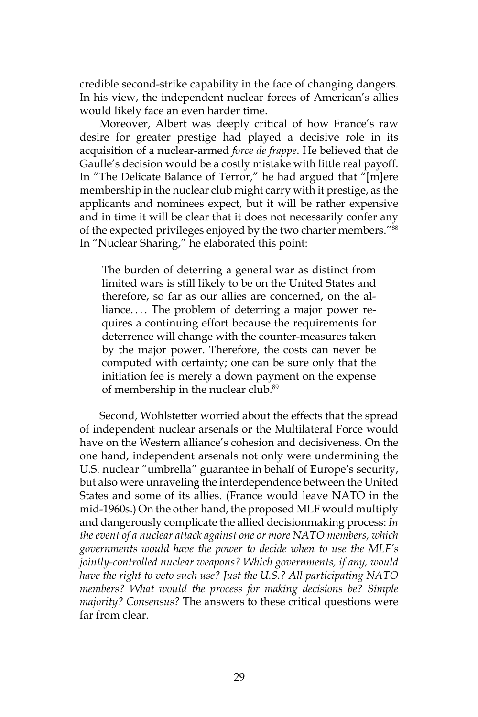credible second-strike capability in the face of changing dangers. In his view, the independent nuclear forces of American's allies would likely face an even harder time.

Moreover, Albert was deeply critical of how France's raw desire for greater prestige had played a decisive role in its acquisition of a nuclear-armed *force de frappe*. He believed that de Gaulle's decision would be a costly mistake with little real payoff. In "The Delicate Balance of Terror," he had argued that "[m]ere membership in the nuclear club might carry with it prestige, as the applicants and nominees expect, but it will be rather expensive and in time it will be clear that it does not necessarily confer any of the expected privileges enjoyed by the two charter members."<sup>88</sup> In "Nuclear Sharing," he elaborated this point:

The burden of deterring a general war as distinct from limited wars is still likely to be on the United States and therefore, so far as our allies are concerned, on the alliance.... The problem of deterring a major power requires a continuing effort because the requirements for deterrence will change with the counter-measures taken by the major power. Therefore, the costs can never be computed with certainty; one can be sure only that the initiation fee is merely a down payment on the expense of membership in the nuclear club.89

Second, Wohlstetter worried about the effects that the spread of independent nuclear arsenals or the Multilateral Force would have on the Western alliance's cohesion and decisiveness. On the one hand, independent arsenals not only were undermining the U.S. nuclear "umbrella" guarantee in behalf of Europe's security, but also were unraveling the interdependence between the United States and some of its allies. (France would leave NATO in the mid-1960s.) On the other hand, the proposed MLF would multiply and dangerously complicate the allied decisionmaking process: *In the event of a nuclear attack against one or more NATO members, which governments would have the power to decide when to use the MLF's jointly-controlled nuclear weapons? Which governments, if any, would have the right to veto such use? Just the U.S.? All participating NATO members? What would the process for making decisions be? Simple majority? Consensus?* The answers to these critical questions were far from clear.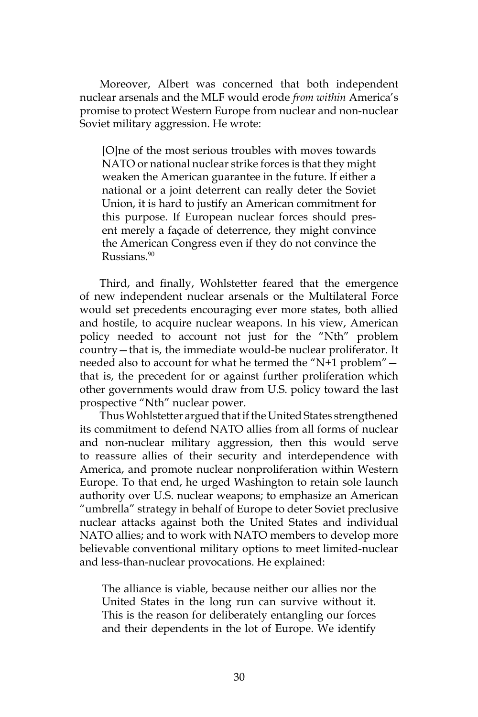Moreover, Albert was concerned that both independent nuclear arsenals and the MLF would erode *from within* America's promise to protect Western Europe from nuclear and non-nuclear Soviet military aggression. He wrote:

[O]ne of the most serious troubles with moves towards NATO or national nuclear strike forces is that they might weaken the American guarantee in the future. If either a national or a joint deterrent can really deter the Soviet Union, it is hard to justify an American commitment for this purpose. If European nuclear forces should present merely a façade of deterrence, they might convince the American Congress even if they do not convince the Russians.90

Third, and finally, Wohlstetter feared that the emergence of new independent nuclear arsenals or the Multilateral Force would set precedents encouraging ever more states, both allied and hostile, to acquire nuclear weapons. In his view, American policy needed to account not just for the "Nth" problem country—that is, the immediate would-be nuclear proliferator. It needed also to account for what he termed the "N+1 problem" that is, the precedent for or against further proliferation which other governments would draw from U.S. policy toward the last prospective "Nth" nuclear power.

Thus Wohlstetter argued that if the United States strengthened its commitment to defend NATO allies from all forms of nuclear and non-nuclear military aggression, then this would serve to reassure allies of their security and interdependence with America, and promote nuclear nonproliferation within Western Europe. To that end, he urged Washington to retain sole launch authority over U.S. nuclear weapons; to emphasize an American "umbrella" strategy in behalf of Europe to deter Soviet preclusive nuclear attacks against both the United States and individual NATO allies; and to work with NATO members to develop more believable conventional military options to meet limited-nuclear and less-than-nuclear provocations. He explained:

The alliance is viable, because neither our allies nor the United States in the long run can survive without it. This is the reason for deliberately entangling our forces and their dependents in the lot of Europe. We identify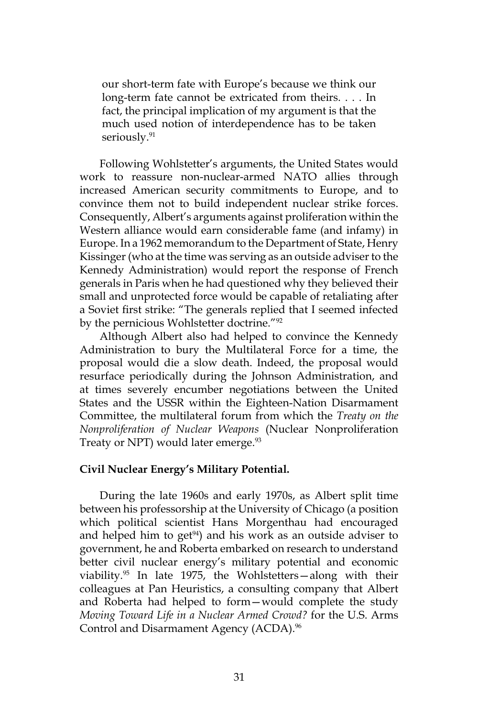our short-term fate with Europe's because we think our long-term fate cannot be extricated from theirs. . . . In fact, the principal implication of my argument is that the much used notion of interdependence has to be taken seriously.<sup>91</sup>

Following Wohlstetter's arguments, the United States would work to reassure non-nuclear-armed NATO allies through increased American security commitments to Europe, and to convince them not to build independent nuclear strike forces. Consequently, Albert's arguments against proliferation within the Western alliance would earn considerable fame (and infamy) in Europe. In a 1962 memorandum to the Department of State, Henry Kissinger (who at the time was serving as an outside adviser to the Kennedy Administration) would report the response of French generals in Paris when he had questioned why they believed their small and unprotected force would be capable of retaliating after a Soviet first strike: "The generals replied that I seemed infected by the pernicious Wohlstetter doctrine."<sup>92</sup>

Although Albert also had helped to convince the Kennedy Administration to bury the Multilateral Force for a time, the proposal would die a slow death. Indeed, the proposal would resurface periodically during the Johnson Administration, and at times severely encumber negotiations between the United States and the USSR within the Eighteen-Nation Disarmament Committee, the multilateral forum from which the *Treaty on the Nonproliferation of Nuclear Weapons* (Nuclear Nonproliferation Treaty or NPT) would later emerge.<sup>93</sup>

## **Civil Nuclear Energy's Military Potential.**

During the late 1960s and early 1970s, as Albert split time between his professorship at the University of Chicago (a position which political scientist Hans Morgenthau had encouraged and helped him to get $94$ ) and his work as an outside adviser to government, he and Roberta embarked on research to understand better civil nuclear energy's military potential and economic viability.95 In late 1975, the Wohlstetters—along with their colleagues at Pan Heuristics, a consulting company that Albert and Roberta had helped to form—would complete the study *Moving Toward Life in a Nuclear Armed Crowd?* for the U.S. Arms Control and Disarmament Agency (ACDA).<sup>96</sup>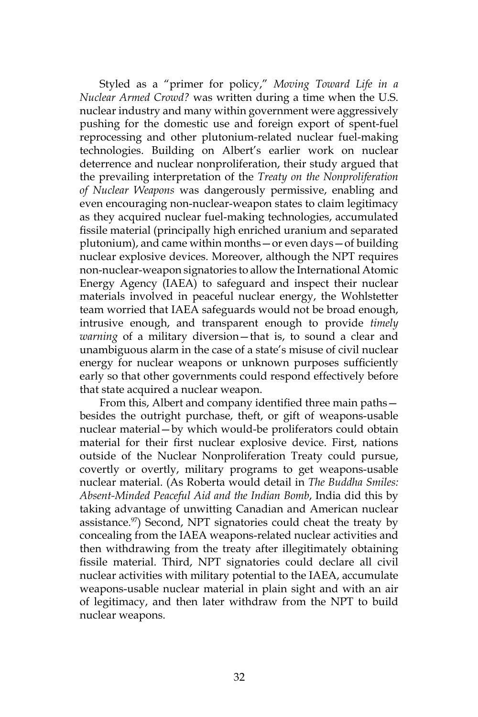Styled as a "primer for policy," *Moving Toward Life in a Nuclear Armed Crowd?* was written during a time when the U.S. nuclear industry and many within government were aggressively pushing for the domestic use and foreign export of spent-fuel reprocessing and other plutonium-related nuclear fuel-making technologies. Building on Albert's earlier work on nuclear deterrence and nuclear nonproliferation, their study argued that the prevailing interpretation of the *Treaty on the Nonproliferation of Nuclear Weapons* was dangerously permissive, enabling and even encouraging non-nuclear-weapon states to claim legitimacy as they acquired nuclear fuel-making technologies, accumulated fissile material (principally high enriched uranium and separated plutonium), and came within months—or even days—of building nuclear explosive devices. Moreover, although the NPT requires non-nuclear-weapon signatories to allow the International Atomic Energy Agency (IAEA) to safeguard and inspect their nuclear materials involved in peaceful nuclear energy, the Wohlstetter team worried that IAEA safeguards would not be broad enough, intrusive enough, and transparent enough to provide *timely warning* of a military diversion—that is, to sound a clear and unambiguous alarm in the case of a state's misuse of civil nuclear energy for nuclear weapons or unknown purposes sufficiently early so that other governments could respond effectively before that state acquired a nuclear weapon.

From this, Albert and company identified three main paths besides the outright purchase, theft, or gift of weapons-usable nuclear material—by which would-be proliferators could obtain material for their first nuclear explosive device. First, nations outside of the Nuclear Nonproliferation Treaty could pursue, covertly or overtly, military programs to get weapons-usable nuclear material. (As Roberta would detail in *The Buddha Smiles: Absent-Minded Peaceful Aid and the Indian Bomb*, India did this by taking advantage of unwitting Canadian and American nuclear assistance.<sup>97</sup>) Second, NPT signatories could cheat the treaty by concealing from the IAEA weapons-related nuclear activities and then withdrawing from the treaty after illegitimately obtaining fissile material. Third, NPT signatories could declare all civil nuclear activities with military potential to the IAEA, accumulate weapons-usable nuclear material in plain sight and with an air of legitimacy, and then later withdraw from the NPT to build nuclear weapons.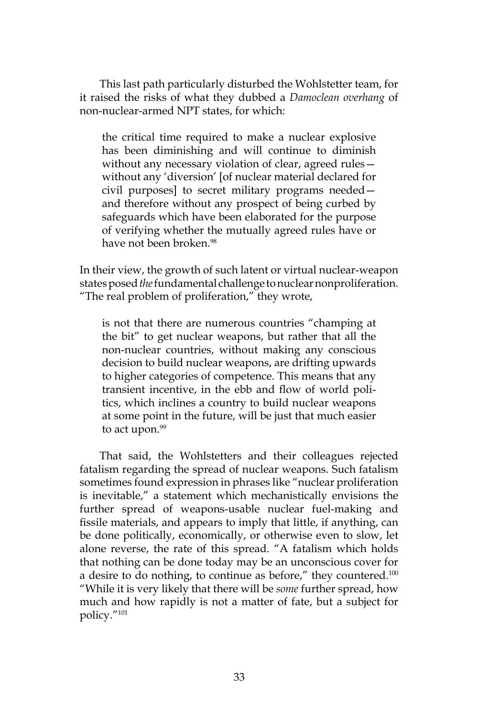This last path particularly disturbed the Wohlstetter team, for it raised the risks of what they dubbed a *Damoclean overhang* of non-nuclear-armed NPT states, for which:

the critical time required to make a nuclear explosive has been diminishing and will continue to diminish without any necessary violation of clear, agreed rules without any 'diversion' [of nuclear material declared for civil purposes] to secret military programs needed and therefore without any prospect of being curbed by safeguards which have been elaborated for the purpose of verifying whether the mutually agreed rules have or have not been broken.<sup>98</sup>

In their view, the growth of such latent or virtual nuclear-weapon states posed *the* fundamental challenge to nuclear nonproliferation. "The real problem of proliferation," they wrote,

is not that there are numerous countries "champing at the bit" to get nuclear weapons, but rather that all the non-nuclear countries, without making any conscious decision to build nuclear weapons, are drifting upwards to higher categories of competence. This means that any transient incentive, in the ebb and flow of world politics, which inclines a country to build nuclear weapons at some point in the future, will be just that much easier to act upon.<sup>99</sup>

That said, the Wohlstetters and their colleagues rejected fatalism regarding the spread of nuclear weapons. Such fatalism sometimes found expression in phrases like "nuclear proliferation is inevitable," a statement which mechanistically envisions the further spread of weapons-usable nuclear fuel-making and fissile materials, and appears to imply that little, if anything, can be done politically, economically, or otherwise even to slow, let alone reverse, the rate of this spread. "A fatalism which holds that nothing can be done today may be an unconscious cover for a desire to do nothing, to continue as before," they countered.<sup>100</sup> "While it is very likely that there will be *some* further spread, how much and how rapidly is not a matter of fate, but a subject for policy."101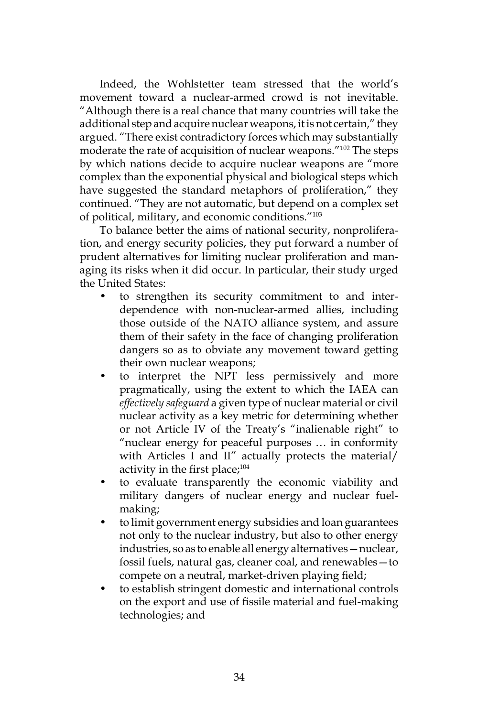Indeed, the Wohlstetter team stressed that the world's movement toward a nuclear-armed crowd is not inevitable. "Although there is a real chance that many countries will take the additional step and acquire nuclear weapons, it is not certain," they argued. "There exist contradictory forces which may substantially moderate the rate of acquisition of nuclear weapons."102 The steps by which nations decide to acquire nuclear weapons are "more complex than the exponential physical and biological steps which have suggested the standard metaphors of proliferation," they continued. "They are not automatic, but depend on a complex set of political, military, and economic conditions."103

To balance better the aims of national security, nonproliferation, and energy security policies, they put forward a number of prudent alternatives for limiting nuclear proliferation and managing its risks when it did occur. In particular, their study urged the United States:

- to strengthen its security commitment to and interdependence with non-nuclear-armed allies, including those outside of the NATO alliance system, and assure them of their safety in the face of changing proliferation dangers so as to obviate any movement toward getting their own nuclear weapons;
- to interpret the NPT less permissively and more pragmatically, using the extent to which the IAEA can *effectively safeguard* a given type of nuclear material or civil nuclear activity as a key metric for determining whether or not Article IV of the Treaty's "inalienable right" to "nuclear energy for peaceful purposes … in conformity with Articles I and II" actually protects the material/ activity in the first place;<sup>104</sup>
- to evaluate transparently the economic viability and military dangers of nuclear energy and nuclear fuelmaking;
- to limit government energy subsidies and loan guarantees not only to the nuclear industry, but also to other energy industries, so as to enable all energy alternatives—nuclear, fossil fuels, natural gas, cleaner coal, and renewables—to compete on a neutral, market-driven playing field;
- to establish stringent domestic and international controls on the export and use of fissile material and fuel-making technologies; and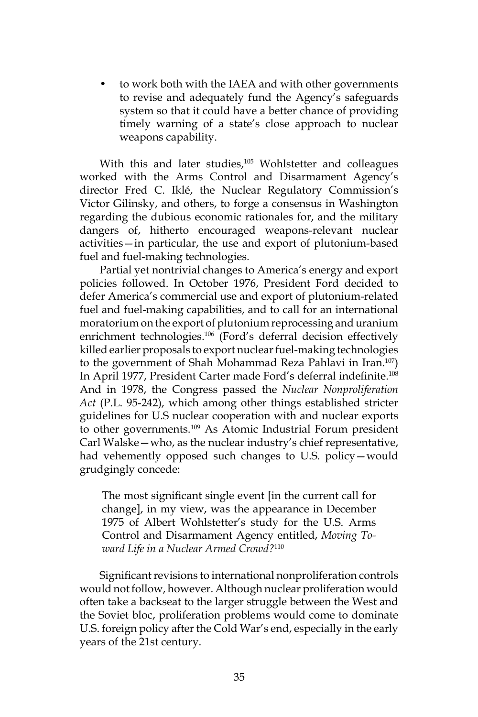• to work both with the IAEA and with other governments to revise and adequately fund the Agency's safeguards system so that it could have a better chance of providing timely warning of a state's close approach to nuclear weapons capability.

With this and later studies,<sup>105</sup> Wohlstetter and colleagues worked with the Arms Control and Disarmament Agency's director Fred C. Iklé, the Nuclear Regulatory Commission's Victor Gilinsky, and others, to forge a consensus in Washington regarding the dubious economic rationales for, and the military dangers of, hitherto encouraged weapons-relevant nuclear activities—in particular, the use and export of plutonium-based fuel and fuel-making technologies.

Partial yet nontrivial changes to America's energy and export policies followed. In October 1976, President Ford decided to defer America's commercial use and export of plutonium-related fuel and fuel-making capabilities, and to call for an international moratorium on the export of plutonium reprocessing and uranium enrichment technologies.106 (Ford's deferral decision effectively killed earlier proposals to export nuclear fuel-making technologies to the government of Shah Mohammad Reza Pahlavi in Iran.<sup>107</sup>) In April 1977, President Carter made Ford's deferral indefinite.<sup>108</sup> And in 1978, the Congress passed the *Nuclear Nonproliferation Act* (P.L. 95-242), which among other things established stricter guidelines for U.S nuclear cooperation with and nuclear exports to other governments.<sup>109</sup> As Atomic Industrial Forum president Carl Walske—who, as the nuclear industry's chief representative, had vehemently opposed such changes to U.S. policy—would grudgingly concede:

The most significant single event [in the current call for change], in my view, was the appearance in December 1975 of Albert Wohlstetter's study for the U.S. Arms Control and Disarmament Agency entitled, *Moving Toward Life in a Nuclear Armed Crowd?*<sup>110</sup>

Significant revisions to international nonproliferation controls would not follow, however. Although nuclear proliferation would often take a backseat to the larger struggle between the West and the Soviet bloc, proliferation problems would come to dominate U.S. foreign policy after the Cold War's end, especially in the early years of the 21st century.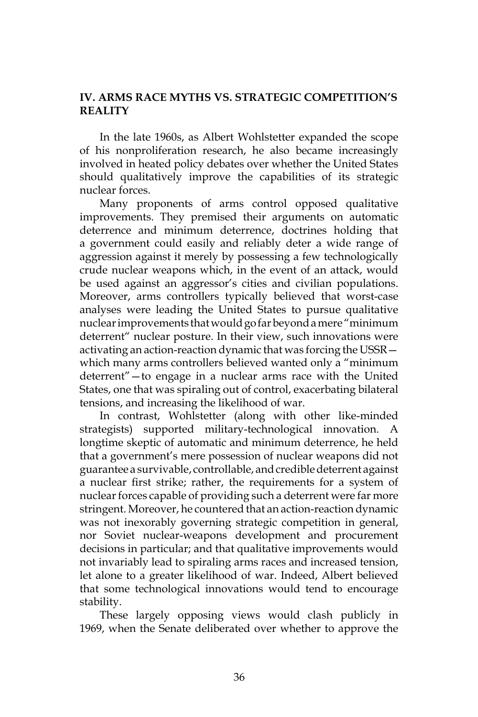# **IV. ARMS RACE MYTHS VS. STRATEGIC COMPETITION'S REALITY**

In the late 1960s, as Albert Wohlstetter expanded the scope of his nonproliferation research, he also became increasingly involved in heated policy debates over whether the United States should qualitatively improve the capabilities of its strategic nuclear forces.

Many proponents of arms control opposed qualitative improvements. They premised their arguments on automatic deterrence and minimum deterrence, doctrines holding that a government could easily and reliably deter a wide range of aggression against it merely by possessing a few technologically crude nuclear weapons which, in the event of an attack, would be used against an aggressor's cities and civilian populations. Moreover, arms controllers typically believed that worst-case analyses were leading the United States to pursue qualitative nuclear improvements that would go far beyond a mere "minimum deterrent" nuclear posture. In their view, such innovations were activating an action-reaction dynamic that was forcing the USSR which many arms controllers believed wanted only a "minimum deterrent"—to engage in a nuclear arms race with the United States, one that was spiraling out of control, exacerbating bilateral tensions, and increasing the likelihood of war.

In contrast, Wohlstetter (along with other like-minded strategists) supported military-technological innovation. A longtime skeptic of automatic and minimum deterrence, he held that a government's mere possession of nuclear weapons did not guarantee a survivable, controllable, and credible deterrent against a nuclear first strike; rather, the requirements for a system of nuclear forces capable of providing such a deterrent were far more stringent. Moreover, he countered that an action-reaction dynamic was not inexorably governing strategic competition in general, nor Soviet nuclear-weapons development and procurement decisions in particular; and that qualitative improvements would not invariably lead to spiraling arms races and increased tension, let alone to a greater likelihood of war. Indeed, Albert believed that some technological innovations would tend to encourage stability.

These largely opposing views would clash publicly in 1969, when the Senate deliberated over whether to approve the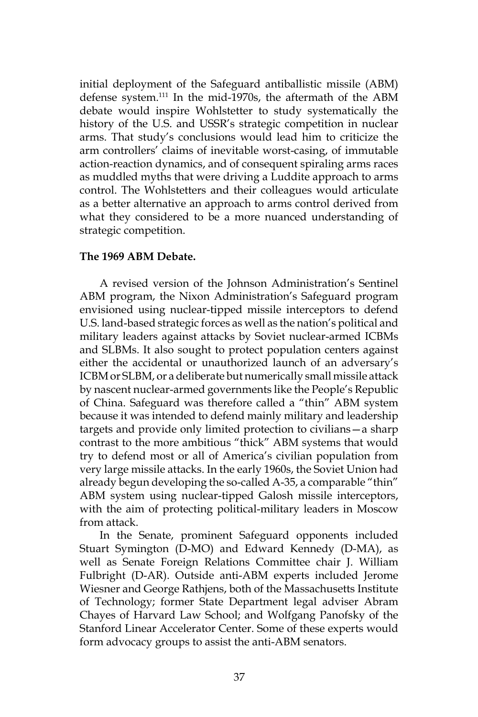initial deployment of the Safeguard antiballistic missile (ABM) defense system.111 In the mid-1970s, the aftermath of the ABM debate would inspire Wohlstetter to study systematically the history of the U.S. and USSR's strategic competition in nuclear arms. That study's conclusions would lead him to criticize the arm controllers' claims of inevitable worst-casing, of immutable action-reaction dynamics, and of consequent spiraling arms races as muddled myths that were driving a Luddite approach to arms control. The Wohlstetters and their colleagues would articulate as a better alternative an approach to arms control derived from what they considered to be a more nuanced understanding of strategic competition.

#### **The 1969 ABM Debate.**

A revised version of the Johnson Administration's Sentinel ABM program, the Nixon Administration's Safeguard program envisioned using nuclear-tipped missile interceptors to defend U.S. land-based strategic forces as well as the nation's political and military leaders against attacks by Soviet nuclear-armed ICBMs and SLBMs. It also sought to protect population centers against either the accidental or unauthorized launch of an adversary's ICBM or SLBM, or a deliberate but numerically small missile attack by nascent nuclear-armed governments like the People's Republic of China. Safeguard was therefore called a "thin" ABM system because it was intended to defend mainly military and leadership targets and provide only limited protection to civilians—a sharp contrast to the more ambitious "thick" ABM systems that would try to defend most or all of America's civilian population from very large missile attacks. In the early 1960s, the Soviet Union had already begun developing the so-called A-35, a comparable "thin" ABM system using nuclear-tipped Galosh missile interceptors, with the aim of protecting political-military leaders in Moscow from attack.

In the Senate, prominent Safeguard opponents included Stuart Symington (D-MO) and Edward Kennedy (D-MA), as well as Senate Foreign Relations Committee chair J. William Fulbright (D-AR). Outside anti-ABM experts included Jerome Wiesner and George Rathjens, both of the Massachusetts Institute of Technology; former State Department legal adviser Abram Chayes of Harvard Law School; and Wolfgang Panofsky of the Stanford Linear Accelerator Center. Some of these experts would form advocacy groups to assist the anti-ABM senators.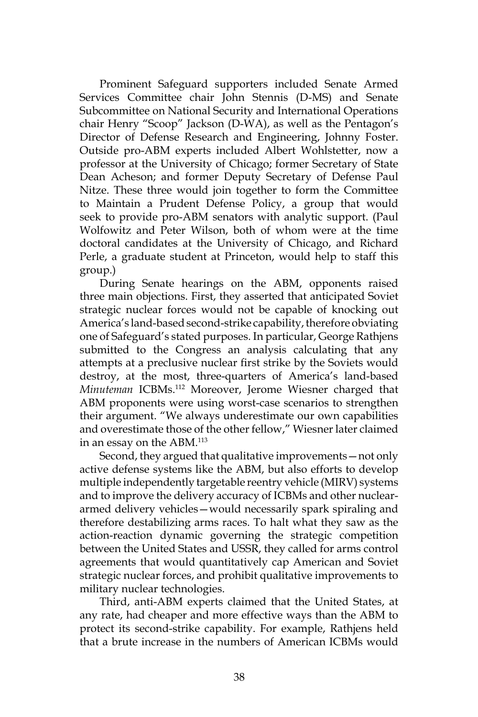Prominent Safeguard supporters included Senate Armed Services Committee chair John Stennis (D-MS) and Senate Subcommittee on National Security and International Operations chair Henry "Scoop" Jackson (D-WA), as well as the Pentagon's Director of Defense Research and Engineering, Johnny Foster. Outside pro-ABM experts included Albert Wohlstetter, now a professor at the University of Chicago; former Secretary of State Dean Acheson; and former Deputy Secretary of Defense Paul Nitze. These three would join together to form the Committee to Maintain a Prudent Defense Policy, a group that would seek to provide pro-ABM senators with analytic support. (Paul Wolfowitz and Peter Wilson, both of whom were at the time doctoral candidates at the University of Chicago, and Richard Perle, a graduate student at Princeton, would help to staff this group.)

During Senate hearings on the ABM, opponents raised three main objections. First, they asserted that anticipated Soviet strategic nuclear forces would not be capable of knocking out America's land-based second-strike capability, therefore obviating one of Safeguard's stated purposes. In particular, George Rathjens submitted to the Congress an analysis calculating that any attempts at a preclusive nuclear first strike by the Soviets would destroy, at the most, three-quarters of America's land-based *Minuteman* ICBMs.112 Moreover, Jerome Wiesner charged that ABM proponents were using worst-case scenarios to strengthen their argument. "We always underestimate our own capabilities and overestimate those of the other fellow," Wiesner later claimed in an essay on the ABM.<sup>113</sup>

Second, they argued that qualitative improvements—not only active defense systems like the ABM, but also efforts to develop multiple independently targetable reentry vehicle (MIRV) systems and to improve the delivery accuracy of ICBMs and other nucleararmed delivery vehicles—would necessarily spark spiraling and therefore destabilizing arms races. To halt what they saw as the action-reaction dynamic governing the strategic competition between the United States and USSR, they called for arms control agreements that would quantitatively cap American and Soviet strategic nuclear forces, and prohibit qualitative improvements to military nuclear technologies.

Third, anti-ABM experts claimed that the United States, at any rate, had cheaper and more effective ways than the ABM to protect its second-strike capability. For example, Rathjens held that a brute increase in the numbers of American ICBMs would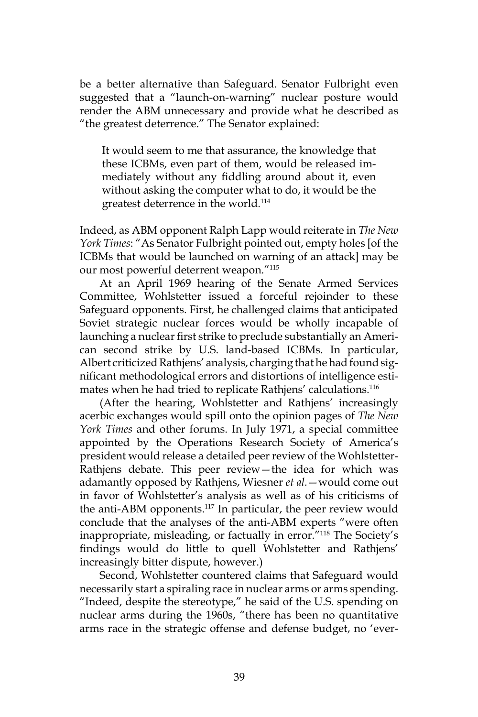be a better alternative than Safeguard. Senator Fulbright even suggested that a "launch-on-warning" nuclear posture would render the ABM unnecessary and provide what he described as "the greatest deterrence." The Senator explained:

It would seem to me that assurance, the knowledge that these ICBMs, even part of them, would be released immediately without any fiddling around about it, even without asking the computer what to do, it would be the greatest deterrence in the world.114

Indeed, as ABM opponent Ralph Lapp would reiterate in *The New York Times*: "As Senator Fulbright pointed out, empty holes [of the ICBMs that would be launched on warning of an attack] may be our most powerful deterrent weapon."115

At an April 1969 hearing of the Senate Armed Services Committee, Wohlstetter issued a forceful rejoinder to these Safeguard opponents. First, he challenged claims that anticipated Soviet strategic nuclear forces would be wholly incapable of launching a nuclear first strike to preclude substantially an American second strike by U.S. land-based ICBMs. In particular, Albert criticized Rathjens' analysis, charging that he had found significant methodological errors and distortions of intelligence estimates when he had tried to replicate Rathjens' calculations.116

(After the hearing, Wohlstetter and Rathjens' increasingly acerbic exchanges would spill onto the opinion pages of *The New York Times* and other forums. In July 1971, a special committee appointed by the Operations Research Society of America's president would release a detailed peer review of the Wohlstetter-Rathjens debate. This peer review—the idea for which was adamantly opposed by Rathjens, Wiesner *et al.*—would come out in favor of Wohlstetter's analysis as well as of his criticisms of the anti-ABM opponents.117 In particular, the peer review would conclude that the analyses of the anti-ABM experts "were often inappropriate, misleading, or factually in error."118 The Society's findings would do little to quell Wohlstetter and Rathjens' increasingly bitter dispute, however.)

Second, Wohlstetter countered claims that Safeguard would necessarily start a spiraling race in nuclear arms or arms spending. "Indeed, despite the stereotype," he said of the U.S. spending on nuclear arms during the 1960s, "there has been no quantitative arms race in the strategic offense and defense budget, no 'ever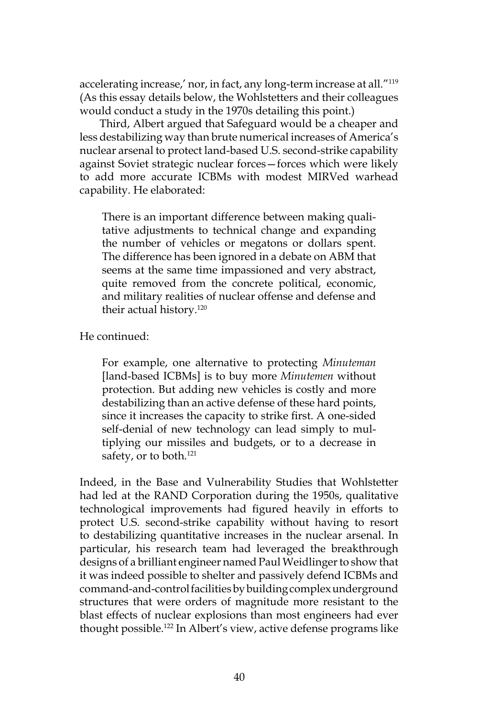accelerating increase,' nor, in fact, any long-term increase at all."119 (As this essay details below, the Wohlstetters and their colleagues would conduct a study in the 1970s detailing this point.)

Third, Albert argued that Safeguard would be a cheaper and less destabilizing way than brute numerical increases of America's nuclear arsenal to protect land-based U.S. second-strike capability against Soviet strategic nuclear forces—forces which were likely to add more accurate ICBMs with modest MIRVed warhead capability. He elaborated:

There is an important difference between making qualitative adjustments to technical change and expanding the number of vehicles or megatons or dollars spent. The difference has been ignored in a debate on ABM that seems at the same time impassioned and very abstract, quite removed from the concrete political, economic, and military realities of nuclear offense and defense and their actual history.120

He continued:

For example, one alternative to protecting *Minuteman* [land-based ICBMs] is to buy more *Minutemen* without protection. But adding new vehicles is costly and more destabilizing than an active defense of these hard points, since it increases the capacity to strike first. A one-sided self-denial of new technology can lead simply to multiplying our missiles and budgets, or to a decrease in safety, or to both.<sup>121</sup>

Indeed, in the Base and Vulnerability Studies that Wohlstetter had led at the RAND Corporation during the 1950s, qualitative technological improvements had figured heavily in efforts to protect U.S. second-strike capability without having to resort to destabilizing quantitative increases in the nuclear arsenal. In particular, his research team had leveraged the breakthrough designs of a brilliant engineer named Paul Weidlinger to show that it was indeed possible to shelter and passively defend ICBMs and command-and-control facilities by building complex underground structures that were orders of magnitude more resistant to the blast effects of nuclear explosions than most engineers had ever thought possible.122 In Albert's view, active defense programs like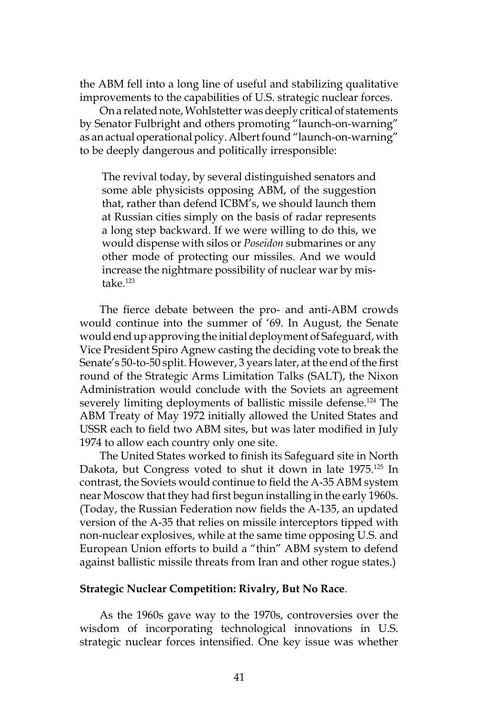the ABM fell into a long line of useful and stabilizing qualitative improvements to the capabilities of U.S. strategic nuclear forces.

On a related note, Wohlstetter was deeply critical of statements by Senator Fulbright and others promoting "launch-on-warning" as an actual operational policy. Albert found "launch-on-warning" to be deeply dangerous and politically irresponsible:

The revival today, by several distinguished senators and some able physicists opposing ABM, of the suggestion that, rather than defend ICBM's, we should launch them at Russian cities simply on the basis of radar represents a long step backward. If we were willing to do this, we would dispense with silos or *Poseidon* submarines or any other mode of protecting our missiles. And we would increase the nightmare possibility of nuclear war by mistake.123

The fierce debate between the pro- and anti-ABM crowds would continue into the summer of '69. In August, the Senate would end up approving the initial deployment of Safeguard, with Vice President Spiro Agnew casting the deciding vote to break the Senate's 50-to-50 split. However, 3 years later, at the end of the first round of the Strategic Arms Limitation Talks (SALT), the Nixon Administration would conclude with the Soviets an agreement severely limiting deployments of ballistic missile defense.124 The ABM Treaty of May 1972 initially allowed the United States and USSR each to field two ABM sites, but was later modified in July 1974 to allow each country only one site.

The United States worked to finish its Safeguard site in North Dakota, but Congress voted to shut it down in late 1975.<sup>125</sup> In contrast, the Soviets would continue to field the A-35 ABM system near Moscow that they had first begun installing in the early 1960s. (Today, the Russian Federation now fields the A-135, an updated version of the A-35 that relies on missile interceptors tipped with non-nuclear explosives, while at the same time opposing U.S. and European Union efforts to build a "thin" ABM system to defend against ballistic missile threats from Iran and other rogue states.)

### **Strategic Nuclear Competition: Rivalry, But No Race**.

As the 1960s gave way to the 1970s, controversies over the wisdom of incorporating technological innovations in U.S. strategic nuclear forces intensified. One key issue was whether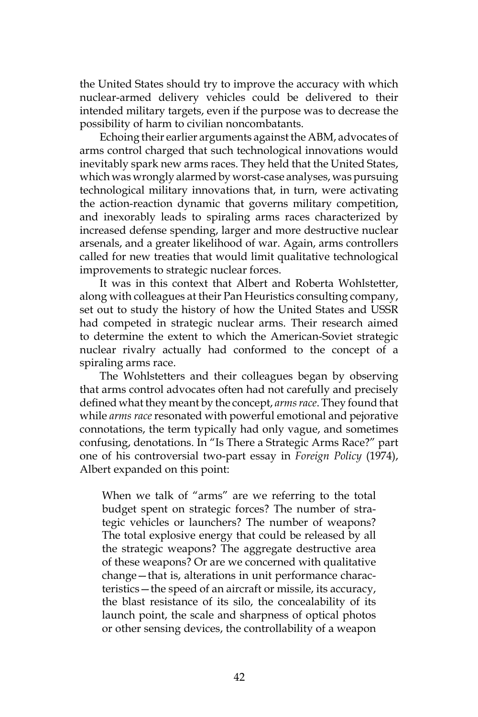the United States should try to improve the accuracy with which nuclear-armed delivery vehicles could be delivered to their intended military targets, even if the purpose was to decrease the possibility of harm to civilian noncombatants.

Echoing their earlier arguments against the ABM, advocates of arms control charged that such technological innovations would inevitably spark new arms races. They held that the United States, which was wrongly alarmed by worst-case analyses, was pursuing technological military innovations that, in turn, were activating the action-reaction dynamic that governs military competition, and inexorably leads to spiraling arms races characterized by increased defense spending, larger and more destructive nuclear arsenals, and a greater likelihood of war. Again, arms controllers called for new treaties that would limit qualitative technological improvements to strategic nuclear forces.

It was in this context that Albert and Roberta Wohlstetter, along with colleagues at their Pan Heuristics consulting company, set out to study the history of how the United States and USSR had competed in strategic nuclear arms. Their research aimed to determine the extent to which the American-Soviet strategic nuclear rivalry actually had conformed to the concept of a spiraling arms race.

The Wohlstetters and their colleagues began by observing that arms control advocates often had not carefully and precisely defined what they meant by the concept, *arms race*. They found that while *arms race* resonated with powerful emotional and pejorative connotations, the term typically had only vague, and sometimes confusing, denotations. In "Is There a Strategic Arms Race?" part one of his controversial two-part essay in *Foreign Policy* (1974), Albert expanded on this point:

When we talk of "arms" are we referring to the total budget spent on strategic forces? The number of strategic vehicles or launchers? The number of weapons? The total explosive energy that could be released by all the strategic weapons? The aggregate destructive area of these weapons? Or are we concerned with qualitative change—that is, alterations in unit performance characteristics—the speed of an aircraft or missile, its accuracy, the blast resistance of its silo, the concealability of its launch point, the scale and sharpness of optical photos or other sensing devices, the controllability of a weapon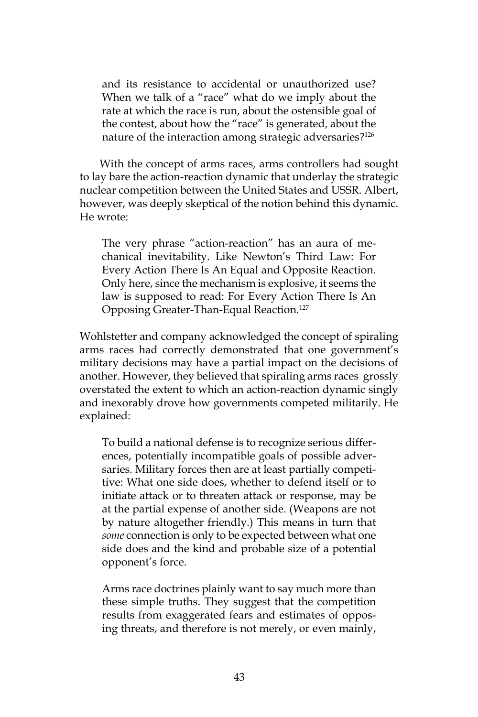and its resistance to accidental or unauthorized use? When we talk of a "race" what do we imply about the rate at which the race is run, about the ostensible goal of the contest, about how the "race" is generated, about the nature of the interaction among strategic adversaries?126

With the concept of arms races, arms controllers had sought to lay bare the action-reaction dynamic that underlay the strategic nuclear competition between the United States and USSR. Albert, however, was deeply skeptical of the notion behind this dynamic. He wrote:

The very phrase "action-reaction" has an aura of mechanical inevitability. Like Newton's Third Law: For Every Action There Is An Equal and Opposite Reaction. Only here, since the mechanism is explosive, it seems the law is supposed to read: For Every Action There Is An Opposing Greater-Than-Equal Reaction.127

Wohlstetter and company acknowledged the concept of spiraling arms races had correctly demonstrated that one government's military decisions may have a partial impact on the decisions of another. However, they believed that spiraling arms races grossly overstated the extent to which an action-reaction dynamic singly and inexorably drove how governments competed militarily. He explained:

To build a national defense is to recognize serious differences, potentially incompatible goals of possible adversaries. Military forces then are at least partially competitive: What one side does, whether to defend itself or to initiate attack or to threaten attack or response, may be at the partial expense of another side. (Weapons are not by nature altogether friendly.) This means in turn that *some* connection is only to be expected between what one side does and the kind and probable size of a potential opponent's force.

Arms race doctrines plainly want to say much more than these simple truths. They suggest that the competition results from exaggerated fears and estimates of opposing threats, and therefore is not merely, or even mainly,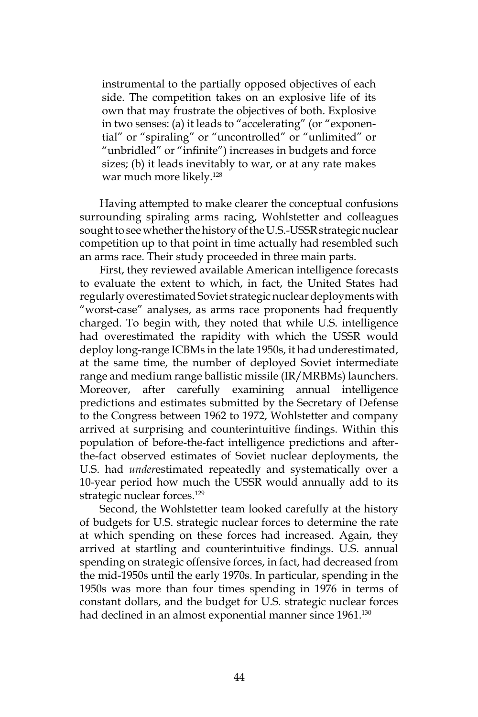instrumental to the partially opposed objectives of each side. The competition takes on an explosive life of its own that may frustrate the objectives of both. Explosive in two senses: (a) it leads to "accelerating" (or "exponential" or "spiraling" or "uncontrolled" or "unlimited" or "unbridled" or "infinite") increases in budgets and force sizes; (b) it leads inevitably to war, or at any rate makes war much more likely.128

Having attempted to make clearer the conceptual confusions surrounding spiraling arms racing, Wohlstetter and colleagues sought to see whether the history of the U.S.-USSR strategic nuclear competition up to that point in time actually had resembled such an arms race. Their study proceeded in three main parts.

First, they reviewed available American intelligence forecasts to evaluate the extent to which, in fact, the United States had regularly overestimated Soviet strategic nuclear deployments with "worst-case" analyses, as arms race proponents had frequently charged. To begin with, they noted that while U.S. intelligence had overestimated the rapidity with which the USSR would deploy long-range ICBMs in the late 1950s, it had underestimated, at the same time, the number of deployed Soviet intermediate range and medium range ballistic missile (IR/MRBMs) launchers. Moreover, after carefully examining annual intelligence predictions and estimates submitted by the Secretary of Defense to the Congress between 1962 to 1972, Wohlstetter and company arrived at surprising and counterintuitive findings. Within this population of before-the-fact intelligence predictions and afterthe-fact observed estimates of Soviet nuclear deployments, the U.S. had *under*estimated repeatedly and systematically over a 10-year period how much the USSR would annually add to its strategic nuclear forces.<sup>129</sup>

Second, the Wohlstetter team looked carefully at the history of budgets for U.S. strategic nuclear forces to determine the rate at which spending on these forces had increased. Again, they arrived at startling and counterintuitive findings. U.S. annual spending on strategic offensive forces, in fact, had decreased from the mid-1950s until the early 1970s. In particular, spending in the 1950s was more than four times spending in 1976 in terms of constant dollars, and the budget for U.S. strategic nuclear forces had declined in an almost exponential manner since 1961.<sup>130</sup>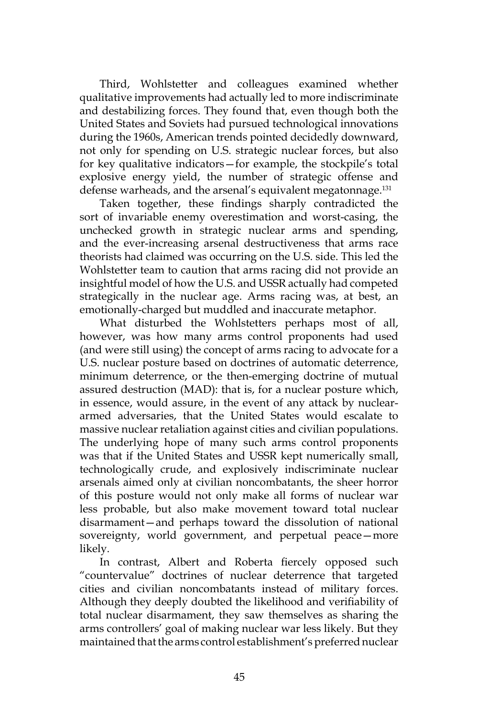Third, Wohlstetter and colleagues examined whether qualitative improvements had actually led to more indiscriminate and destabilizing forces. They found that, even though both the United States and Soviets had pursued technological innovations during the 1960s, American trends pointed decidedly downward, not only for spending on U.S. strategic nuclear forces, but also for key qualitative indicators—for example, the stockpile's total explosive energy yield, the number of strategic offense and defense warheads, and the arsenal's equivalent megatonnage.<sup>131</sup>

Taken together, these findings sharply contradicted the sort of invariable enemy overestimation and worst-casing, the unchecked growth in strategic nuclear arms and spending, and the ever-increasing arsenal destructiveness that arms race theorists had claimed was occurring on the U.S. side. This led the Wohlstetter team to caution that arms racing did not provide an insightful model of how the U.S. and USSR actually had competed strategically in the nuclear age. Arms racing was, at best, an emotionally-charged but muddled and inaccurate metaphor.

What disturbed the Wohlstetters perhaps most of all, however, was how many arms control proponents had used (and were still using) the concept of arms racing to advocate for a U.S. nuclear posture based on doctrines of automatic deterrence, minimum deterrence, or the then-emerging doctrine of mutual assured destruction (MAD): that is, for a nuclear posture which, in essence, would assure, in the event of any attack by nucleararmed adversaries, that the United States would escalate to massive nuclear retaliation against cities and civilian populations. The underlying hope of many such arms control proponents was that if the United States and USSR kept numerically small, technologically crude, and explosively indiscriminate nuclear arsenals aimed only at civilian noncombatants, the sheer horror of this posture would not only make all forms of nuclear war less probable, but also make movement toward total nuclear disarmament—and perhaps toward the dissolution of national sovereignty, world government, and perpetual peace—more likely.

In contrast, Albert and Roberta fiercely opposed such "countervalue" doctrines of nuclear deterrence that targeted cities and civilian noncombatants instead of military forces. Although they deeply doubted the likelihood and verifiability of total nuclear disarmament, they saw themselves as sharing the arms controllers' goal of making nuclear war less likely. But they maintained that the arms control establishment's preferred nuclear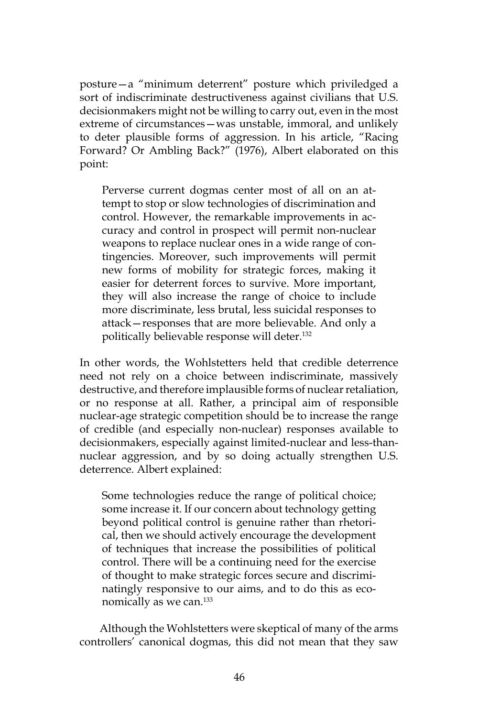posture—a "minimum deterrent" posture which priviledged a sort of indiscriminate destructiveness against civilians that U.S. decisionmakers might not be willing to carry out, even in the most extreme of circumstances—was unstable, immoral, and unlikely to deter plausible forms of aggression. In his article, "Racing Forward? Or Ambling Back?" (1976), Albert elaborated on this point:

Perverse current dogmas center most of all on an attempt to stop or slow technologies of discrimination and control. However, the remarkable improvements in accuracy and control in prospect will permit non-nuclear weapons to replace nuclear ones in a wide range of contingencies. Moreover, such improvements will permit new forms of mobility for strategic forces, making it easier for deterrent forces to survive. More important, they will also increase the range of choice to include more discriminate, less brutal, less suicidal responses to attack—responses that are more believable. And only a politically believable response will deter.<sup>132</sup>

In other words, the Wohlstetters held that credible deterrence need not rely on a choice between indiscriminate, massively destructive, and therefore implausible forms of nuclear retaliation, or no response at all. Rather, a principal aim of responsible nuclear-age strategic competition should be to increase the range of credible (and especially non-nuclear) responses available to decisionmakers, especially against limited-nuclear and less-thannuclear aggression, and by so doing actually strengthen U.S. deterrence. Albert explained:

Some technologies reduce the range of political choice; some increase it. If our concern about technology getting beyond political control is genuine rather than rhetorical, then we should actively encourage the development of techniques that increase the possibilities of political control. There will be a continuing need for the exercise of thought to make strategic forces secure and discriminatingly responsive to our aims, and to do this as economically as we can.133

Although the Wohlstetters were skeptical of many of the arms controllers' canonical dogmas, this did not mean that they saw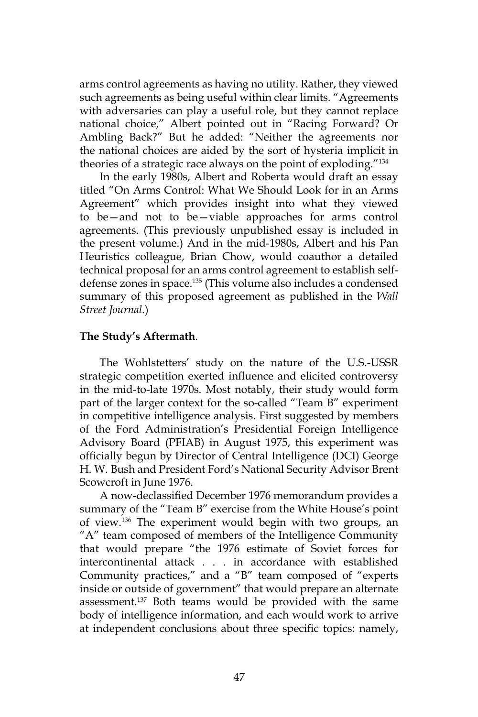arms control agreements as having no utility. Rather, they viewed such agreements as being useful within clear limits. "Agreements with adversaries can play a useful role, but they cannot replace national choice," Albert pointed out in "Racing Forward? Or Ambling Back?" But he added: "Neither the agreements nor the national choices are aided by the sort of hysteria implicit in theories of a strategic race always on the point of exploding."134

In the early 1980s, Albert and Roberta would draft an essay titled "On Arms Control: What We Should Look for in an Arms Agreement" which provides insight into what they viewed to be—and not to be—viable approaches for arms control agreements. (This previously unpublished essay is included in the present volume.) And in the mid-1980s, Albert and his Pan Heuristics colleague, Brian Chow, would coauthor a detailed technical proposal for an arms control agreement to establish selfdefense zones in space.135 (This volume also includes a condensed summary of this proposed agreement as published in the *Wall Street Journal*.)

## **The Study's Aftermath**.

The Wohlstetters' study on the nature of the U.S.-USSR strategic competition exerted influence and elicited controversy in the mid-to-late 1970s. Most notably, their study would form part of the larger context for the so-called "Team B" experiment in competitive intelligence analysis. First suggested by members of the Ford Administration's Presidential Foreign Intelligence Advisory Board (PFIAB) in August 1975, this experiment was officially begun by Director of Central Intelligence (DCI) George H. W. Bush and President Ford's National Security Advisor Brent Scowcroft in June 1976.

A now-declassified December 1976 memorandum provides a summary of the "Team B" exercise from the White House's point of view.136 The experiment would begin with two groups, an "A" team composed of members of the Intelligence Community that would prepare "the 1976 estimate of Soviet forces for intercontinental attack . . . in accordance with established Community practices," and a "B" team composed of "experts inside or outside of government" that would prepare an alternate assessment.137 Both teams would be provided with the same body of intelligence information, and each would work to arrive at independent conclusions about three specific topics: namely,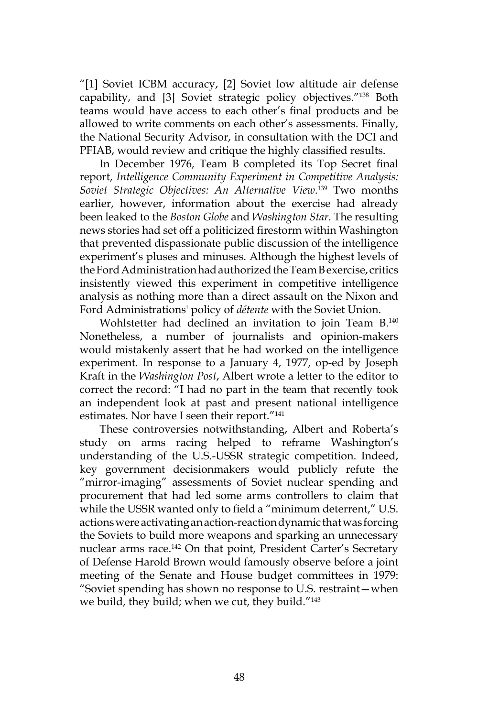"[1] Soviet ICBM accuracy, [2] Soviet low altitude air defense capability, and [3] Soviet strategic policy objectives."138 Both teams would have access to each other's final products and be allowed to write comments on each other's assessments. Finally, the National Security Advisor, in consultation with the DCI and PFIAB, would review and critique the highly classified results.

In December 1976, Team B completed its Top Secret final report, *Intelligence Community Experiment in Competitive Analysis: Soviet Strategic Objectives: An Alternative View*. 139 Two months earlier, however, information about the exercise had already been leaked to the *Boston Globe* and *Washington Star*. The resulting news stories had set off a politicized firestorm within Washington that prevented dispassionate public discussion of the intelligence experiment's pluses and minuses. Although the highest levels of the Ford Administration had authorized the Team B exercise, critics insistently viewed this experiment in competitive intelligence analysis as nothing more than a direct assault on the Nixon and Ford Administrations' policy of *détente* with the Soviet Union.

Wohlstetter had declined an invitation to join Team B.140 Nonetheless, a number of journalists and opinion-makers would mistakenly assert that he had worked on the intelligence experiment. In response to a January 4, 1977, op-ed by Joseph Kraft in the *Washington Post*, Albert wrote a letter to the editor to correct the record: "I had no part in the team that recently took an independent look at past and present national intelligence estimates. Nor have I seen their report."141

These controversies notwithstanding, Albert and Roberta's study on arms racing helped to reframe Washington's understanding of the U.S.-USSR strategic competition. Indeed, key government decisionmakers would publicly refute the "mirror-imaging" assessments of Soviet nuclear spending and procurement that had led some arms controllers to claim that while the USSR wanted only to field a "minimum deterrent," U.S. actions were activating an action-reaction dynamic that was forcing the Soviets to build more weapons and sparking an unnecessary nuclear arms race.142 On that point, President Carter's Secretary of Defense Harold Brown would famously observe before a joint meeting of the Senate and House budget committees in 1979: "Soviet spending has shown no response to U.S. restraint—when we build, they build; when we cut, they build."143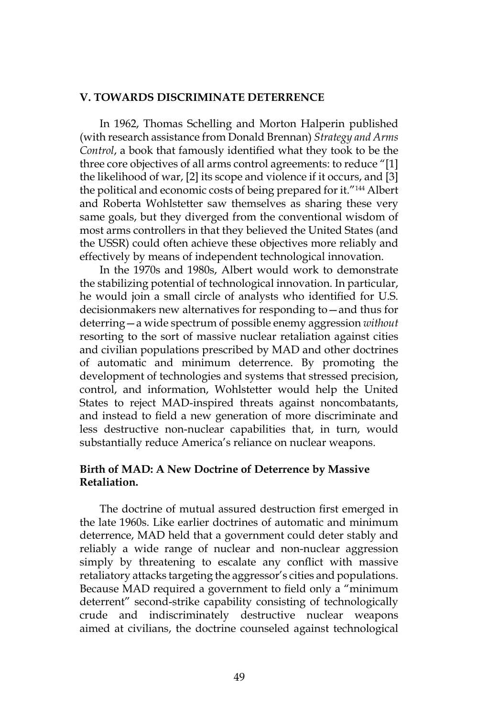#### **V. TOWARDS DISCRIMINATE DETERRENCE**

In 1962, Thomas Schelling and Morton Halperin published (with research assistance from Donald Brennan) *Strategy and Arms Control*, a book that famously identified what they took to be the three core objectives of all arms control agreements: to reduce "[1] the likelihood of war, [2] its scope and violence if it occurs, and [3] the political and economic costs of being prepared for it."<sup>144</sup> Albert and Roberta Wohlstetter saw themselves as sharing these very same goals, but they diverged from the conventional wisdom of most arms controllers in that they believed the United States (and the USSR) could often achieve these objectives more reliably and effectively by means of independent technological innovation.

In the 1970s and 1980s, Albert would work to demonstrate the stabilizing potential of technological innovation. In particular, he would join a small circle of analysts who identified for U.S. decisionmakers new alternatives for responding to—and thus for deterring—a wide spectrum of possible enemy aggression *without* resorting to the sort of massive nuclear retaliation against cities and civilian populations prescribed by MAD and other doctrines of automatic and minimum deterrence. By promoting the development of technologies and systems that stressed precision, control, and information, Wohlstetter would help the United States to reject MAD-inspired threats against noncombatants, and instead to field a new generation of more discriminate and less destructive non-nuclear capabilities that, in turn, would substantially reduce America's reliance on nuclear weapons.

## **Birth of MAD: A New Doctrine of Deterrence by Massive Retaliation.**

The doctrine of mutual assured destruction first emerged in the late 1960s. Like earlier doctrines of automatic and minimum deterrence, MAD held that a government could deter stably and reliably a wide range of nuclear and non-nuclear aggression simply by threatening to escalate any conflict with massive retaliatory attacks targeting the aggressor's cities and populations. Because MAD required a government to field only a "minimum deterrent" second-strike capability consisting of technologically crude and indiscriminately destructive nuclear weapons aimed at civilians, the doctrine counseled against technological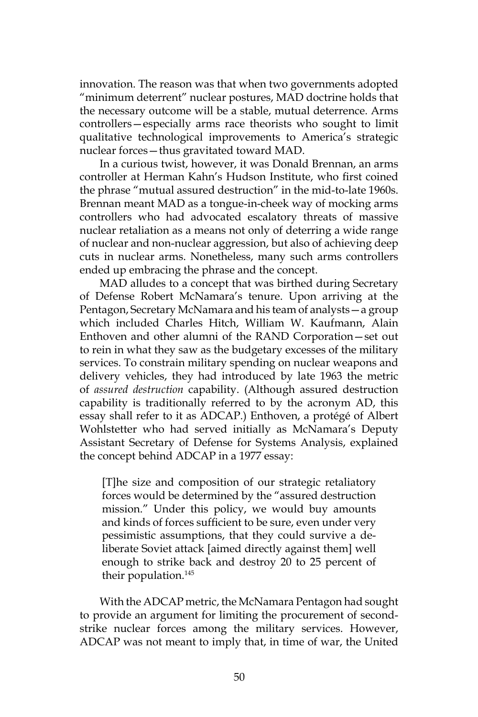innovation. The reason was that when two governments adopted "minimum deterrent" nuclear postures, MAD doctrine holds that the necessary outcome will be a stable, mutual deterrence. Arms controllers—especially arms race theorists who sought to limit qualitative technological improvements to America's strategic nuclear forces—thus gravitated toward MAD.

In a curious twist, however, it was Donald Brennan, an arms controller at Herman Kahn's Hudson Institute, who first coined the phrase "mutual assured destruction" in the mid-to-late 1960s. Brennan meant MAD as a tongue-in-cheek way of mocking arms controllers who had advocated escalatory threats of massive nuclear retaliation as a means not only of deterring a wide range of nuclear and non-nuclear aggression, but also of achieving deep cuts in nuclear arms. Nonetheless, many such arms controllers ended up embracing the phrase and the concept.

MAD alludes to a concept that was birthed during Secretary of Defense Robert McNamara's tenure. Upon arriving at the Pentagon, Secretary McNamara and his team of analysts—a group which included Charles Hitch, William W. Kaufmann, Alain Enthoven and other alumni of the RAND Corporation—set out to rein in what they saw as the budgetary excesses of the military services. To constrain military spending on nuclear weapons and delivery vehicles, they had introduced by late 1963 the metric of *assured destruction* capability. (Although assured destruction capability is traditionally referred to by the acronym AD, this essay shall refer to it as ADCAP.) Enthoven, a protégé of Albert Wohlstetter who had served initially as McNamara's Deputy Assistant Secretary of Defense for Systems Analysis, explained the concept behind ADCAP in a 1977 essay:

[T]he size and composition of our strategic retaliatory forces would be determined by the "assured destruction mission." Under this policy, we would buy amounts and kinds of forces sufficient to be sure, even under very pessimistic assumptions, that they could survive a deliberate Soviet attack [aimed directly against them] well enough to strike back and destroy 20 to 25 percent of their population.145

With the ADCAP metric, the McNamara Pentagon had sought to provide an argument for limiting the procurement of secondstrike nuclear forces among the military services. However, ADCAP was not meant to imply that, in time of war, the United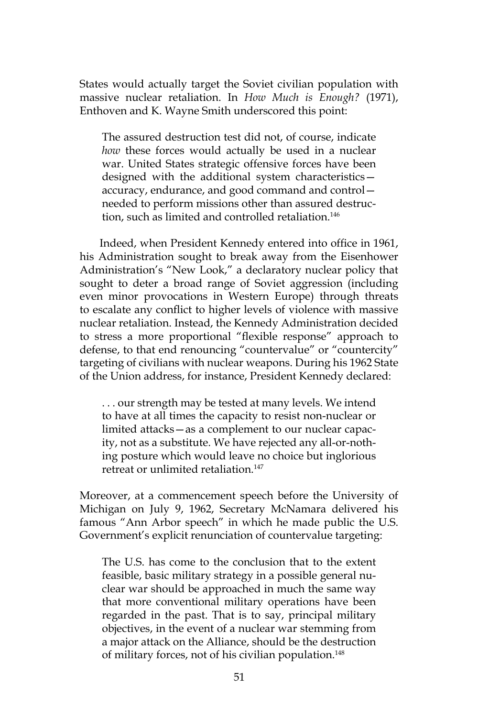States would actually target the Soviet civilian population with massive nuclear retaliation. In *How Much is Enough?* (1971), Enthoven and K. Wayne Smith underscored this point:

The assured destruction test did not, of course, indicate *how* these forces would actually be used in a nuclear war. United States strategic offensive forces have been designed with the additional system characteristics accuracy, endurance, and good command and control needed to perform missions other than assured destruction, such as limited and controlled retaliation.<sup>146</sup>

Indeed, when President Kennedy entered into office in 1961, his Administration sought to break away from the Eisenhower Administration's "New Look," a declaratory nuclear policy that sought to deter a broad range of Soviet aggression (including even minor provocations in Western Europe) through threats to escalate any conflict to higher levels of violence with massive nuclear retaliation. Instead, the Kennedy Administration decided to stress a more proportional "flexible response" approach to defense, to that end renouncing "countervalue" or "countercity" targeting of civilians with nuclear weapons. During his 1962 State of the Union address, for instance, President Kennedy declared:

. . . our strength may be tested at many levels. We intend to have at all times the capacity to resist non-nuclear or limited attacks—as a complement to our nuclear capacity, not as a substitute. We have rejected any all-or-nothing posture which would leave no choice but inglorious retreat or unlimited retaliation.147

Moreover, at a commencement speech before the University of Michigan on July 9, 1962, Secretary McNamara delivered his famous "Ann Arbor speech" in which he made public the U.S. Government's explicit renunciation of countervalue targeting:

The U.S. has come to the conclusion that to the extent feasible, basic military strategy in a possible general nuclear war should be approached in much the same way that more conventional military operations have been regarded in the past. That is to say, principal military objectives, in the event of a nuclear war stemming from a major attack on the Alliance, should be the destruction of military forces, not of his civilian population.148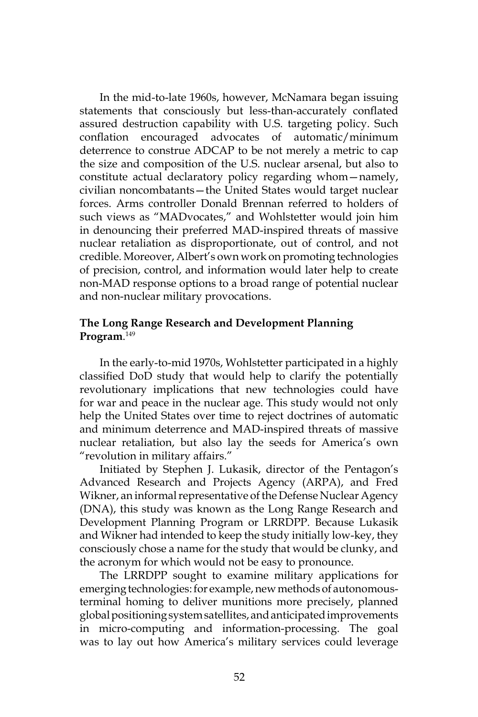In the mid-to-late 1960s, however, McNamara began issuing statements that consciously but less-than-accurately conflated assured destruction capability with U.S. targeting policy. Such conflation encouraged advocates of automatic/minimum deterrence to construe ADCAP to be not merely a metric to cap the size and composition of the U.S. nuclear arsenal, but also to constitute actual declaratory policy regarding whom—namely, civilian noncombatants—the United States would target nuclear forces. Arms controller Donald Brennan referred to holders of such views as "MADvocates," and Wohlstetter would join him in denouncing their preferred MAD-inspired threats of massive nuclear retaliation as disproportionate, out of control, and not credible. Moreover, Albert's own work on promoting technologies of precision, control, and information would later help to create non-MAD response options to a broad range of potential nuclear and non-nuclear military provocations.

## **The Long Range Research and Development Planning Program**. 149

In the early-to-mid 1970s, Wohlstetter participated in a highly classified DoD study that would help to clarify the potentially revolutionary implications that new technologies could have for war and peace in the nuclear age. This study would not only help the United States over time to reject doctrines of automatic and minimum deterrence and MAD-inspired threats of massive nuclear retaliation, but also lay the seeds for America's own "revolution in military affairs."

Initiated by Stephen J. Lukasik, director of the Pentagon's Advanced Research and Projects Agency (ARPA), and Fred Wikner, an informal representative of the Defense Nuclear Agency (DNA), this study was known as the Long Range Research and Development Planning Program or LRRDPP. Because Lukasik and Wikner had intended to keep the study initially low-key, they consciously chose a name for the study that would be clunky, and the acronym for which would not be easy to pronounce.

The LRRDPP sought to examine military applications for emerging technologies: for example, new methods of autonomousterminal homing to deliver munitions more precisely, planned global positioning system satellites, and anticipated improvements in micro-computing and information-processing. The goal was to lay out how America's military services could leverage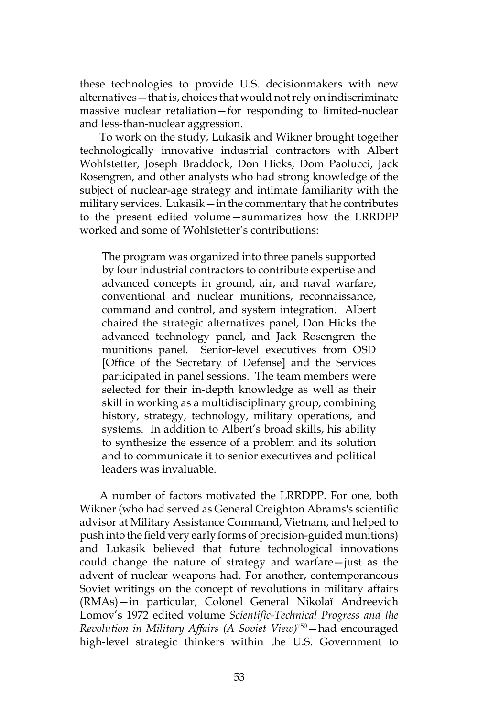these technologies to provide U.S. decisionmakers with new alternatives—that is, choices that would not rely on indiscriminate massive nuclear retaliation—for responding to limited-nuclear and less-than-nuclear aggression.

To work on the study, Lukasik and Wikner brought together technologically innovative industrial contractors with Albert Wohlstetter, Joseph Braddock, Don Hicks, Dom Paolucci, Jack Rosengren, and other analysts who had strong knowledge of the subject of nuclear-age strategy and intimate familiarity with the military services. Lukasik—in the commentary that he contributes to the present edited volume—summarizes how the LRRDPP worked and some of Wohlstetter's contributions:

The program was organized into three panels supported by four industrial contractors to contribute expertise and advanced concepts in ground, air, and naval warfare, conventional and nuclear munitions, reconnaissance, command and control, and system integration. Albert chaired the strategic alternatives panel, Don Hicks the advanced technology panel, and Jack Rosengren the munitions panel. Senior-level executives from OSD [Office of the Secretary of Defense] and the Services participated in panel sessions. The team members were selected for their in-depth knowledge as well as their skill in working as a multidisciplinary group, combining history, strategy, technology, military operations, and systems. In addition to Albert's broad skills, his ability to synthesize the essence of a problem and its solution and to communicate it to senior executives and political leaders was invaluable.

A number of factors motivated the LRRDPP. For one, both Wikner (who had served as General Creighton Abrams's scientific advisor at Military Assistance Command, Vietnam, and helped to push into the field very early forms of precision-guided munitions) and Lukasik believed that future technological innovations could change the nature of strategy and warfare—just as the advent of nuclear weapons had. For another, contemporaneous Soviet writings on the concept of revolutions in military affairs (RMAs)—in particular, Colonel General Nikolaĭ Andreevich Lomov's 1972 edited volume *Scientific-Technical Progress and the Revolution in Military Affairs (A Soviet View)*150—had encouraged high-level strategic thinkers within the U.S. Government to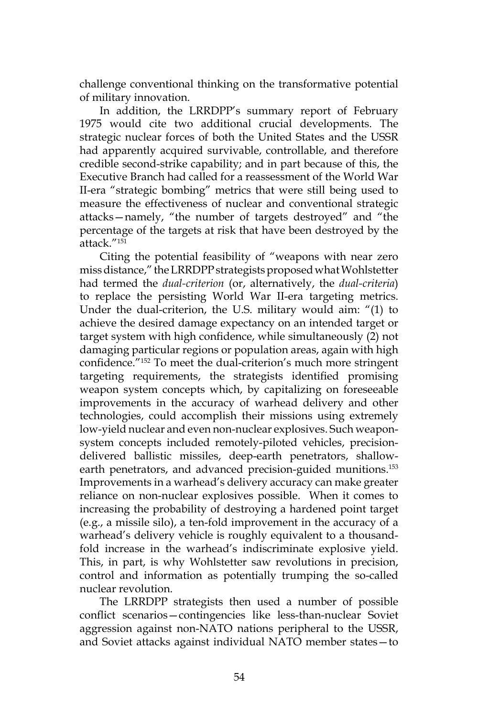challenge conventional thinking on the transformative potential of military innovation.

In addition, the LRRDPP's summary report of February 1975 would cite two additional crucial developments. The strategic nuclear forces of both the United States and the USSR had apparently acquired survivable, controllable, and therefore credible second-strike capability; and in part because of this, the Executive Branch had called for a reassessment of the World War II-era "strategic bombing" metrics that were still being used to measure the effectiveness of nuclear and conventional strategic attacks—namely, "the number of targets destroyed" and "the percentage of the targets at risk that have been destroyed by the attack."151

Citing the potential feasibility of "weapons with near zero miss distance," the LRRDPP strategists proposed what Wohlstetter had termed the *dual-criterion* (or, alternatively, the *dual-criteria*) to replace the persisting World War II-era targeting metrics. Under the dual-criterion, the U.S. military would aim: "(1) to achieve the desired damage expectancy on an intended target or target system with high confidence, while simultaneously (2) not damaging particular regions or population areas, again with high confidence."152 To meet the dual-criterion's much more stringent targeting requirements, the strategists identified promising weapon system concepts which, by capitalizing on foreseeable improvements in the accuracy of warhead delivery and other technologies, could accomplish their missions using extremely low-yield nuclear and even non-nuclear explosives. Such weaponsystem concepts included remotely-piloted vehicles, precisiondelivered ballistic missiles, deep-earth penetrators, shallowearth penetrators, and advanced precision-guided munitions.<sup>153</sup> Improvements in a warhead's delivery accuracy can make greater reliance on non-nuclear explosives possible. When it comes to increasing the probability of destroying a hardened point target (e.g., a missile silo), a ten-fold improvement in the accuracy of a warhead's delivery vehicle is roughly equivalent to a thousandfold increase in the warhead's indiscriminate explosive yield. This, in part, is why Wohlstetter saw revolutions in precision, control and information as potentially trumping the so-called nuclear revolution.

The LRRDPP strategists then used a number of possible conflict scenarios—contingencies like less-than-nuclear Soviet aggression against non-NATO nations peripheral to the USSR, and Soviet attacks against individual NATO member states—to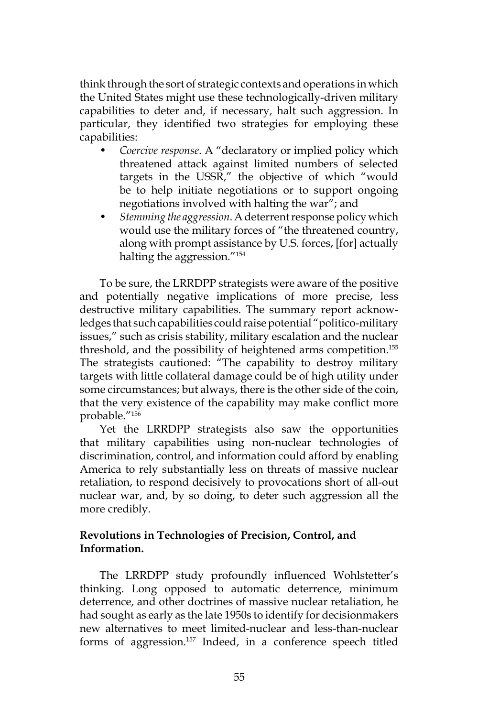think through the sort of strategic contexts and operations in which the United States might use these technologically-driven military capabilities to deter and, if necessary, halt such aggression. In particular, they identified two strategies for employing these capabilities:

- *Coercive response*. A "declaratory or implied policy which threatened attack against limited numbers of selected targets in the USSR," the objective of which "would be to help initiate negotiations or to support ongoing negotiations involved with halting the war"; and
- *Stemming the aggression*. A deterrent response policy which would use the military forces of "the threatened country, along with prompt assistance by U.S. forces, [for] actually halting the aggression."154

To be sure, the LRRDPP strategists were aware of the positive and potentially negative implications of more precise, less destructive military capabilities. The summary report acknowledges that such capabilities could raise potential "politico-military issues," such as crisis stability, military escalation and the nuclear threshold, and the possibility of heightened arms competition.155 The strategists cautioned: "The capability to destroy military targets with little collateral damage could be of high utility under some circumstances; but always, there is the other side of the coin, that the very existence of the capability may make conflict more probable."156

Yet the LRRDPP strategists also saw the opportunities that military capabilities using non-nuclear technologies of discrimination, control, and information could afford by enabling America to rely substantially less on threats of massive nuclear retaliation, to respond decisively to provocations short of all-out nuclear war, and, by so doing, to deter such aggression all the more credibly.

# **Revolutions in Technologies of Precision, Control, and Information.**

The LRRDPP study profoundly influenced Wohlstetter's thinking. Long opposed to automatic deterrence, minimum deterrence, and other doctrines of massive nuclear retaliation, he had sought as early as the late 1950s to identify for decisionmakers new alternatives to meet limited-nuclear and less-than-nuclear forms of aggression.157 Indeed, in a conference speech titled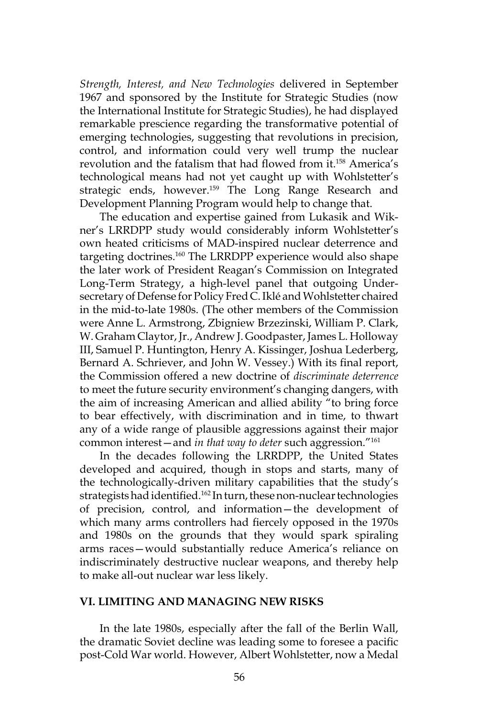*Strength, Interest, and New Technologies* delivered in September 1967 and sponsored by the Institute for Strategic Studies (now the International Institute for Strategic Studies), he had displayed remarkable prescience regarding the transformative potential of emerging technologies, suggesting that revolutions in precision, control, and information could very well trump the nuclear revolution and the fatalism that had flowed from it.158 America's technological means had not yet caught up with Wohlstetter's strategic ends, however.<sup>159</sup> The Long Range Research and Development Planning Program would help to change that.

The education and expertise gained from Lukasik and Wikner's LRRDPP study would considerably inform Wohlstetter's own heated criticisms of MAD-inspired nuclear deterrence and targeting doctrines.<sup>160</sup> The LRRDPP experience would also shape the later work of President Reagan's Commission on Integrated Long-Term Strategy, a high-level panel that outgoing Undersecretary of Defense for Policy Fred C. Iklé and Wohlstetter chaired in the mid-to-late 1980s. (The other members of the Commission were Anne L. Armstrong, Zbigniew Brzezinski, William P. Clark, W. Graham Claytor, Jr., Andrew J. Goodpaster, James L. Holloway III, Samuel P. Huntington, Henry A. Kissinger, Joshua Lederberg, Bernard A. Schriever, and John W. Vessey.) With its final report, the Commission offered a new doctrine of *discriminate deterrence*  to meet the future security environment's changing dangers, with the aim of increasing American and allied ability "to bring force to bear effectively, with discrimination and in time, to thwart any of a wide range of plausible aggressions against their major common interest—and *in that way to deter* such aggression."161

In the decades following the LRRDPP, the United States developed and acquired, though in stops and starts, many of the technologically-driven military capabilities that the study's strategists had identified.<sup>162</sup> In turn, these non-nuclear technologies of precision, control, and information—the development of which many arms controllers had fiercely opposed in the 1970s and 1980s on the grounds that they would spark spiraling arms races—would substantially reduce America's reliance on indiscriminately destructive nuclear weapons, and thereby help to make all-out nuclear war less likely.

#### **VI. LIMITING AND MANAGING NEW RISKS**

In the late 1980s, especially after the fall of the Berlin Wall, the dramatic Soviet decline was leading some to foresee a pacific post-Cold War world. However, Albert Wohlstetter, now a Medal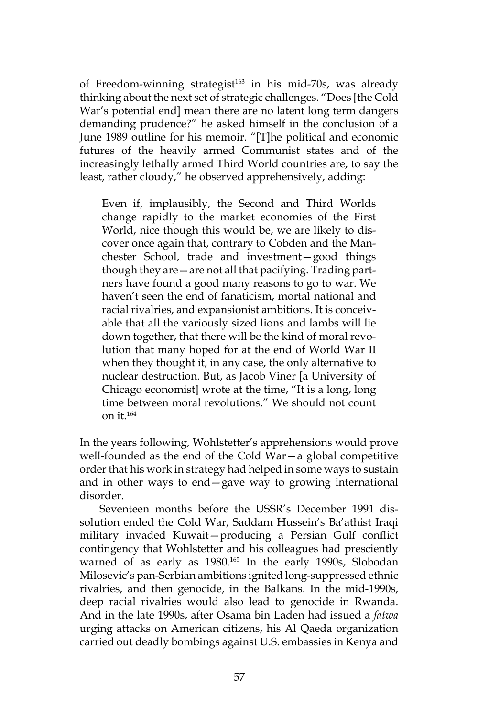of Freedom-winning strategist<sup>163</sup> in his mid-70s, was already thinking about the next set of strategic challenges. "Does [the Cold War's potential end] mean there are no latent long term dangers demanding prudence?" he asked himself in the conclusion of a June 1989 outline for his memoir. "[T]he political and economic futures of the heavily armed Communist states and of the increasingly lethally armed Third World countries are, to say the least, rather cloudy," he observed apprehensively, adding:

Even if, implausibly, the Second and Third Worlds change rapidly to the market economies of the First World, nice though this would be, we are likely to discover once again that, contrary to Cobden and the Manchester School, trade and investment—good things though they are—are not all that pacifying. Trading partners have found a good many reasons to go to war. We haven't seen the end of fanaticism, mortal national and racial rivalries, and expansionist ambitions. It is conceivable that all the variously sized lions and lambs will lie down together, that there will be the kind of moral revolution that many hoped for at the end of World War II when they thought it, in any case, the only alternative to nuclear destruction. But, as Jacob Viner [a University of Chicago economist] wrote at the time, "It is a long, long time between moral revolutions." We should not count on it.164

In the years following, Wohlstetter's apprehensions would prove well-founded as the end of the Cold War—a global competitive order that his work in strategy had helped in some ways to sustain and in other ways to end—gave way to growing international disorder.

Seventeen months before the USSR's December 1991 dissolution ended the Cold War, Saddam Hussein's Ba'athist Iraqi military invaded Kuwait—producing a Persian Gulf conflict contingency that Wohlstetter and his colleagues had presciently warned of as early as 1980.<sup>165</sup> In the early 1990s, Slobodan Milosevic's pan-Serbian ambitions ignited long-suppressed ethnic rivalries, and then genocide, in the Balkans. In the mid-1990s, deep racial rivalries would also lead to genocide in Rwanda. And in the late 1990s, after Osama bin Laden had issued a *fatwa* urging attacks on American citizens, his Al Qaeda organization carried out deadly bombings against U.S. embassies in Kenya and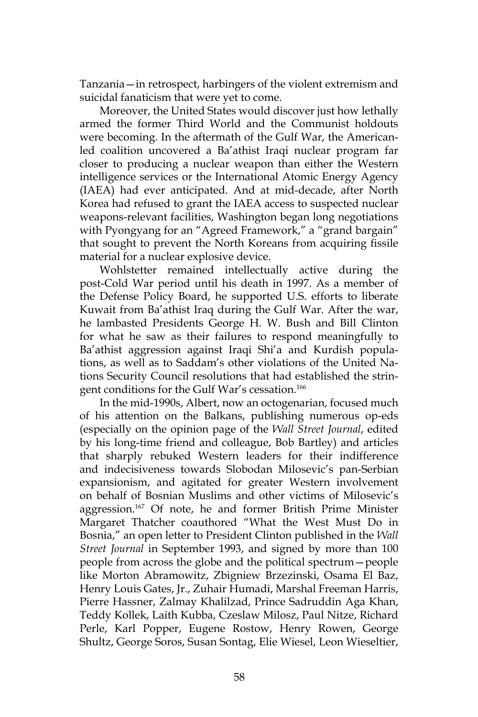Tanzania—in retrospect, harbingers of the violent extremism and suicidal fanaticism that were yet to come.

Moreover, the United States would discover just how lethally armed the former Third World and the Communist holdouts were becoming. In the aftermath of the Gulf War, the Americanled coalition uncovered a Ba'athist Iraqi nuclear program far closer to producing a nuclear weapon than either the Western intelligence services or the International Atomic Energy Agency (IAEA) had ever anticipated. And at mid-decade, after North Korea had refused to grant the IAEA access to suspected nuclear weapons-relevant facilities, Washington began long negotiations with Pyongyang for an "Agreed Framework," a "grand bargain" that sought to prevent the North Koreans from acquiring fissile material for a nuclear explosive device.

Wohlstetter remained intellectually active during the post-Cold War period until his death in 1997. As a member of the Defense Policy Board, he supported U.S. efforts to liberate Kuwait from Ba'athist Iraq during the Gulf War. After the war, he lambasted Presidents George H. W. Bush and Bill Clinton for what he saw as their failures to respond meaningfully to Ba'athist aggression against Iraqi Shi'a and Kurdish populations, as well as to Saddam's other violations of the United Nations Security Council resolutions that had established the stringent conditions for the Gulf War's cessation.166

In the mid-1990s, Albert, now an octogenarian, focused much of his attention on the Balkans, publishing numerous op-eds (especially on the opinion page of the *Wall Street Journal*, edited by his long-time friend and colleague, Bob Bartley) and articles that sharply rebuked Western leaders for their indifference and indecisiveness towards Slobodan Milosevic's pan-Serbian expansionism, and agitated for greater Western involvement on behalf of Bosnian Muslims and other victims of Milosevic's aggression.167 Of note, he and former British Prime Minister Margaret Thatcher coauthored "What the West Must Do in Bosnia," an open letter to President Clinton published in the *Wall Street Journal* in September 1993, and signed by more than 100 people from across the globe and the political spectrum—people like Morton Abramowitz, Zbigniew Brzezinski, Osama El Baz, Henry Louis Gates, Jr., Zuhair Humadi, Marshal Freeman Harris, Pierre Hassner, Zalmay Khalilzad, Prince Sadruddin Aga Khan, Teddy Kollek, Laith Kubba, Czeslaw Milosz, Paul Nitze, Richard Perle, Karl Popper, Eugene Rostow, Henry Rowen, George Shultz, George Soros, Susan Sontag, Elie Wiesel, Leon Wieseltier,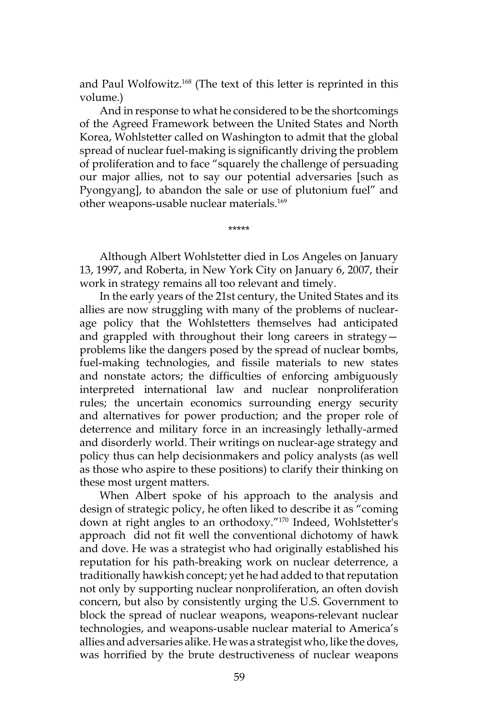and Paul Wolfowitz.168 (The text of this letter is reprinted in this volume.)

And in response to what he considered to be the shortcomings of the Agreed Framework between the United States and North Korea, Wohlstetter called on Washington to admit that the global spread of nuclear fuel-making is significantly driving the problem of proliferation and to face "squarely the challenge of persuading our major allies, not to say our potential adversaries [such as Pyongyang], to abandon the sale or use of plutonium fuel" and other weapons-usable nuclear materials.169

Although Albert Wohlstetter died in Los Angeles on January 13, 1997, and Roberta, in New York City on January 6, 2007, their work in strategy remains all too relevant and timely.

\*\*\*\*\*

In the early years of the 21st century, the United States and its allies are now struggling with many of the problems of nuclearage policy that the Wohlstetters themselves had anticipated and grappled with throughout their long careers in strategy problems like the dangers posed by the spread of nuclear bombs, fuel-making technologies, and fissile materials to new states and nonstate actors; the difficulties of enforcing ambiguously interpreted international law and nuclear nonproliferation rules; the uncertain economics surrounding energy security and alternatives for power production; and the proper role of deterrence and military force in an increasingly lethally-armed and disorderly world. Their writings on nuclear-age strategy and policy thus can help decisionmakers and policy analysts (as well as those who aspire to these positions) to clarify their thinking on these most urgent matters.

When Albert spoke of his approach to the analysis and design of strategic policy, he often liked to describe it as "coming down at right angles to an orthodoxy."170 Indeed, Wohlstetter's approach did not fit well the conventional dichotomy of hawk and dove. He was a strategist who had originally established his reputation for his path-breaking work on nuclear deterrence, a traditionally hawkish concept; yet he had added to that reputation not only by supporting nuclear nonproliferation, an often dovish concern, but also by consistently urging the U.S. Government to block the spread of nuclear weapons, weapons-relevant nuclear technologies, and weapons-usable nuclear material to America's allies and adversaries alike. He was a strategist who, like the doves, was horrified by the brute destructiveness of nuclear weapons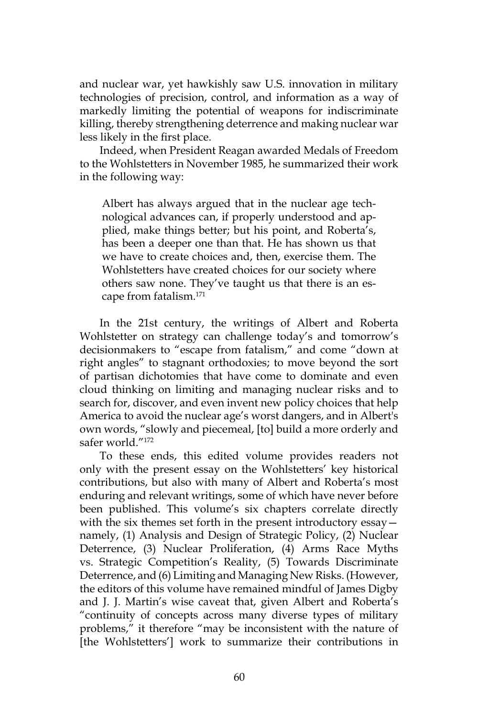and nuclear war, yet hawkishly saw U.S. innovation in military technologies of precision, control, and information as a way of markedly limiting the potential of weapons for indiscriminate killing, thereby strengthening deterrence and making nuclear war less likely in the first place.

Indeed, when President Reagan awarded Medals of Freedom to the Wohlstetters in November 1985, he summarized their work in the following way:

Albert has always argued that in the nuclear age technological advances can, if properly understood and applied, make things better; but his point, and Roberta's, has been a deeper one than that. He has shown us that we have to create choices and, then, exercise them. The Wohlstetters have created choices for our society where others saw none. They've taught us that there is an escape from fatalism.171

In the 21st century, the writings of Albert and Roberta Wohlstetter on strategy can challenge today's and tomorrow's decisionmakers to "escape from fatalism," and come "down at right angles" to stagnant orthodoxies; to move beyond the sort of partisan dichotomies that have come to dominate and even cloud thinking on limiting and managing nuclear risks and to search for, discover, and even invent new policy choices that help America to avoid the nuclear age's worst dangers, and in Albert's own words, "slowly and piecemeal, [to] build a more orderly and safer world."172

To these ends, this edited volume provides readers not only with the present essay on the Wohlstetters' key historical contributions, but also with many of Albert and Roberta's most enduring and relevant writings, some of which have never before been published. This volume's six chapters correlate directly with the six themes set forth in the present introductory essay namely, (1) Analysis and Design of Strategic Policy, (2) Nuclear Deterrence, (3) Nuclear Proliferation, (4) Arms Race Myths vs. Strategic Competition's Reality, (5) Towards Discriminate Deterrence, and (6) Limiting and Managing New Risks. (However, the editors of this volume have remained mindful of James Digby and J. J. Martin's wise caveat that, given Albert and Roberta's "continuity of concepts across many diverse types of military problems," it therefore "may be inconsistent with the nature of [the Wohlstetters'] work to summarize their contributions in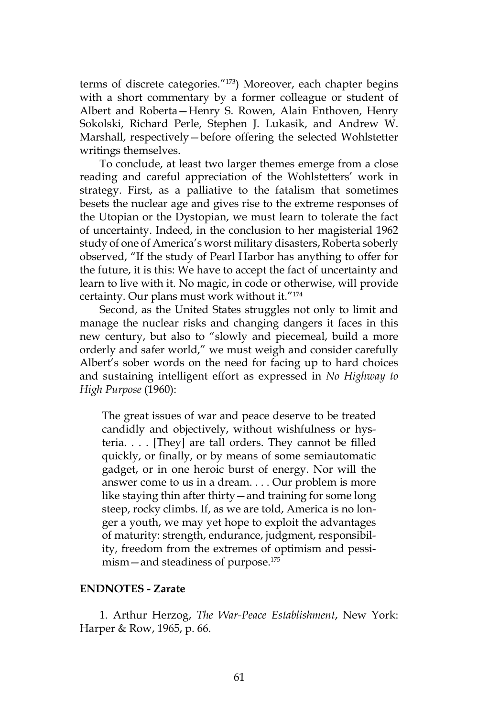terms of discrete categories."173) Moreover, each chapter begins with a short commentary by a former colleague or student of Albert and Roberta—Henry S. Rowen, Alain Enthoven, Henry Sokolski, Richard Perle, Stephen J. Lukasik, and Andrew W. Marshall, respectively—before offering the selected Wohlstetter writings themselves.

To conclude, at least two larger themes emerge from a close reading and careful appreciation of the Wohlstetters' work in strategy. First, as a palliative to the fatalism that sometimes besets the nuclear age and gives rise to the extreme responses of the Utopian or the Dystopian, we must learn to tolerate the fact of uncertainty. Indeed, in the conclusion to her magisterial 1962 study of one of America's worst military disasters, Roberta soberly observed, "If the study of Pearl Harbor has anything to offer for the future, it is this: We have to accept the fact of uncertainty and learn to live with it. No magic, in code or otherwise, will provide certainty. Our plans must work without it."174

Second, as the United States struggles not only to limit and manage the nuclear risks and changing dangers it faces in this new century, but also to "slowly and piecemeal, build a more orderly and safer world," we must weigh and consider carefully Albert's sober words on the need for facing up to hard choices and sustaining intelligent effort as expressed in *No Highway to High Purpose* (1960):

The great issues of war and peace deserve to be treated candidly and objectively, without wishfulness or hysteria. . . . [They] are tall orders. They cannot be filled quickly, or finally, or by means of some semiautomatic gadget, or in one heroic burst of energy. Nor will the answer come to us in a dream. . . . Our problem is more like staying thin after thirty—and training for some long steep, rocky climbs. If, as we are told, America is no longer a youth, we may yet hope to exploit the advantages of maturity: strength, endurance, judgment, responsibility, freedom from the extremes of optimism and pessimism – and steadiness of purpose.<sup>175</sup>

#### **ENDNOTES - Zarate**

1. Arthur Herzog, *The War-Peace Establishment*, New York: Harper & Row, 1965, p. 66.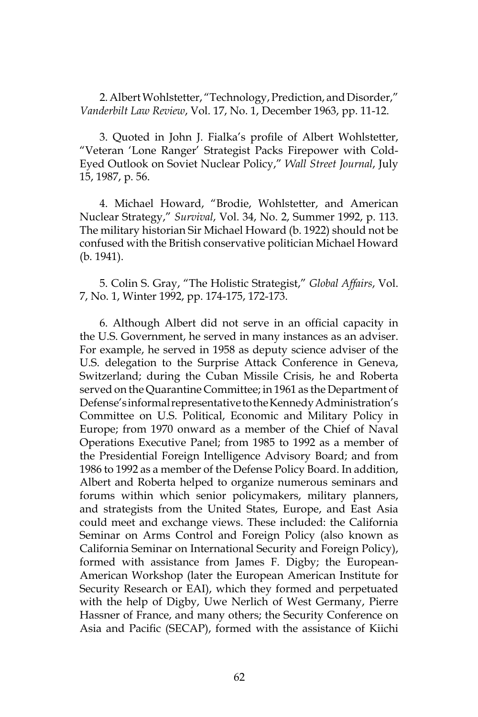2. Albert Wohlstetter, "Technology, Prediction, and Disorder," *Vanderbilt Law Review*, Vol. 17, No. 1, December 1963, pp. 11-12.

3. Quoted in John J. Fialka's profile of Albert Wohlstetter, "Veteran 'Lone Ranger' Strategist Packs Firepower with Cold-Eyed Outlook on Soviet Nuclear Policy," *Wall Street Journal*, July 15, 1987, p. 56.

4. Michael Howard, "Brodie, Wohlstetter, and American Nuclear Strategy," *Survival*, Vol. 34, No. 2, Summer 1992, p. 113. The military historian Sir Michael Howard (b. 1922) should not be confused with the British conservative politician Michael Howard (b. 1941).

5. Colin S. Gray, "The Holistic Strategist," *Global Affairs*, Vol. 7, No. 1, Winter 1992, pp. 174-175, 172-173.

6. Although Albert did not serve in an official capacity in the U.S. Government, he served in many instances as an adviser. For example, he served in 1958 as deputy science adviser of the U.S. delegation to the Surprise Attack Conference in Geneva, Switzerland; during the Cuban Missile Crisis, he and Roberta served on the Quarantine Committee; in 1961 as the Department of Defense's informal representative to the Kennedy Administration's Committee on U.S. Political, Economic and Military Policy in Europe; from 1970 onward as a member of the Chief of Naval Operations Executive Panel; from 1985 to 1992 as a member of the Presidential Foreign Intelligence Advisory Board; and from 1986 to 1992 as a member of the Defense Policy Board. In addition, Albert and Roberta helped to organize numerous seminars and forums within which senior policymakers, military planners, and strategists from the United States, Europe, and East Asia could meet and exchange views. These included: the California Seminar on Arms Control and Foreign Policy (also known as California Seminar on International Security and Foreign Policy), formed with assistance from James F. Digby; the European-American Workshop (later the European American Institute for Security Research or EAI), which they formed and perpetuated with the help of Digby, Uwe Nerlich of West Germany, Pierre Hassner of France, and many others; the Security Conference on Asia and Pacific (SECAP), formed with the assistance of Kiichi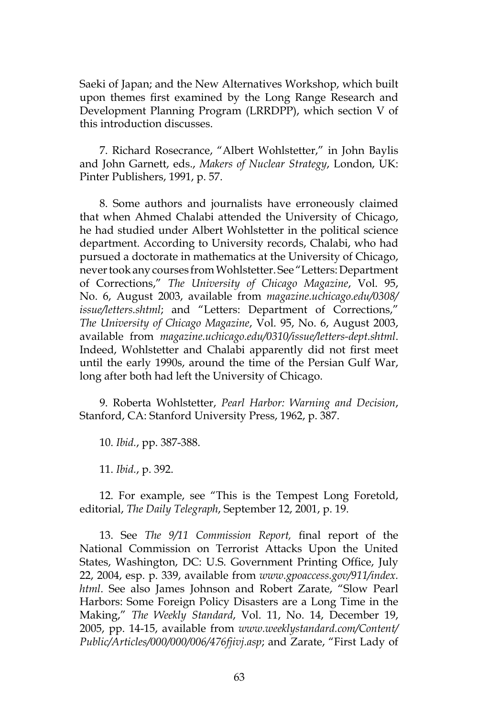Saeki of Japan; and the New Alternatives Workshop, which built upon themes first examined by the Long Range Research and Development Planning Program (LRRDPP), which section V of this introduction discusses.

7. Richard Rosecrance, "Albert Wohlstetter," in John Baylis and John Garnett, eds., *Makers of Nuclear Strategy*, London, UK: Pinter Publishers, 1991, p. 57.

8. Some authors and journalists have erroneously claimed that when Ahmed Chalabi attended the University of Chicago, he had studied under Albert Wohlstetter in the political science department. According to University records, Chalabi, who had pursued a doctorate in mathematics at the University of Chicago, never took any courses from Wohlstetter. See "Letters: Department of Corrections," *The University of Chicago Magazine*, Vol. 95, No. 6, August 2003, available from *magazine.uchicago.edu/0308/ issue/letters.shtml*; and "Letters: Department of Corrections," *The University of Chicago Magazine*, Vol. 95, No. 6, August 2003, available from *magazine.uchicago.edu/0310/issue/letters-dept.shtml*. Indeed, Wohlstetter and Chalabi apparently did not first meet until the early 1990s, around the time of the Persian Gulf War, long after both had left the University of Chicago.

9. Roberta Wohlstetter, *Pearl Harbor: Warning and Decision*, Stanford, CA: Stanford University Press, 1962, p. 387.

10. *Ibid.*, pp. 387-388.

11. *Ibid.*, p. 392.

12. For example, see "This is the Tempest Long Foretold, editorial, *The Daily Telegraph*, September 12, 2001, p. 19.

13. See *The 9/11 Commission Report,* final report of the National Commission on Terrorist Attacks Upon the United States, Washington, DC: U.S. Government Printing Office, July 22, 2004, esp. p. 339, available from *www.gpoaccess.gov/911/index. html*. See also James Johnson and Robert Zarate, "Slow Pearl Harbors: Some Foreign Policy Disasters are a Long Time in the Making," *The Weekly Standard*, Vol. 11, No. 14, December 19, 2005, pp. 14-15, available from *www.weeklystandard.com/Content/ Public/Articles/000/000/006/476fjivj.asp*; and Zarate, "First Lady of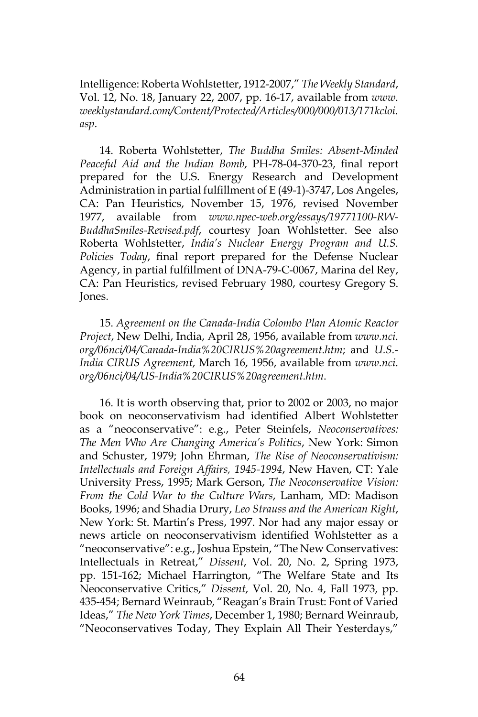Intelligence: Roberta Wohlstetter, 1912-2007," *The Weekly Standard*, Vol. 12, No. 18, January 22, 2007, pp. 16-17, available from *www. weeklystandard.com/Content/Protected/Articles/000/000/013/171kcloi. asp*.

14. Roberta Wohlstetter, *The Buddha Smiles: Absent-Minded Peaceful Aid and the Indian Bomb*, PH-78-04-370-23, final report prepared for the U.S. Energy Research and Development Administration in partial fulfillment of E (49-1)-3747, Los Angeles, CA: Pan Heuristics, November 15, 1976, revised November 1977, available from *www.npec-web.org/essays/19771100-RW-BuddhaSmiles-Revised.pdf*, courtesy Joan Wohlstetter. See also Roberta Wohlstetter, *India's Nuclear Energy Program and U.S. Policies Today*, final report prepared for the Defense Nuclear Agency, in partial fulfillment of DNA-79-C-0067, Marina del Rey, CA: Pan Heuristics, revised February 1980, courtesy Gregory S. Jones.

15. *Agreement on the Canada-India Colombo Plan Atomic Reactor Project*, New Delhi, India, April 28, 1956, available from *www.nci. org/06nci/04/Canada-India%20CIRUS%20agreement.htm*; and *U.S.- India CIRUS Agreement*, March 16, 1956, available from *www.nci. org/06nci/04/US-India%20CIRUS%20agreement.htm*.

16. It is worth observing that, prior to 2002 or 2003, no major book on neoconservativism had identified Albert Wohlstetter as a "neoconservative": e.g., Peter Steinfels, *Neoconservatives: The Men Who Are Changing America's Politics*, New York: Simon and Schuster, 1979; John Ehrman, *The Rise of Neoconservativism: Intellectuals and Foreign Affairs, 1945-1994*, New Haven, CT: Yale University Press, 1995; Mark Gerson, *The Neoconservative Vision: From the Cold War to the Culture Wars*, Lanham, MD: Madison Books, 1996; and Shadia Drury, *Leo Strauss and the American Right*, New York: St. Martin's Press, 1997. Nor had any major essay or news article on neoconservativism identified Wohlstetter as a "neoconservative": e.g., Joshua Epstein, "The New Conservatives: Intellectuals in Retreat," *Dissent*, Vol. 20, No. 2, Spring 1973, pp. 151-162; Michael Harrington, "The Welfare State and Its Neoconservative Critics," *Dissent*, Vol. 20, No. 4, Fall 1973, pp. 435-454; Bernard Weinraub, "Reagan's Brain Trust: Font of Varied Ideas," *The New York Times*, December 1, 1980; Bernard Weinraub, "Neoconservatives Today, They Explain All Their Yesterdays,"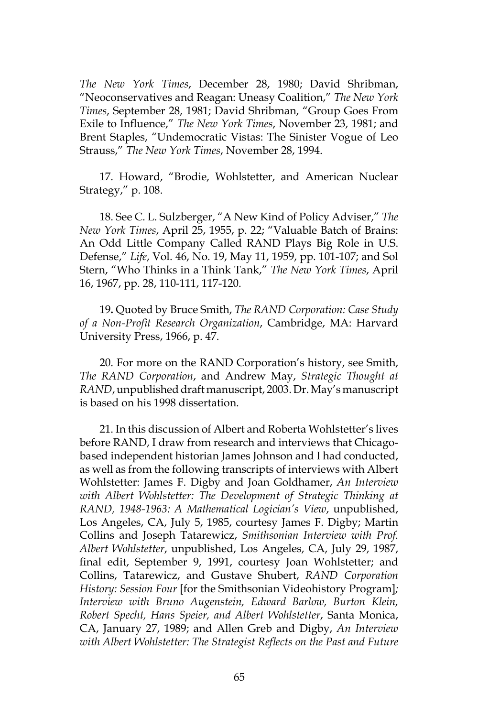*The New York Times*, December 28, 1980; David Shribman, "Neoconservatives and Reagan: Uneasy Coalition," *The New York Times*, September 28, 1981; David Shribman, "Group Goes From Exile to Influence," *The New York Times*, November 23, 1981; and Brent Staples, "Undemocratic Vistas: The Sinister Vogue of Leo Strauss," *The New York Times*, November 28, 1994.

17. Howard, "Brodie, Wohlstetter, and American Nuclear Strategy," p. 108.

18. See C. L. Sulzberger, "A New Kind of Policy Adviser," *The New York Times*, April 25, 1955, p. 22; "Valuable Batch of Brains: An Odd Little Company Called RAND Plays Big Role in U.S. Defense," *Life*, Vol. 46, No. 19, May 11, 1959, pp. 101-107; and Sol Stern, "Who Thinks in a Think Tank," *The New York Times*, April 16, 1967, pp. 28, 110-111, 117-120.

19**.** Quoted by Bruce Smith, *The RAND Corporation: Case Study of a Non-Profit Research Organization*, Cambridge, MA: Harvard University Press, 1966, p. 47.

20. For more on the RAND Corporation's history, see Smith, *The RAND Corporation*, and Andrew May, *Strategic Thought at RAND*, unpublished draft manuscript, 2003. Dr. May's manuscript is based on his 1998 dissertation.

21. In this discussion of Albert and Roberta Wohlstetter's lives before RAND, I draw from research and interviews that Chicagobased independent historian James Johnson and I had conducted, as well as from the following transcripts of interviews with Albert Wohlstetter: James F. Digby and Joan Goldhamer, *An Interview with Albert Wohlstetter: The Development of Strategic Thinking at RAND, 1948-1963: A Mathematical Logician's View*, unpublished, Los Angeles, CA, July 5, 1985, courtesy James F. Digby; Martin Collins and Joseph Tatarewicz, *Smithsonian Interview with Prof. Albert Wohlstetter*, unpublished, Los Angeles, CA, July 29, 1987, final edit, September 9, 1991, courtesy Joan Wohlstetter; and Collins, Tatarewicz, and Gustave Shubert, *RAND Corporation History: Session Four* [for the Smithsonian Videohistory Program]*; Interview with Bruno Augenstein, Edward Barlow, Burton Klein, Robert Specht, Hans Speier, and Albert Wohlstetter*, Santa Monica, CA, January 27, 1989; and Allen Greb and Digby, *An Interview with Albert Wohlstetter: The Strategist Reflects on the Past and Future*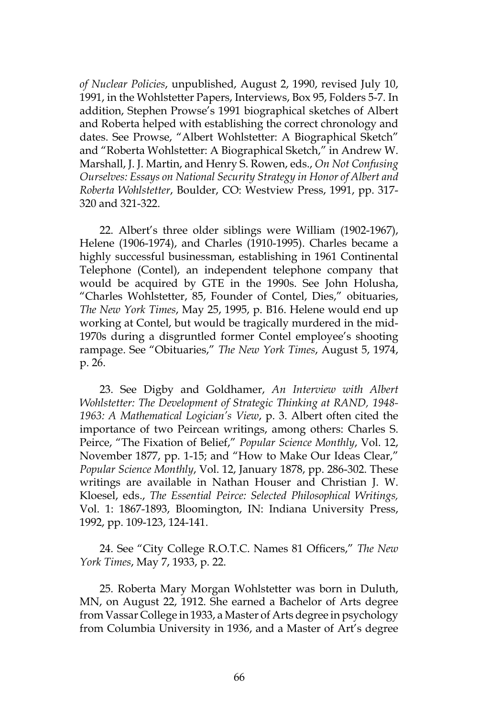*of Nuclear Policies*, unpublished, August 2, 1990, revised July 10, 1991, in the Wohlstetter Papers, Interviews, Box 95, Folders 5-7. In addition, Stephen Prowse's 1991 biographical sketches of Albert and Roberta helped with establishing the correct chronology and dates. See Prowse, "Albert Wohlstetter: A Biographical Sketch" and "Roberta Wohlstetter: A Biographical Sketch," in Andrew W. Marshall, J. J. Martin, and Henry S. Rowen, eds., *On Not Confusing Ourselves: Essays on National Security Strategy in Honor of Albert and Roberta Wohlstetter*, Boulder, CO: Westview Press, 1991, pp. 317- 320 and 321-322.

22. Albert's three older siblings were William (1902-1967), Helene (1906-1974), and Charles (1910-1995). Charles became a highly successful businessman, establishing in 1961 Continental Telephone (Contel), an independent telephone company that would be acquired by GTE in the 1990s. See John Holusha, "Charles Wohlstetter, 85, Founder of Contel, Dies," obituaries, *The New York Times*, May 25, 1995, p. B16. Helene would end up working at Contel, but would be tragically murdered in the mid-1970s during a disgruntled former Contel employee's shooting rampage. See "Obituaries," *The New York Times*, August 5, 1974, p. 26.

23. See Digby and Goldhamer, *An Interview with Albert Wohlstetter: The Development of Strategic Thinking at RAND, 1948- 1963: A Mathematical Logician's View*, p. 3. Albert often cited the importance of two Peircean writings, among others: Charles S. Peirce, "The Fixation of Belief," *Popular Science Monthly*, Vol. 12, November 1877, pp. 1-15; and "How to Make Our Ideas Clear," *Popular Science Monthly*, Vol. 12, January 1878, pp. 286-302. These writings are available in Nathan Houser and Christian J. W. Kloesel, eds., *The Essential Peirce: Selected Philosophical Writings,* Vol. 1: 1867-1893, Bloomington, IN: Indiana University Press, 1992, pp. 109-123, 124-141.

24. See "City College R.O.T.C. Names 81 Officers," *The New York Times*, May 7, 1933, p. 22.

25. Roberta Mary Morgan Wohlstetter was born in Duluth, MN, on August 22, 1912. She earned a Bachelor of Arts degree from Vassar College in 1933, a Master of Arts degree in psychology from Columbia University in 1936, and a Master of Art's degree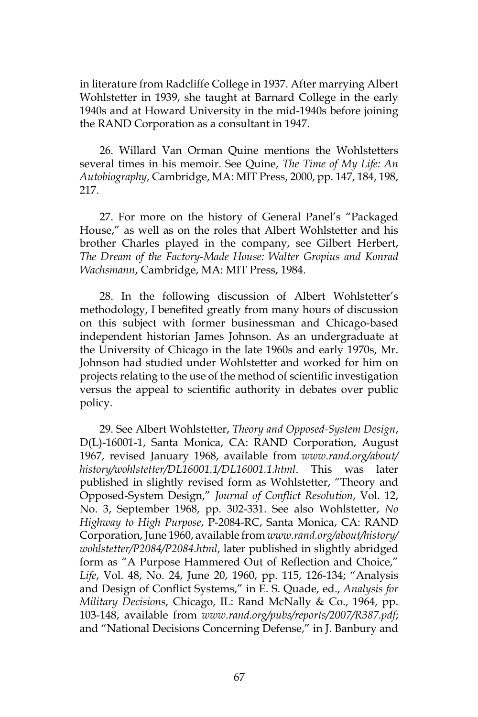in literature from Radcliffe College in 1937. After marrying Albert Wohlstetter in 1939, she taught at Barnard College in the early 1940s and at Howard University in the mid-1940s before joining the RAND Corporation as a consultant in 1947.

26. Willard Van Orman Quine mentions the Wohlstetters several times in his memoir. See Quine, *The Time of My Life: An Autobiography*, Cambridge, MA: MIT Press, 2000, pp. 147, 184, 198, 217.

27. For more on the history of General Panel's "Packaged House," as well as on the roles that Albert Wohlstetter and his brother Charles played in the company, see Gilbert Herbert, *The Dream of the Factory-Made House: Walter Gropius and Konrad Wachsmann*, Cambridge, MA: MIT Press, 1984.

28. In the following discussion of Albert Wohlstetter's methodology, I benefited greatly from many hours of discussion on this subject with former businessman and Chicago-based independent historian James Johnson. As an undergraduate at the University of Chicago in the late 1960s and early 1970s, Mr. Johnson had studied under Wohlstetter and worked for him on projects relating to the use of the method of scientific investigation versus the appeal to scientific authority in debates over public policy.

29. See Albert Wohlstetter, *Theory and Opposed-System Design*, D(L)-16001-1, Santa Monica, CA: RAND Corporation, August 1967, revised January 1968, available from *www.rand.org/about/ history/wohlstetter/DL16001.1/DL16001.1.html*. This was later published in slightly revised form as Wohlstetter, "Theory and Opposed-System Design," *Journal of Conflict Resolution*, Vol. 12, No. 3, September 1968, pp. 302-331. See also Wohlstetter, *No Highway to High Purpose*, P-2084-RC, Santa Monica, CA: RAND Corporation, June 1960, available from *www.rand.org/about/history/ wohlstetter/P2084/P2084.html*, later published in slightly abridged form as "A Purpose Hammered Out of Reflection and Choice," *Life*, Vol. 48, No. 24, June 20, 1960, pp. 115, 126-134; "Analysis and Design of Conflict Systems," in E. S. Quade, ed., *Analysis for Military Decisions*, Chicago, IL: Rand McNally & Co., 1964, pp. 103-148, available from *www.rand.org/pubs/reports/2007/R387.pdf*; and "National Decisions Concerning Defense," in J. Banbury and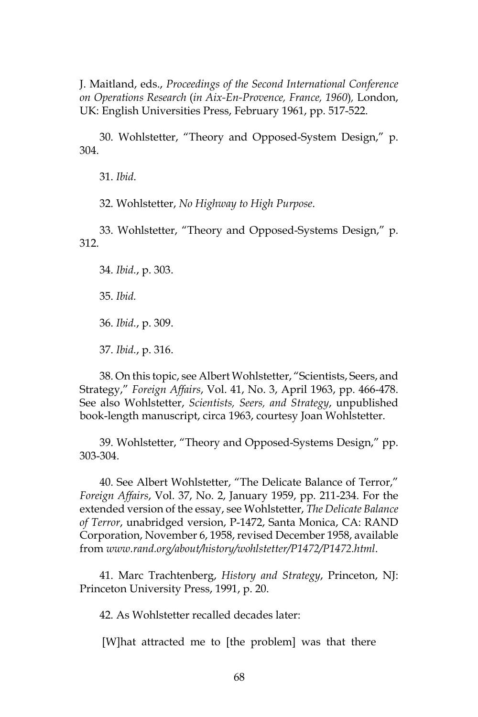J. Maitland, eds., *Proceedings of the Second International Conference on Operations Research* (*in Aix-En-Provence, France, 1960*)*,* London, UK: English Universities Press, February 1961, pp. 517-522.

30. Wohlstetter, "Theory and Opposed-System Design," p. 304.

31. *Ibid*.

32. Wohlstetter, *No Highway to High Purpose*.

33. Wohlstetter, "Theory and Opposed-Systems Design," p. 312.

34. *Ibid.*, p. 303.

35. *Ibid.*

36. *Ibid.*, p. 309.

37. *Ibid.*, p. 316.

38. On this topic, see Albert Wohlstetter, "Scientists, Seers, and Strategy," *Foreign Affairs*, Vol. 41, No. 3, April 1963, pp. 466-478. See also Wohlstetter, *Scientists, Seers, and Strategy*, unpublished book-length manuscript, circa 1963, courtesy Joan Wohlstetter.

39. Wohlstetter, "Theory and Opposed-Systems Design," pp. 303-304.

40. See Albert Wohlstetter, "The Delicate Balance of Terror," *Foreign Affairs*, Vol. 37, No. 2, January 1959, pp. 211-234. For the extended version of the essay, see Wohlstetter, *The Delicate Balance of Terror*, unabridged version, P-1472, Santa Monica, CA: RAND Corporation, November 6, 1958, revised December 1958, available from *www.rand.org/about/history/wohlstetter/P1472/P1472.html*.

41. Marc Trachtenberg, *History and Strategy*, Princeton, NJ: Princeton University Press, 1991, p. 20.

42. As Wohlstetter recalled decades later:

[W]hat attracted me to [the problem] was that there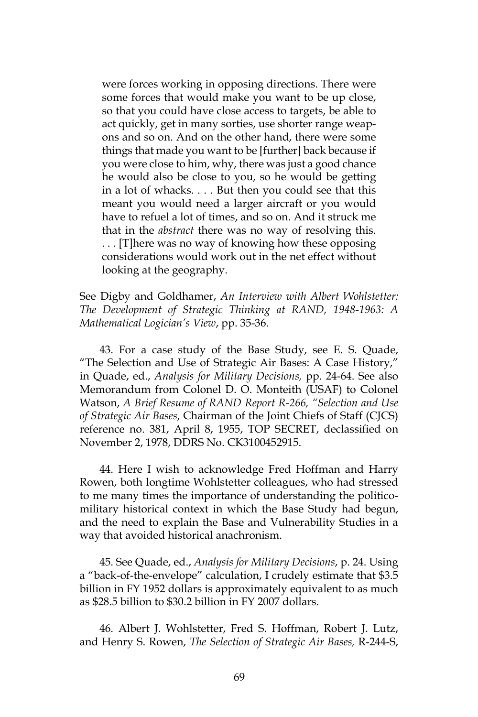were forces working in opposing directions. There were some forces that would make you want to be up close, so that you could have close access to targets, be able to act quickly, get in many sorties, use shorter range weapons and so on. And on the other hand, there were some things that made you want to be [further] back because if you were close to him, why, there was just a good chance he would also be close to you, so he would be getting in a lot of whacks. . . . But then you could see that this meant you would need a larger aircraft or you would have to refuel a lot of times, and so on. And it struck me that in the *abstract* there was no way of resolving this. . . . [T]here was no way of knowing how these opposing considerations would work out in the net effect without looking at the geography.

See Digby and Goldhamer, *An Interview with Albert Wohlstetter: The Development of Strategic Thinking at RAND, 1948-1963: A Mathematical Logician's View*, pp. 35-36.

43. For a case study of the Base Study, see E. S. Quade, "The Selection and Use of Strategic Air Bases: A Case History," in Quade, ed., *Analysis for Military Decisions,* pp. 24-64. See also Memorandum from Colonel D. O. Monteith (USAF) to Colonel Watson, *A Brief Resume of RAND Report R-266, "Selection and Use of Strategic Air Bases*, Chairman of the Joint Chiefs of Staff (CJCS) reference no. 381, April 8, 1955, TOP SECRET, declassified on November 2, 1978, DDRS No. CK3100452915.

44. Here I wish to acknowledge Fred Hoffman and Harry Rowen, both longtime Wohlstetter colleagues, who had stressed to me many times the importance of understanding the politicomilitary historical context in which the Base Study had begun, and the need to explain the Base and Vulnerability Studies in a way that avoided historical anachronism.

45. See Quade, ed., *Analysis for Military Decisions*, p. 24. Using a "back-of-the-envelope" calculation, I crudely estimate that \$3.5 billion in FY 1952 dollars is approximately equivalent to as much as \$28.5 billion to \$30.2 billion in FY 2007 dollars.

46. Albert J. Wohlstetter, Fred S. Hoffman, Robert J. Lutz, and Henry S. Rowen, *The Selection of Strategic Air Bases,* R-244-S,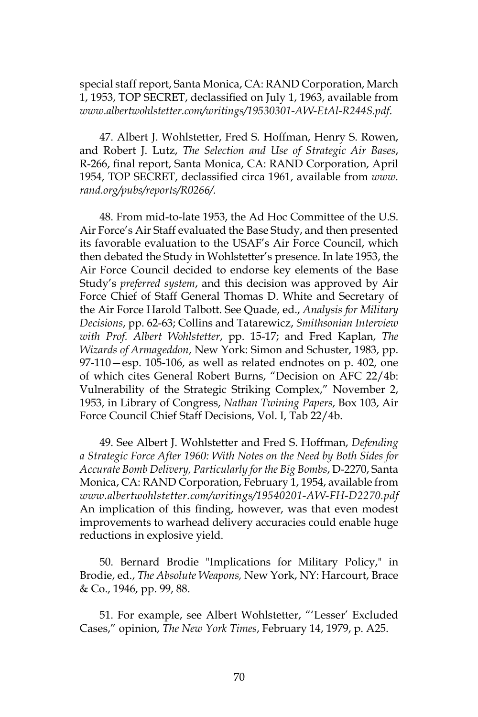special staff report, Santa Monica, CA: RAND Corporation, March 1, 1953, TOP SECRET, declassified on July 1, 1963, available from *www.albertwohlstetter.com/writings/19530301-AW-EtAl-R244S.pdf*.

47. Albert J. Wohlstetter, Fred S. Hoffman, Henry S. Rowen, and Robert J. Lutz, *The Selection and Use of Strategic Air Bases*, R-266, final report, Santa Monica, CA: RAND Corporation, April 1954, TOP SECRET, declassified circa 1961, available from *www. rand.org/pubs/reports/R0266/*.

48. From mid-to-late 1953, the Ad Hoc Committee of the U.S. Air Force's Air Staff evaluated the Base Study, and then presented its favorable evaluation to the USAF's Air Force Council, which then debated the Study in Wohlstetter's presence. In late 1953, the Air Force Council decided to endorse key elements of the Base Study's *preferred system*, and this decision was approved by Air Force Chief of Staff General Thomas D. White and Secretary of the Air Force Harold Talbott. See Quade, ed., *Analysis for Military Decisions*, pp. 62-63; Collins and Tatarewicz, *Smithsonian Interview with Prof. Albert Wohlstetter*, pp. 15-17; and Fred Kaplan, *The Wizards of Armageddon*, New York: Simon and Schuster, 1983, pp. 97-110—esp. 105-106, as well as related endnotes on p. 402, one of which cites General Robert Burns, "Decision on AFC 22/4b: Vulnerability of the Strategic Striking Complex," November 2, 1953, in Library of Congress, *Nathan Twining Papers*, Box 103, Air Force Council Chief Staff Decisions, Vol. I, Tab 22/4b.

49. See Albert J. Wohlstetter and Fred S. Hoffman, *Defending a Strategic Force After 1960: With Notes on the Need by Both Sides for Accurate Bomb Delivery, Particularly for the Big Bombs*, D-2270, Santa Monica, CA: RAND Corporation, February 1, 1954, available from *www.albertwohlstetter.com/writings/19540201-AW-FH-D2270.pdf*  An implication of this finding, however, was that even modest improvements to warhead delivery accuracies could enable huge reductions in explosive yield.

50. Bernard Brodie "Implications for Military Policy," in Brodie, ed., *The Absolute Weapons,* New York, NY: Harcourt, Brace & Co., 1946, pp. 99, 88.

51. For example, see Albert Wohlstetter, "'Lesser' Excluded Cases," opinion, *The New York Times*, February 14, 1979, p. A25.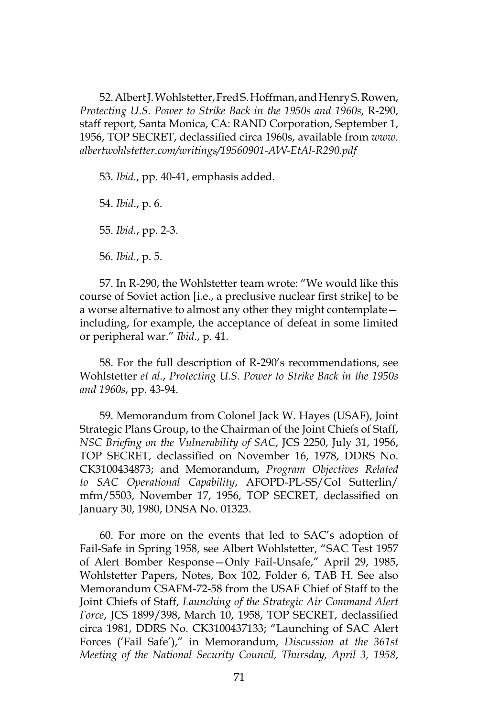52. Albert J. Wohlstetter, Fred S. Hoffman, and Henry S. Rowen, *Protecting U.S. Power to Strike Back in the 1950s and 1960s*, R-290, staff report, Santa Monica, CA: RAND Corporation, September 1, 1956, TOP SECRET, declassified circa 1960s, available from *www. albertwohlstetter.com/writings/19560901-AW-EtAl-R290.pdf*

53. *Ibid.*, pp. 40-41, emphasis added.

54. *Ibid*., p. 6.

55. *Ibid.*, pp. 2-3.

56. *Ibid.*, p. 5.

57. In R-290, the Wohlstetter team wrote: "We would like this course of Soviet action [i.e., a preclusive nuclear first strike] to be a worse alternative to almost any other they might contemplate including, for example, the acceptance of defeat in some limited or peripheral war." *Ibid.*, p. 41.

58. For the full description of R-290's recommendations, see Wohlstetter *et al.*, *Protecting U.S. Power to Strike Back in the 1950s and 1960s*, pp. 43-94.

59. Memorandum from Colonel Jack W. Hayes (USAF), Joint Strategic Plans Group, to the Chairman of the Joint Chiefs of Staff, *NSC Briefing on the Vulnerability of SAC*, JCS 2250, July 31, 1956, TOP SECRET, declassified on November 16, 1978, DDRS No. CK3100434873; and Memorandum, *Program Objectives Related to SAC Operational Capability*, AFOPD-PL-SS/Col Sutterlin/ mfm/5503, November 17, 1956, TOP SECRET, declassified on January 30, 1980, DNSA No. 01323.

60. For more on the events that led to SAC's adoption of Fail-Safe in Spring 1958, see Albert Wohlstetter, "SAC Test 1957 of Alert Bomber Response—Only Fail-Unsafe," April 29, 1985, Wohlstetter Papers, Notes, Box 102, Folder 6, TAB H. See also Memorandum CSAFM-72-58 from the USAF Chief of Staff to the Joint Chiefs of Staff, *Launching of the Strategic Air Command Alert Force*, JCS 1899/398, March 10, 1958, TOP SECRET, declassified circa 1981, DDRS No. CK3100437133; "Launching of SAC Alert Forces ('Fail Safe')," in Memorandum, *Discussion at the 361st Meeting of the National Security Council, Thursday, April 3, 1958*,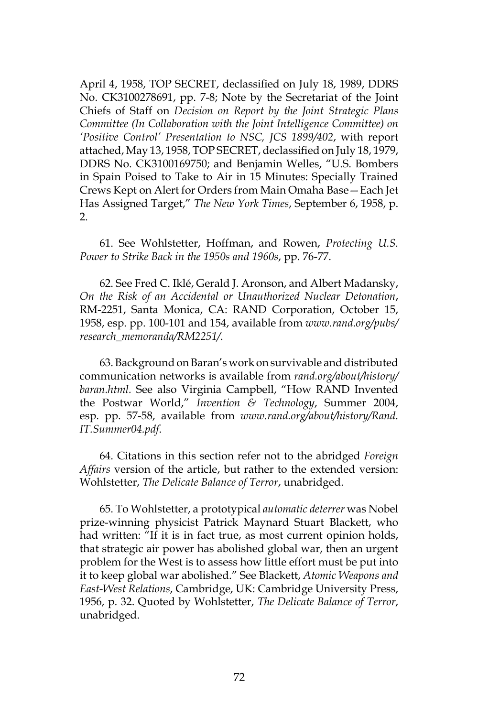April 4, 1958, TOP SECRET, declassified on July 18, 1989, DDRS No. CK3100278691, pp. 7-8; Note by the Secretariat of the Joint Chiefs of Staff on *Decision on Report by the Joint Strategic Plans Committee (In Collaboration with the Joint Intelligence Committee) on 'Positive Control' Presentation to NSC, JCS 1899/402*, with report attached, May 13, 1958, TOP SECRET, declassified on July 18, 1979, DDRS No. CK3100169750; and Benjamin Welles, "U.S. Bombers in Spain Poised to Take to Air in 15 Minutes: Specially Trained Crews Kept on Alert for Orders from Main Omaha Base—Each Jet Has Assigned Target," *The New York Times*, September 6, 1958, p. 2.

61. See Wohlstetter, Hoffman, and Rowen, *Protecting U.S. Power to Strike Back in the 1950s and 1960s*, pp. 76-77.

62. See Fred C. Iklé, Gerald J. Aronson, and Albert Madansky, *On the Risk of an Accidental or Unauthorized Nuclear Detonation*, RM-2251, Santa Monica, CA: RAND Corporation, October 15, 1958, esp. pp. 100-101 and 154, available from *www.rand.org/pubs/ research\_memoranda/RM2251/*.

63. Background on Baran's work on survivable and distributed communication networks is available from *rand.org/about/history/ baran.html.* See also Virginia Campbell, "How RAND Invented the Postwar World," *Invention & Technology*, Summer 2004, esp. pp. 57-58, available from *www.rand.org/about/history/Rand. IT.Summer04.pdf*.

64. Citations in this section refer not to the abridged *Foreign Affairs* version of the article, but rather to the extended version: Wohlstetter, *The Delicate Balance of Terror*, unabridged.

65. To Wohlstetter, a prototypical *automatic deterrer* was Nobel prize-winning physicist Patrick Maynard Stuart Blackett, who had written: "If it is in fact true, as most current opinion holds, that strategic air power has abolished global war, then an urgent problem for the West is to assess how little effort must be put into it to keep global war abolished." See Blackett, *Atomic Weapons and East-West Relations*, Cambridge, UK: Cambridge University Press, 1956, p. 32. Quoted by Wohlstetter, *The Delicate Balance of Terror*, unabridged.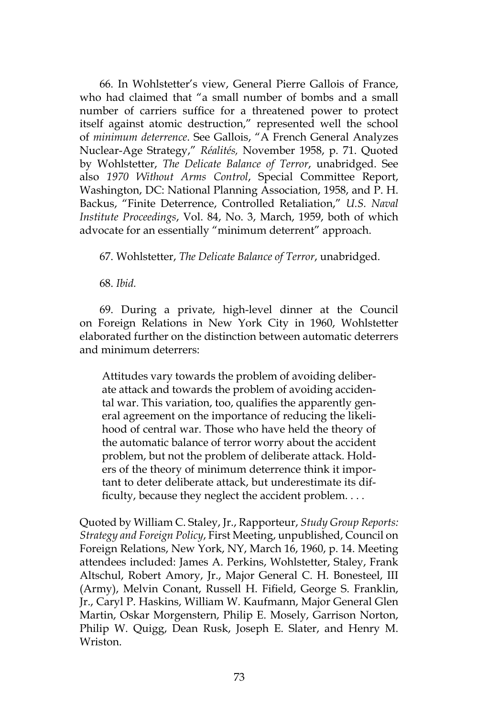66. In Wohlstetter's view, General Pierre Gallois of France, who had claimed that "a small number of bombs and a small number of carriers suffice for a threatened power to protect itself against atomic destruction," represented well the school of *minimum deterrence*. See Gallois, "A French General Analyzes Nuclear-Age Strategy," *Réalités,* November 1958, p. 71. Quoted by Wohlstetter, *The Delicate Balance of Terror*, unabridged. See also *1970 Without Arms Control*, Special Committee Report, Washington, DC: National Planning Association, 1958, and P. H. Backus, "Finite Deterrence, Controlled Retaliation," *U.S. Naval Institute Proceedings*, Vol. 84, No. 3, March, 1959, both of which advocate for an essentially "minimum deterrent" approach.

67. Wohlstetter, *The Delicate Balance of Terror*, unabridged.

68. *Ibid.*

69. During a private, high-level dinner at the Council on Foreign Relations in New York City in 1960, Wohlstetter elaborated further on the distinction between automatic deterrers and minimum deterrers:

Attitudes vary towards the problem of avoiding deliberate attack and towards the problem of avoiding accidental war. This variation, too, qualifies the apparently general agreement on the importance of reducing the likelihood of central war. Those who have held the theory of the automatic balance of terror worry about the accident problem, but not the problem of deliberate attack. Holders of the theory of minimum deterrence think it important to deter deliberate attack, but underestimate its difficulty, because they neglect the accident problem. . . .

Quoted by William C. Staley, Jr., Rapporteur, *Study Group Reports: Strategy and Foreign Policy*, First Meeting, unpublished, Council on Foreign Relations, New York, NY, March 16, 1960, p. 14. Meeting attendees included: James A. Perkins, Wohlstetter, Staley, Frank Altschul, Robert Amory, Jr., Major General C. H. Bonesteel, III (Army), Melvin Conant, Russell H. Fifield, George S. Franklin, Jr., Caryl P. Haskins, William W. Kaufmann, Major General Glen Martin, Oskar Morgenstern, Philip E. Mosely, Garrison Norton, Philip W. Quigg, Dean Rusk, Joseph E. Slater, and Henry M. Wriston.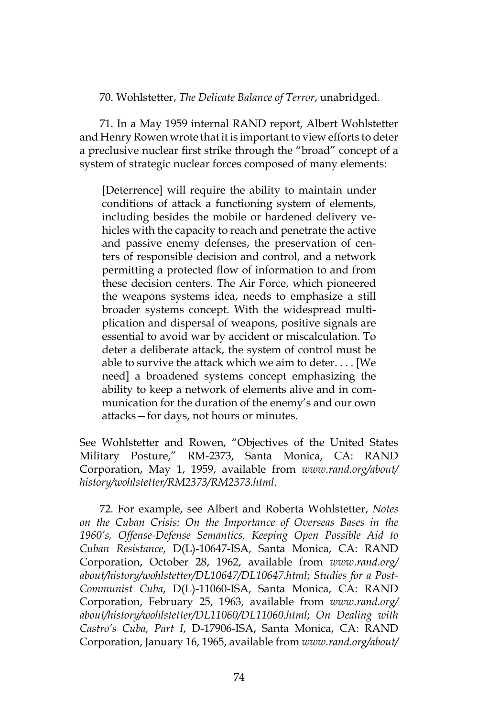## 70. Wohlstetter, *The Delicate Balance of Terror*, unabridged.

71. In a May 1959 internal RAND report, Albert Wohlstetter and Henry Rowen wrote that it is important to view efforts to deter a preclusive nuclear first strike through the "broad" concept of a system of strategic nuclear forces composed of many elements:

[Deterrence] will require the ability to maintain under conditions of attack a functioning system of elements, including besides the mobile or hardened delivery vehicles with the capacity to reach and penetrate the active and passive enemy defenses, the preservation of centers of responsible decision and control, and a network permitting a protected flow of information to and from these decision centers. The Air Force, which pioneered the weapons systems idea, needs to emphasize a still broader systems concept. With the widespread multiplication and dispersal of weapons, positive signals are essential to avoid war by accident or miscalculation. To deter a deliberate attack, the system of control must be able to survive the attack which we aim to deter. . . . [We need] a broadened systems concept emphasizing the ability to keep a network of elements alive and in communication for the duration of the enemy's and our own attacks—for days, not hours or minutes.

See Wohlstetter and Rowen, "Objectives of the United States Military Posture," RM-2373, Santa Monica, CA: RAND Corporation, May 1, 1959, available from *www.rand.org/about/ history/wohlstetter/RM2373/RM2373.html*.

72. For example, see Albert and Roberta Wohlstetter, *Notes on the Cuban Crisis: On the Importance of Overseas Bases in the 1960's, Offense-Defense Semantics, Keeping Open Possible Aid to Cuban Resistance*, D(L)-10647-ISA, Santa Monica, CA: RAND Corporation, October 28, 1962, available from *www.rand.org/ about/history/wohlstetter/DL10647/DL10647.html*; *Studies for a Post-Communist Cuba*, D(L)-11060-ISA, Santa Monica, CA: RAND Corporation, February 25, 1963, available from *www.rand.org/ about/history/wohlstetter/DL11060/DL11060.html*; *On Dealing with Castro's Cuba, Part I*, D-17906-ISA, Santa Monica, CA: RAND Corporation, January 16, 1965, available from *www.rand.org/about/*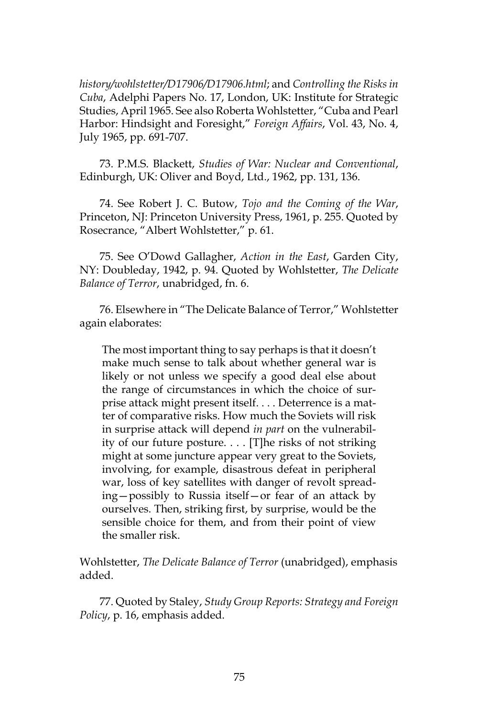*history/wohlstetter/D17906/D17906.html*; and *Controlling the Risks in Cuba*, Adelphi Papers No. 17, London, UK: Institute for Strategic Studies, April 1965. See also Roberta Wohlstetter, "Cuba and Pearl Harbor: Hindsight and Foresight," *Foreign Affairs*, Vol. 43, No. 4, July 1965, pp. 691-707.

73. P.M.S. Blackett, *Studies of War: Nuclear and Conventional*, Edinburgh, UK: Oliver and Boyd, Ltd., 1962, pp. 131, 136.

74. See Robert J. C. Butow, *Tojo and the Coming of the War*, Princeton, NJ: Princeton University Press, 1961, p. 255. Quoted by Rosecrance, "Albert Wohlstetter," p. 61.

75. See O'Dowd Gallagher, *Action in the East*, Garden City, NY: Doubleday, 1942, p. 94. Quoted by Wohlstetter, *The Delicate Balance of Terror*, unabridged, fn. 6.

76. Elsewhere in "The Delicate Balance of Terror," Wohlstetter again elaborates:

The most important thing to say perhaps is that it doesn't make much sense to talk about whether general war is likely or not unless we specify a good deal else about the range of circumstances in which the choice of surprise attack might present itself. . . . Deterrence is a matter of comparative risks. How much the Soviets will risk in surprise attack will depend *in part* on the vulnerability of our future posture. . . . [T]he risks of not striking might at some juncture appear very great to the Soviets, involving, for example, disastrous defeat in peripheral war, loss of key satellites with danger of revolt spreading—possibly to Russia itself—or fear of an attack by ourselves. Then, striking first, by surprise, would be the sensible choice for them, and from their point of view the smaller risk.

Wohlstetter, *The Delicate Balance of Terror* (unabridged), emphasis added.

77. Quoted by Staley, *Study Group Reports: Strategy and Foreign Policy*, p. 16, emphasis added.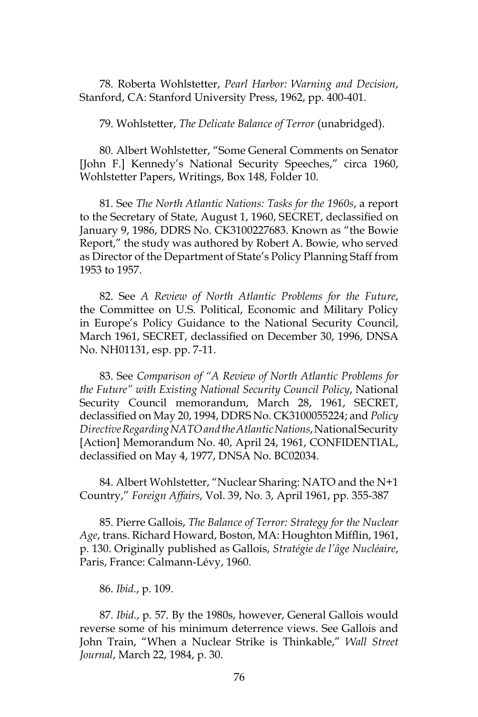78. Roberta Wohlstetter, *Pearl Harbor: Warning and Decision*, Stanford, CA: Stanford University Press, 1962, pp. 400-401.

79. Wohlstetter, *The Delicate Balance of Terror* (unabridged).

80. Albert Wohlstetter, "Some General Comments on Senator [John F.] Kennedy's National Security Speeches," circa 1960, Wohlstetter Papers, Writings, Box 148, Folder 10.

81. See *The North Atlantic Nations: Tasks for the 1960s*, a report to the Secretary of State, August 1, 1960, SECRET, declassified on January 9, 1986, DDRS No. CK3100227683. Known as "the Bowie Report," the study was authored by Robert A. Bowie, who served as Director of the Department of State's Policy Planning Staff from 1953 to 1957.

82. See *A Review of North Atlantic Problems for the Future*, the Committee on U.S. Political, Economic and Military Policy in Europe's Policy Guidance to the National Security Council, March 1961, SECRET, declassified on December 30, 1996, DNSA No. NH01131, esp. pp. 7-11.

83. See *Comparison of "A Review of North Atlantic Problems for the Future" with Existing National Security Council Policy*, National Security Council memorandum, March 28, 1961, SECRET, declassified on May 20, 1994, DDRS No. CK3100055224; and *Policy Directive Regarding NATO and the Atlantic Nations*, National Security [Action] Memorandum No. 40, April 24, 1961, CONFIDENTIAL, declassified on May 4, 1977, DNSA No. BC02034.

84. Albert Wohlstetter, "Nuclear Sharing: NATO and the N+1 Country," *Foreign Affairs*, Vol. 39, No. 3, April 1961, pp. 355-387

85. Pierre Gallois, *The Balance of Terror: Strategy for the Nuclear Age*, trans. Richard Howard, Boston, MA: Houghton Mifflin, 1961, p. 130. Originally published as Gallois, *Stratégie de l'âge Nucléaire*, Paris, France: Calmann-Lévy, 1960.

86. *Ibid.*, p. 109.

87. *Ibid.*, p. 57. By the 1980s, however, General Gallois would reverse some of his minimum deterrence views. See Gallois and John Train, "When a Nuclear Strike is Thinkable," *Wall Street Journal*, March 22, 1984, p. 30.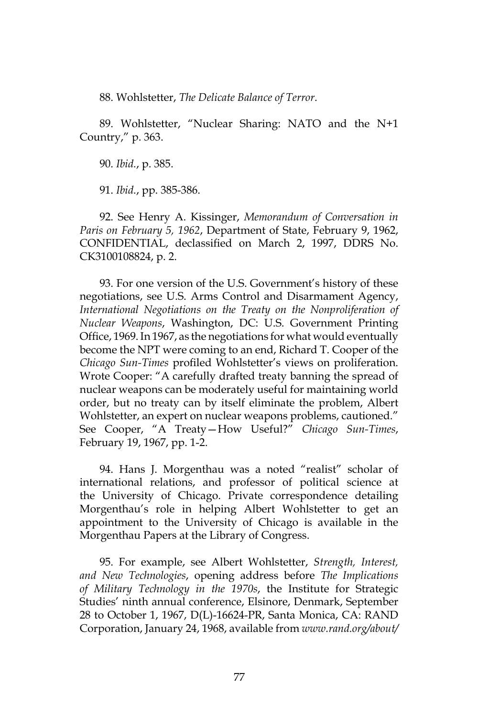88. Wohlstetter, *The Delicate Balance of Terror*.

89. Wohlstetter, "Nuclear Sharing: NATO and the N+1 Country," p. 363.

90. *Ibid.*, p. 385.

91. *Ibid.*, pp. 385-386.

92. See Henry A. Kissinger, *Memorandum of Conversation in Paris on February 5, 1962*, Department of State, February 9, 1962, CONFIDENTIAL, declassified on March 2, 1997, DDRS No. CK3100108824, p. 2.

93. For one version of the U.S. Government's history of these negotiations, see U.S. Arms Control and Disarmament Agency, *International Negotiations on the Treaty on the Nonproliferation of Nuclear Weapons*, Washington, DC: U.S. Government Printing Office, 1969. In 1967, as the negotiations for what would eventually become the NPT were coming to an end, Richard T. Cooper of the *Chicago Sun-Times* profiled Wohlstetter's views on proliferation. Wrote Cooper: "A carefully drafted treaty banning the spread of nuclear weapons can be moderately useful for maintaining world order, but no treaty can by itself eliminate the problem, Albert Wohlstetter, an expert on nuclear weapons problems, cautioned." See Cooper, "A Treaty—How Useful?" *Chicago Sun-Times*, February 19, 1967, pp. 1-2.

94. Hans J. Morgenthau was a noted "realist" scholar of international relations, and professor of political science at the University of Chicago. Private correspondence detailing Morgenthau's role in helping Albert Wohlstetter to get an appointment to the University of Chicago is available in the Morgenthau Papers at the Library of Congress.

95. For example, see Albert Wohlstetter, *Strength, Interest, and New Technologies*, opening address before *The Implications of Military Technology in the 1970s*, the Institute for Strategic Studies' ninth annual conference, Elsinore, Denmark, September 28 to October 1, 1967, D(L)-16624-PR, Santa Monica, CA: RAND Corporation, January 24, 1968, available from *www.rand.org/about/*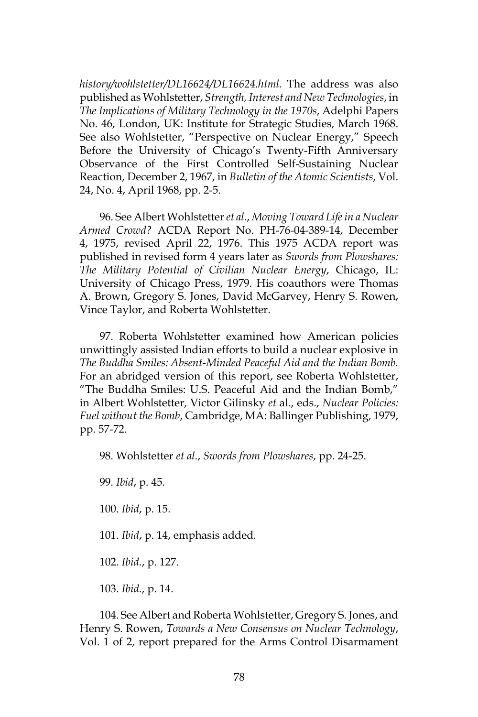*history/wohlstetter/DL16624/DL16624.html.* The address was also published as Wohlstetter, *Strength, Interest and New Technologies*, in *The Implications of Military Technology in the 1970s*, Adelphi Papers No. 46, London, UK: Institute for Strategic Studies, March 1968. See also Wohlstetter, "Perspective on Nuclear Energy," Speech Before the University of Chicago's Twenty-Fifth Anniversary Observance of the First Controlled Self-Sustaining Nuclear Reaction, December 2, 1967, in *Bulletin of the Atomic Scientists*, Vol. 24, No. 4, April 1968, pp. 2-5.

96. See Albert Wohlstetter *et al.*, *Moving Toward Life in a Nuclear Armed Crowd?* ACDA Report No. PH-76-04-389-14, December 4, 1975, revised April 22, 1976. This 1975 ACDA report was published in revised form 4 years later as *Swords from Plowshares: The Military Potential of Civilian Nuclear Energy*, Chicago, IL: University of Chicago Press, 1979. His coauthors were Thomas A. Brown, Gregory S. Jones, David McGarvey, Henry S. Rowen, Vince Taylor, and Roberta Wohlstetter.

97. Roberta Wohlstetter examined how American policies unwittingly assisted Indian efforts to build a nuclear explosive in *The Buddha Smiles: Absent-Minded Peaceful Aid and the Indian Bomb.* For an abridged version of this report, see Roberta Wohlstetter, "The Buddha Smiles: U.S. Peaceful Aid and the Indian Bomb," in Albert Wohlstetter, Victor Gilinsky *et* al., eds., *Nuclear Policies: Fuel without the Bomb*, Cambridge, MA: Ballinger Publishing, 1979, pp. 57-72.

98. Wohlstetter *et al.*, *Swords from Plowshares*, pp. 24-25.

99. *Ibid*, p. 45*.*

100. *Ibid*, p. 15*.*

101. *Ibid*, p. 14, emphasis added*.*

102. *Ibid.*, p. 127.

103. *Ibid.*, p. 14.

104. See Albert and Roberta Wohlstetter, Gregory S. Jones, and Henry S. Rowen, *Towards a New Consensus on Nuclear Technology*, Vol. 1 of 2, report prepared for the Arms Control Disarmament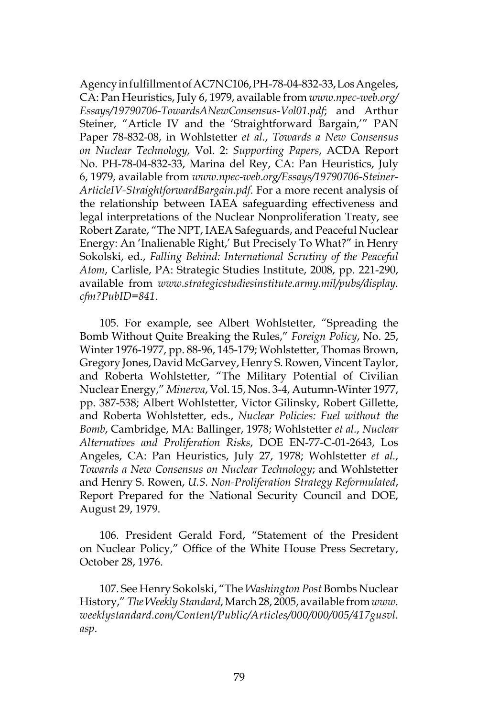Agency in fulfillment of AC7NC106, PH-78-04-832-33, Los Angeles, CA: Pan Heuristics, July 6, 1979, available from *www.npec-web.org/ Essays/19790706-TowardsANewConsensus-Vol01.pdf*; and Arthur Steiner, "Article IV and the 'Straightforward Bargain,'" PAN Paper 78-832-08, in Wohlstetter *et al.*, *Towards a New Consensus on Nuclear Technology,* Vol. 2: *Supporting Papers*, ACDA Report No. PH-78-04-832-33, Marina del Rey, CA: Pan Heuristics, July 6, 1979, available from *www.npec-web.org/Essays/19790706-Steiner-ArticleIV-StraightforwardBargain.pdf*. For a more recent analysis of the relationship between IAEA safeguarding effectiveness and legal interpretations of the Nuclear Nonproliferation Treaty, see Robert Zarate, "The NPT, IAEA Safeguards, and Peaceful Nuclear Energy: An 'Inalienable Right,' But Precisely To What?" in Henry Sokolski, ed., *Falling Behind: International Scrutiny of the Peaceful Atom*, Carlisle, PA: Strategic Studies Institute, 2008, pp. 221-290, available from *www.strategicstudiesinstitute.army.mil/pubs/display. cfm?PubID=841*.

105. For example, see Albert Wohlstetter, "Spreading the Bomb Without Quite Breaking the Rules," *Foreign Policy*, No. 25, Winter 1976-1977, pp. 88-96, 145-179; Wohlstetter, Thomas Brown, Gregory Jones, David McGarvey, Henry S. Rowen, Vincent Taylor, and Roberta Wohlstetter, "The Military Potential of Civilian Nuclear Energy," *Minerva*, Vol. 15, Nos. 3-4, Autumn-Winter 1977, pp. 387-538; Albert Wohlstetter, Victor Gilinsky, Robert Gillette, and Roberta Wohlstetter, eds., *Nuclear Policies: Fuel without the Bomb*, Cambridge, MA: Ballinger, 1978; Wohlstetter *et al.*, *Nuclear Alternatives and Proliferation Risks*, DOE EN-77-C-01-2643, Los Angeles, CA: Pan Heuristics, July 27, 1978; Wohlstetter *et al.*, *Towards a New Consensus on Nuclear Technology*; and Wohlstetter and Henry S. Rowen, *U.S. Non-Proliferation Strategy Reformulated*, Report Prepared for the National Security Council and DOE, August 29, 1979.

106. President Gerald Ford, "Statement of the President on Nuclear Policy," Office of the White House Press Secretary, October 28, 1976.

107. See Henry Sokolski, "The *Washington Post* Bombs Nuclear History," *The Weekly Standard*, March 28, 2005, available from *www. weeklystandard.com/Content/Public/Articles/000/000/005/417gusvl. asp*.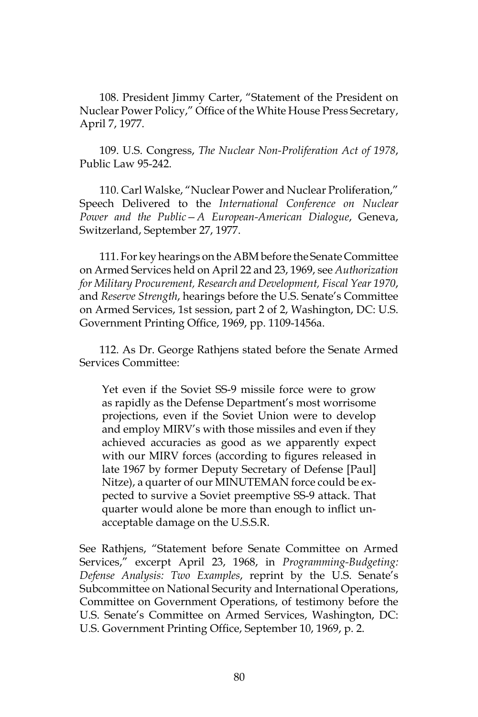108. President Jimmy Carter, "Statement of the President on Nuclear Power Policy," Office of the White House Press Secretary, April 7, 1977.

109. U.S. Congress, *The Nuclear Non-Proliferation Act of 1978*, Public Law 95-242.

110. Carl Walske, "Nuclear Power and Nuclear Proliferation," Speech Delivered to the *International Conference on Nuclear Power and the Public—A European-American Dialogue*, Geneva, Switzerland, September 27, 1977.

111. For key hearings on the ABM before the Senate Committee on Armed Services held on April 22 and 23, 1969, see *Authorization for Military Procurement, Research and Development, Fiscal Year 1970*, and *Reserve Strength*, hearings before the U.S. Senate's Committee on Armed Services, 1st session, part 2 of 2, Washington, DC: U.S. Government Printing Office, 1969, pp. 1109-1456a.

112. As Dr. George Rathjens stated before the Senate Armed Services Committee:

Yet even if the Soviet SS-9 missile force were to grow as rapidly as the Defense Department's most worrisome projections, even if the Soviet Union were to develop and employ MIRV's with those missiles and even if they achieved accuracies as good as we apparently expect with our MIRV forces (according to figures released in late 1967 by former Deputy Secretary of Defense [Paul] Nitze), a quarter of our MINUTEMAN force could be expected to survive a Soviet preemptive SS-9 attack. That quarter would alone be more than enough to inflict unacceptable damage on the U.S.S.R.

See Rathjens, "Statement before Senate Committee on Armed Services," excerpt April 23, 1968, in *Programming-Budgeting: Defense Analysis: Two Examples*, reprint by the U.S. Senate's Subcommittee on National Security and International Operations, Committee on Government Operations, of testimony before the U.S. Senate's Committee on Armed Services, Washington, DC: U.S. Government Printing Office, September 10, 1969, p. 2.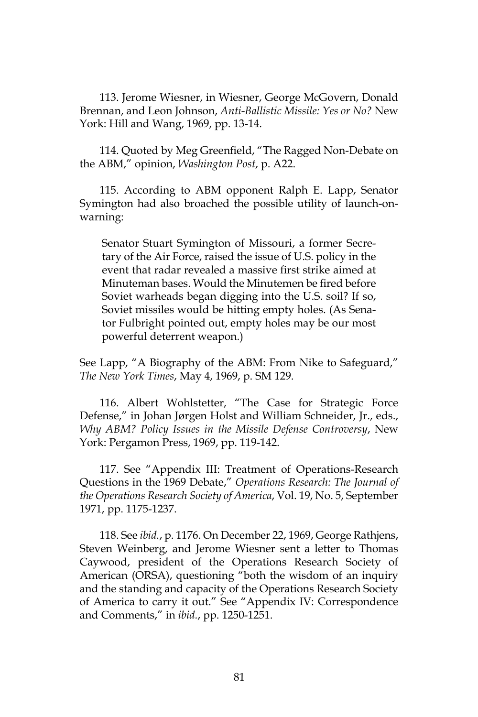113. Jerome Wiesner, in Wiesner, George McGovern, Donald Brennan, and Leon Johnson, *Anti-Ballistic Missile: Yes or No?* New York: Hill and Wang, 1969, pp. 13-14.

114. Quoted by Meg Greenfield, "The Ragged Non-Debate on the ABM," opinion, *Washington Post*, p. A22.

115. According to ABM opponent Ralph E. Lapp, Senator Symington had also broached the possible utility of launch-onwarning:

Senator Stuart Symington of Missouri, a former Secretary of the Air Force, raised the issue of U.S. policy in the event that radar revealed a massive first strike aimed at Minuteman bases. Would the Minutemen be fired before Soviet warheads began digging into the U.S. soil? If so, Soviet missiles would be hitting empty holes. (As Senator Fulbright pointed out, empty holes may be our most powerful deterrent weapon.)

See Lapp, "A Biography of the ABM: From Nike to Safeguard," *The New York Times*, May 4, 1969, p. SM 129.

116. Albert Wohlstetter, "The Case for Strategic Force Defense," in Johan Jørgen Holst and William Schneider, Jr., eds., *Why ABM? Policy Issues in the Missile Defense Controversy*, New York: Pergamon Press, 1969, pp. 119-142.

117. See "Appendix III: Treatment of Operations-Research Questions in the 1969 Debate," *Operations Research: The Journal of the Operations Research Society of America*, Vol. 19, No. 5, September 1971, pp. 1175-1237.

118. See *ibid.*, p. 1176. On December 22, 1969, George Rathjens, Steven Weinberg, and Jerome Wiesner sent a letter to Thomas Caywood, president of the Operations Research Society of American (ORSA), questioning "both the wisdom of an inquiry and the standing and capacity of the Operations Research Society of America to carry it out." See "Appendix IV: Correspondence and Comments," in *ibid.*, pp. 1250-1251.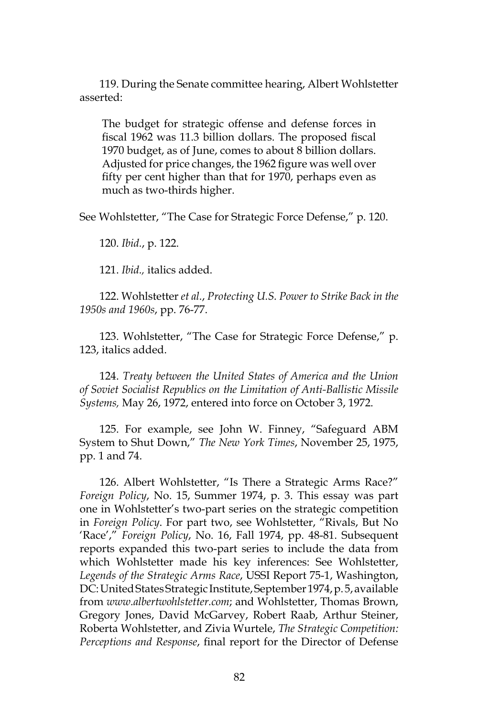119. During the Senate committee hearing, Albert Wohlstetter asserted:

The budget for strategic offense and defense forces in fiscal 1962 was 11.3 billion dollars. The proposed fiscal 1970 budget, as of June, comes to about 8 billion dollars. Adjusted for price changes, the 1962 figure was well over fifty per cent higher than that for 1970, perhaps even as much as two-thirds higher.

See Wohlstetter, "The Case for Strategic Force Defense," p. 120.

120. *Ibid.*, p. 122.

121. *Ibid.,* italics added.

122. Wohlstetter *et al.*, *Protecting U.S. Power to Strike Back in the 1950s and 1960s*, pp. 76-77.

123. Wohlstetter, "The Case for Strategic Force Defense," p. 123, italics added.

124. *Treaty between the United States of America and the Union of Soviet Socialist Republics on the Limitation of Anti-Ballistic Missile Systems,* May 26, 1972, entered into force on October 3, 1972.

125. For example, see John W. Finney, "Safeguard ABM System to Shut Down," *The New York Times*, November 25, 1975, pp. 1 and 74.

126. Albert Wohlstetter, "Is There a Strategic Arms Race?" *Foreign Policy*, No. 15, Summer 1974, p. 3. This essay was part one in Wohlstetter's two-part series on the strategic competition in *Foreign Policy*. For part two, see Wohlstetter, "Rivals, But No 'Race'," *Foreign Policy*, No. 16, Fall 1974, pp. 48-81. Subsequent reports expanded this two-part series to include the data from which Wohlstetter made his key inferences: See Wohlstetter, *Legends of the Strategic Arms Race*, USSI Report 75-1, Washington, DC: United States Strategic Institute, September 1974, p. 5, available from *www.albertwohlstetter.com*; and Wohlstetter, Thomas Brown, Gregory Jones, David McGarvey, Robert Raab, Arthur Steiner, Roberta Wohlstetter, and Zivia Wurtele, *The Strategic Competition: Perceptions and Response*, final report for the Director of Defense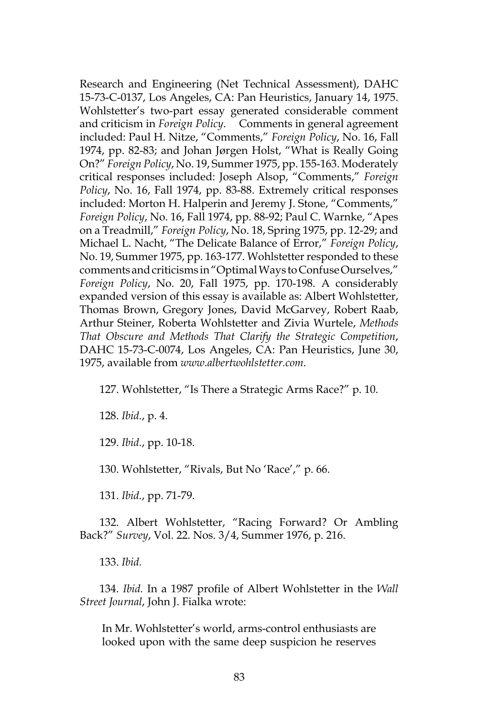Research and Engineering (Net Technical Assessment), DAHC 15-73-C-0137, Los Angeles, CA: Pan Heuristics, January 14, 1975. Wohlstetter's two-part essay generated considerable comment and criticism in *Foreign Policy*. Comments in general agreement included: Paul H. Nitze, "Comments," *Foreign Policy*, No. 16, Fall 1974, pp. 82-83; and Johan Jørgen Holst, "What is Really Going On?" *Foreign Policy*, No. 19, Summer 1975, pp. 155-163. Moderately critical responses included: Joseph Alsop, "Comments," *Foreign Policy*, No. 16, Fall 1974, pp. 83-88. Extremely critical responses included: Morton H. Halperin and Jeremy J. Stone, "Comments," *Foreign Policy*, No. 16, Fall 1974, pp. 88-92; Paul C. Warnke, "Apes on a Treadmill," *Foreign Policy*, No. 18, Spring 1975, pp. 12-29; and Michael L. Nacht, "The Delicate Balance of Error," *Foreign Policy*, No. 19, Summer 1975, pp. 163-177. Wohlstetter responded to these comments and criticisms in "Optimal Ways to Confuse Ourselves," *Foreign Policy*, No. 20, Fall 1975, pp. 170-198. A considerably expanded version of this essay is available as: Albert Wohlstetter, Thomas Brown, Gregory Jones, David McGarvey, Robert Raab, Arthur Steiner, Roberta Wohlstetter and Zivia Wurtele, *Methods That Obscure and Methods That Clarify the Strategic Competition*, DAHC 15-73-C-0074, Los Angeles, CA: Pan Heuristics, June 30, 1975, available from *www.albertwohlstetter.com*.

127. Wohlstetter, "Is There a Strategic Arms Race?" p. 10.

128. *Ibid.*, p. 4.

129. *Ibid.*, pp. 10-18.

130. Wohlstetter, "Rivals, But No 'Race'," p. 66.

131. *Ibid.*, pp. 71-79.

132. Albert Wohlstetter, "Racing Forward? Or Ambling Back?" *Survey*, Vol. 22. Nos. 3/4, Summer 1976, p. 216.

133. *Ibid.*

134. *Ibid.* In a 1987 profile of Albert Wohlstetter in the *Wall Street Journal*, John J. Fialka wrote:

In Mr. Wohlstetter's world, arms-control enthusiasts are looked upon with the same deep suspicion he reserves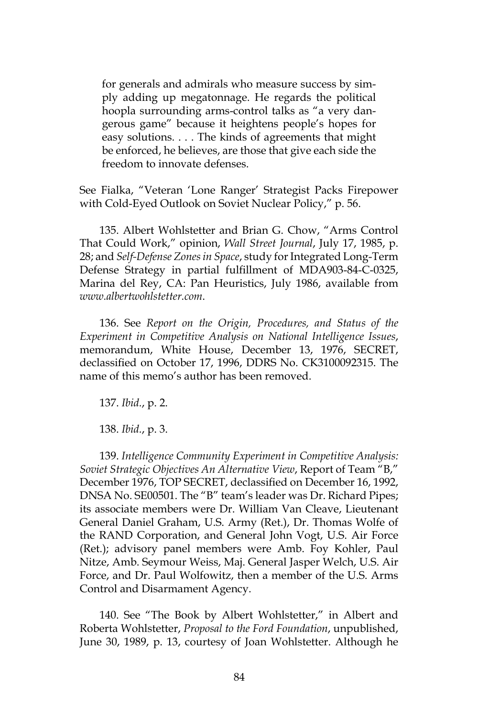for generals and admirals who measure success by simply adding up megatonnage. He regards the political hoopla surrounding arms-control talks as "a very dangerous game" because it heightens people's hopes for easy solutions. . . . The kinds of agreements that might be enforced, he believes, are those that give each side the freedom to innovate defenses.

See Fialka, "Veteran 'Lone Ranger' Strategist Packs Firepower with Cold-Eyed Outlook on Soviet Nuclear Policy," p. 56.

135. Albert Wohlstetter and Brian G. Chow, "Arms Control That Could Work," opinion, *Wall Street Journal*, July 17, 1985, p. 28; and *Self-Defense Zones in Space*, study for Integrated Long-Term Defense Strategy in partial fulfillment of MDA903-84-C-0325, Marina del Rey, CA: Pan Heuristics, July 1986, available from *www.albertwohlstetter.com*.

136. See *Report on the Origin, Procedures, and Status of the Experiment in Competitive Analysis on National Intelligence Issues*, memorandum, White House, December 13, 1976, SECRET, declassified on October 17, 1996, DDRS No. CK3100092315. The name of this memo's author has been removed.

137. *Ibid.*, p. 2.

138. *Ibid.*, p. 3.

139. *Intelligence Community Experiment in Competitive Analysis: Soviet Strategic Objectives An Alternative View*, Report of Team "B," December 1976, TOP SECRET, declassified on December 16, 1992, DNSA No. SE00501. The "B" team's leader was Dr. Richard Pipes; its associate members were Dr. William Van Cleave, Lieutenant General Daniel Graham, U.S. Army (Ret.), Dr. Thomas Wolfe of the RAND Corporation, and General John Vogt, U.S. Air Force (Ret.); advisory panel members were Amb. Foy Kohler, Paul Nitze, Amb. Seymour Weiss, Maj. General Jasper Welch, U.S. Air Force, and Dr. Paul Wolfowitz, then a member of the U.S. Arms Control and Disarmament Agency.

140. See "The Book by Albert Wohlstetter," in Albert and Roberta Wohlstetter, *Proposal to the Ford Foundation*, unpublished, June 30, 1989, p. 13, courtesy of Joan Wohlstetter. Although he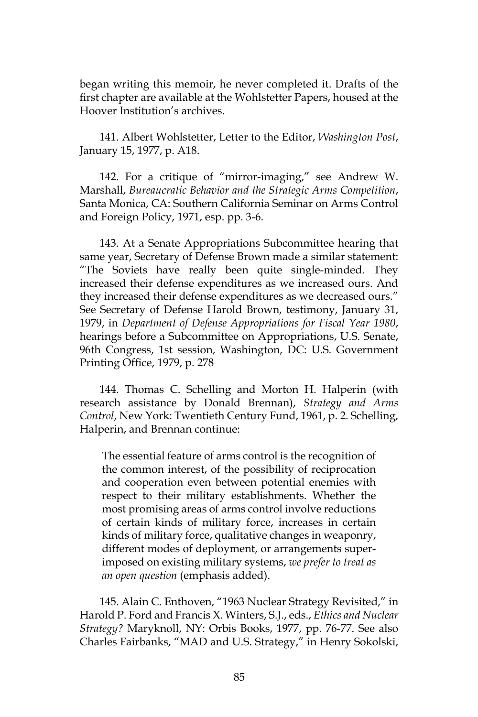began writing this memoir, he never completed it. Drafts of the first chapter are available at the Wohlstetter Papers, housed at the Hoover Institution's archives.

141. Albert Wohlstetter, Letter to the Editor, *Washington Post*, January 15, 1977, p. A18.

142. For a critique of "mirror-imaging," see Andrew W. Marshall, *Bureaucratic Behavior and the Strategic Arms Competition*, Santa Monica, CA: Southern California Seminar on Arms Control and Foreign Policy, 1971, esp. pp. 3-6.

143. At a Senate Appropriations Subcommittee hearing that same year, Secretary of Defense Brown made a similar statement: "The Soviets have really been quite single-minded. They increased their defense expenditures as we increased ours. And they increased their defense expenditures as we decreased ours." See Secretary of Defense Harold Brown, testimony, January 31, 1979, in *Department of Defense Appropriations for Fiscal Year 1980*, hearings before a Subcommittee on Appropriations, U.S. Senate, 96th Congress, 1st session, Washington, DC: U.S. Government Printing Office, 1979, p. 278

144. Thomas C. Schelling and Morton H. Halperin (with research assistance by Donald Brennan), *Strategy and Arms Control*, New York: Twentieth Century Fund, 1961, p. 2. Schelling, Halperin, and Brennan continue:

The essential feature of arms control is the recognition of the common interest, of the possibility of reciprocation and cooperation even between potential enemies with respect to their military establishments. Whether the most promising areas of arms control involve reductions of certain kinds of military force, increases in certain kinds of military force, qualitative changes in weaponry, different modes of deployment, or arrangements superimposed on existing military systems, *we prefer to treat as an open question* (emphasis added).

145. Alain C. Enthoven, "1963 Nuclear Strategy Revisited," in Harold P. Ford and Francis X. Winters, S.J., eds., *Ethics and Nuclear Strategy?* Maryknoll, NY: Orbis Books, 1977, pp. 76-77. See also Charles Fairbanks, "MAD and U.S. Strategy," in Henry Sokolski,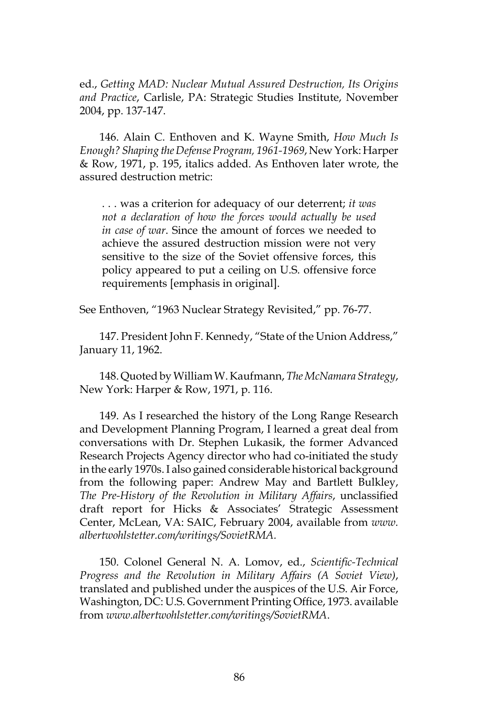ed., *Getting MAD: Nuclear Mutual Assured Destruction, Its Origins and Practice*, Carlisle, PA: Strategic Studies Institute, November 2004, pp. 137-147.

146. Alain C. Enthoven and K. Wayne Smith, *How Much Is Enough? Shaping the Defense Program, 1961-1969*, New York: Harper & Row, 1971, p. 195, italics added. As Enthoven later wrote, the assured destruction metric:

. . . was a criterion for adequacy of our deterrent; *it was not a declaration of how the forces would actually be used in case of war*. Since the amount of forces we needed to achieve the assured destruction mission were not very sensitive to the size of the Soviet offensive forces, this policy appeared to put a ceiling on U.S. offensive force requirements [emphasis in original].

See Enthoven, "1963 Nuclear Strategy Revisited," pp. 76-77.

147. President John F. Kennedy, "State of the Union Address," January 11, 1962.

148. Quoted by William W. Kaufmann, *The McNamara Strategy*, New York: Harper & Row, 1971, p. 116.

149. As I researched the history of the Long Range Research and Development Planning Program, I learned a great deal from conversations with Dr. Stephen Lukasik, the former Advanced Research Projects Agency director who had co-initiated the study in the early 1970s. I also gained considerable historical background from the following paper: Andrew May and Bartlett Bulkley, *The Pre-History of the Revolution in Military Affairs*, unclassified draft report for Hicks & Associates' Strategic Assessment Center, McLean, VA: SAIC, February 2004, available from *www. albertwohlstetter.com/writings/SovietRMA.*

150. Colonel General N. A. Lomov, ed., *Scientific-Technical Progress and the Revolution in Military Affairs (A Soviet View)*, translated and published under the auspices of the U.S. Air Force, Washington, DC: U.S. Government Printing Office, 1973. available from *www.albertwohlstetter.com/writings/SovietRMA*.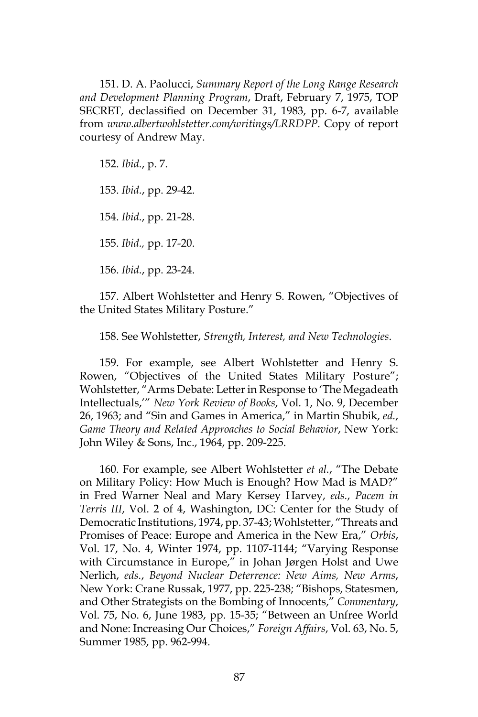151. D. A. Paolucci, *Summary Report of the Long Range Research and Development Planning Program*, Draft, February 7, 1975, TOP SECRET, declassified on December 31, 1983, pp. 6-7, available from *www.albertwohlstetter.com/writings/LRRDPP.* Copy of report courtesy of Andrew May.

152. *Ibid.*, p. 7.

153. *Ibid.*, pp. 29-42.

154. *Ibid.*, pp. 21-28.

155. *Ibid.,* pp. 17-20.

156. *Ibid.*, pp. 23-24.

157. Albert Wohlstetter and Henry S. Rowen, "Objectives of the United States Military Posture."

158. See Wohlstetter, *Strength, Interest, and New Technologies*.

159. For example, see Albert Wohlstetter and Henry S. Rowen, "Objectives of the United States Military Posture"; Wohlstetter, "Arms Debate: Letter in Response to 'The Megadeath Intellectuals,'" *New York Review of Books*, Vol. 1, No. 9, December 26, 1963; and "Sin and Games in America," in Martin Shubik, *ed.*, *Game Theory and Related Approaches to Social Behavior*, New York: John Wiley & Sons, Inc., 1964, pp. 209-225.

160. For example, see Albert Wohlstetter *et al.*, "The Debate on Military Policy: How Much is Enough? How Mad is MAD?" in Fred Warner Neal and Mary Kersey Harvey, *eds.*, *Pacem in Terris III*, Vol. 2 of 4, Washington, DC: Center for the Study of Democratic Institutions, 1974, pp. 37-43; Wohlstetter, "Threats and Promises of Peace: Europe and America in the New Era," *Orbis*, Vol. 17, No. 4, Winter 1974, pp. 1107-1144; "Varying Response with Circumstance in Europe," in Johan Jørgen Holst and Uwe Nerlich, *eds.*, *Beyond Nuclear Deterrence: New Aims, New Arms*, New York: Crane Russak, 1977, pp. 225-238; "Bishops, Statesmen, and Other Strategists on the Bombing of Innocents," *Commentary*, Vol. 75, No. 6, June 1983, pp. 15-35; "Between an Unfree World and None: Increasing Our Choices," *Foreign Affairs*, Vol. 63, No. 5, Summer 1985, pp. 962-994.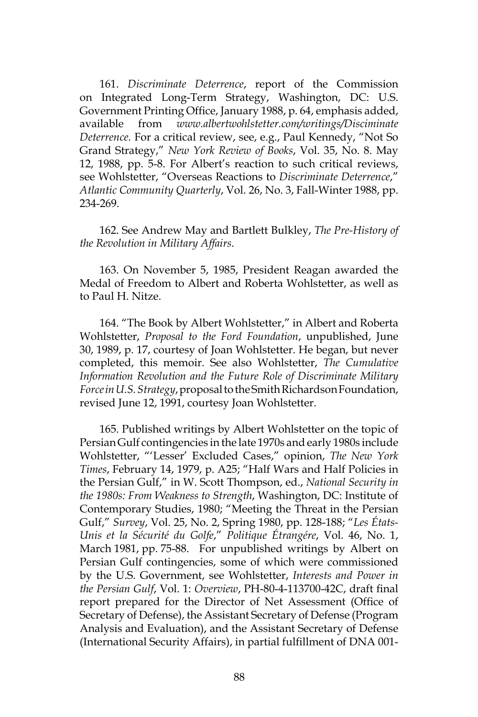161. *Discriminate Deterrence*, report of the Commission on Integrated Long-Term Strategy, Washington, DC: U.S. Government Printing Office, January 1988, p. 64, emphasis added, available from *www.albertwohlstetter.com/writings/Disciminate Deterrence.* For a critical review, see, e.g., Paul Kennedy, "Not So Grand Strategy," *New York Review of Books*, Vol. 35, No. 8. May 12, 1988, pp. 5-8. For Albert's reaction to such critical reviews, see Wohlstetter, "Overseas Reactions to *Discriminate Deterrence*," *Atlantic Community Quarterly*, Vol. 26, No. 3, Fall-Winter 1988, pp. 234-269.

162. See Andrew May and Bartlett Bulkley, *The Pre-History of the Revolution in Military Affairs*.

163. On November 5, 1985, President Reagan awarded the Medal of Freedom to Albert and Roberta Wohlstetter, as well as to Paul H. Nitze.

164. "The Book by Albert Wohlstetter," in Albert and Roberta Wohlstetter, *Proposal to the Ford Foundation*, unpublished, June 30, 1989, p. 17, courtesy of Joan Wohlstetter. He began, but never completed, this memoir. See also Wohlstetter, *The Cumulative Information Revolution and the Future Role of Discriminate Military Force in U.S. Strategy*, proposal to the Smith Richardson Foundation, revised June 12, 1991, courtesy Joan Wohlstetter.

165. Published writings by Albert Wohlstetter on the topic of Persian Gulf contingencies in the late 1970s and early 1980s include Wohlstetter, "'Lesser' Excluded Cases," opinion, *The New York Times*, February 14, 1979, p. A25; "Half Wars and Half Policies in the Persian Gulf," in W. Scott Thompson, ed., *National Security in the 1980s: From Weakness to Strength*, Washington, DC: Institute of Contemporary Studies, 1980; "Meeting the Threat in the Persian Gulf," *Survey*, Vol. 25, No. 2, Spring 1980, pp. 128-188; "*Les États-Unis et la Sécurité du Golfe*," *Politique Étrangére*, Vol. 46, No. 1, March 1981, pp. 75-88. For unpublished writings by Albert on Persian Gulf contingencies, some of which were commissioned by the U.S. Government, see Wohlstetter, *Interests and Power in the Persian Gulf*, Vol. 1: *Overview*, PH-80-4-113700-42C, draft final report prepared for the Director of Net Assessment (Office of Secretary of Defense), the Assistant Secretary of Defense (Program Analysis and Evaluation), and the Assistant Secretary of Defense (International Security Affairs), in partial fulfillment of DNA 001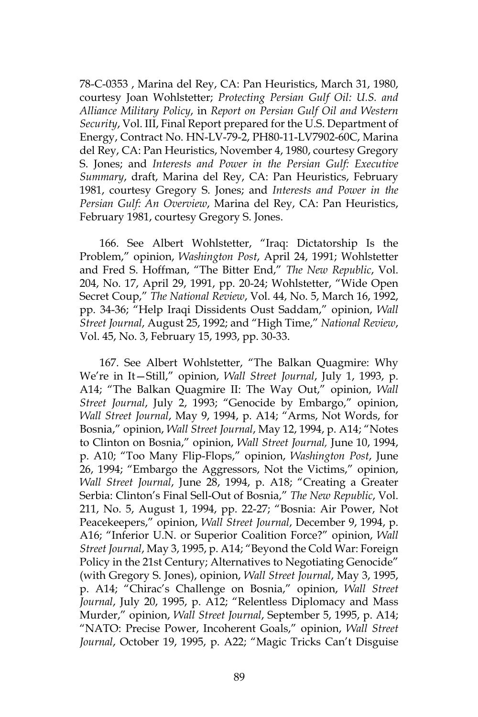78-C-0353 , Marina del Rey, CA: Pan Heuristics, March 31, 1980, courtesy Joan Wohlstetter; *Protecting Persian Gulf Oil: U.S. and Alliance Military Policy*, in *Report on Persian Gulf Oil and Western Security*, Vol. III, Final Report prepared for the U.S. Department of Energy, Contract No. HN-LV-79-2, PH80-11-LV7902-60C, Marina del Rey, CA: Pan Heuristics, November 4, 1980, courtesy Gregory S. Jones; and *Interests and Power in the Persian Gulf: Executive Summary*, draft, Marina del Rey, CA: Pan Heuristics, February 1981, courtesy Gregory S. Jones; and *Interests and Power in the Persian Gulf: An Overview*, Marina del Rey, CA: Pan Heuristics, February 1981, courtesy Gregory S. Jones.

166. See Albert Wohlstetter, "Iraq: Dictatorship Is the Problem," opinion, *Washington Post*, April 24, 1991; Wohlstetter and Fred S. Hoffman, "The Bitter End," *The New Republic*, Vol. 204, No. 17, April 29, 1991, pp. 20-24; Wohlstetter, "Wide Open Secret Coup," *The National Review*, Vol. 44, No. 5, March 16, 1992, pp. 34-36; "Help Iraqi Dissidents Oust Saddam," opinion, *Wall Street Journal*, August 25, 1992; and "High Time," *National Review*, Vol. 45, No. 3, February 15, 1993, pp. 30-33.

167. See Albert Wohlstetter, "The Balkan Quagmire: Why We're in It—Still," opinion, *Wall Street Journal*, July 1, 1993, p. A14; "The Balkan Quagmire II: The Way Out," opinion, *Wall Street Journal*, July 2, 1993; "Genocide by Embargo," opinion, *Wall Street Journal*, May 9, 1994, p. A14; "Arms, Not Words, for Bosnia," opinion, *Wall Street Journal*, May 12, 1994, p. A14; "Notes to Clinton on Bosnia," opinion, *Wall Street Journal,* June 10, 1994, p. A10; "Too Many Flip-Flops," opinion, *Washington Post*, June 26, 1994; "Embargo the Aggressors, Not the Victims," opinion, *Wall Street Journal*, June 28, 1994, p. A18; "Creating a Greater Serbia: Clinton's Final Sell-Out of Bosnia," *The New Republic*, Vol. 211, No. 5, August 1, 1994, pp. 22-27; "Bosnia: Air Power, Not Peacekeepers," opinion, *Wall Street Journal*, December 9, 1994, p. A16; "Inferior U.N. or Superior Coalition Force?" opinion, *Wall Street Journal*, May 3, 1995, p. A14; "Beyond the Cold War: Foreign Policy in the 21st Century; Alternatives to Negotiating Genocide" (with Gregory S. Jones), opinion, *Wall Street Journal*, May 3, 1995, p. A14; "Chirac's Challenge on Bosnia," opinion, *Wall Street Journal*, July 20, 1995, p. A12; "Relentless Diplomacy and Mass Murder," opinion, *Wall Street Journal*, September 5, 1995, p. A14; "NATO: Precise Power, Incoherent Goals," opinion, *Wall Street Journal*, October 19, 1995, p. A22; "Magic Tricks Can't Disguise